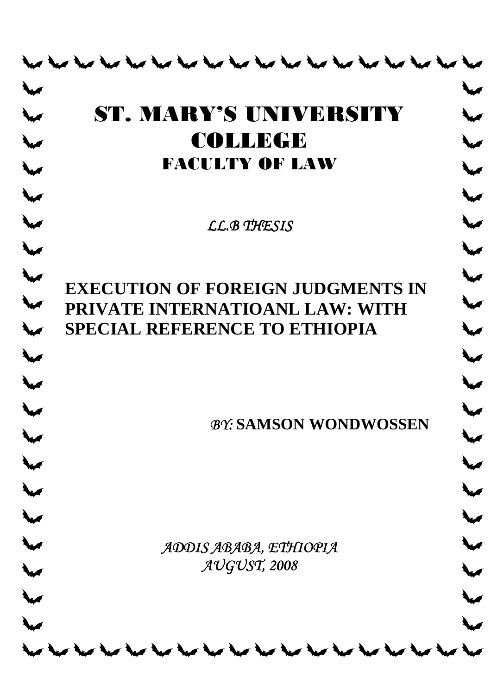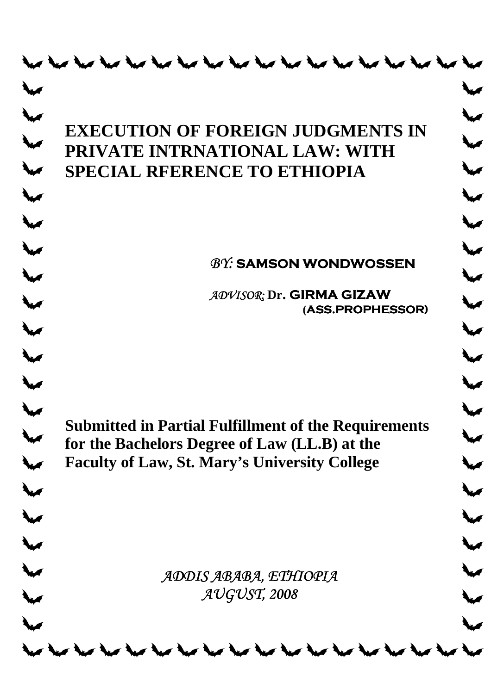|                         | <b>EXECUTION OF FOREIGN JUDGMENTS IN</b>                                                                     |  |  |
|-------------------------|--------------------------------------------------------------------------------------------------------------|--|--|
|                         | PRIVATE INTRNATIONAL LAW: WITH<br><b>SPECIAL RFERENCE TO ETHIOPIA</b>                                        |  |  |
|                         |                                                                                                              |  |  |
|                         |                                                                                                              |  |  |
|                         | <b>BY: SAMSON WONDWOSSEN</b>                                                                                 |  |  |
|                         | ADVISOR: Dr. GIRMA GIZAW                                                                                     |  |  |
|                         | (ASS.PROPHESSOR)                                                                                             |  |  |
|                         |                                                                                                              |  |  |
|                         |                                                                                                              |  |  |
|                         |                                                                                                              |  |  |
|                         | <b>Submitted in Partial Fulfillment of the Requirements</b><br>for the Bachelors Degree of Law (LL.B) at the |  |  |
|                         | <b>Faculty of Law, St. Mary's University College</b>                                                         |  |  |
|                         |                                                                                                              |  |  |
|                         |                                                                                                              |  |  |
|                         |                                                                                                              |  |  |
|                         | ADDIS ABABA, ETHIOPIA                                                                                        |  |  |
|                         | AUGUST, 2008                                                                                                 |  |  |
|                         |                                                                                                              |  |  |
| who had had had had had |                                                                                                              |  |  |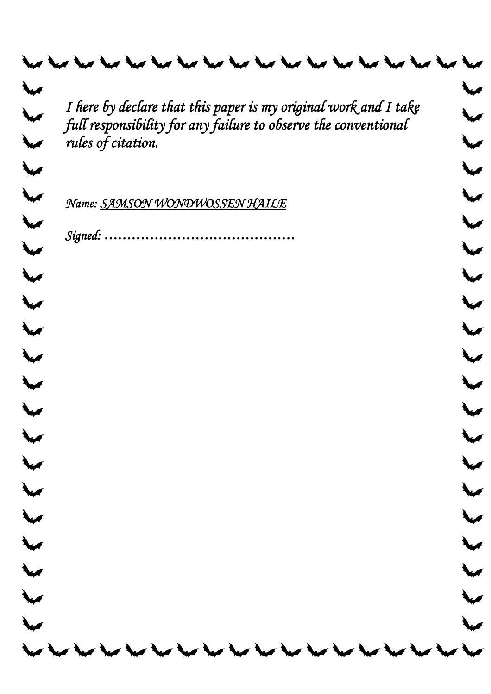| I here by declare that this paper is my original work and I take                      |  |
|---------------------------------------------------------------------------------------|--|
| full responsibility for any failure to observe the conventional<br>rules of citation. |  |
|                                                                                       |  |
|                                                                                       |  |
| Name: SAMSON WONDWOSSEN HAILE                                                         |  |
| Signed:                                                                               |  |
|                                                                                       |  |
|                                                                                       |  |
|                                                                                       |  |
|                                                                                       |  |
|                                                                                       |  |
|                                                                                       |  |
|                                                                                       |  |
|                                                                                       |  |
|                                                                                       |  |
|                                                                                       |  |
|                                                                                       |  |
|                                                                                       |  |
|                                                                                       |  |
|                                                                                       |  |
|                                                                                       |  |
|                                                                                       |  |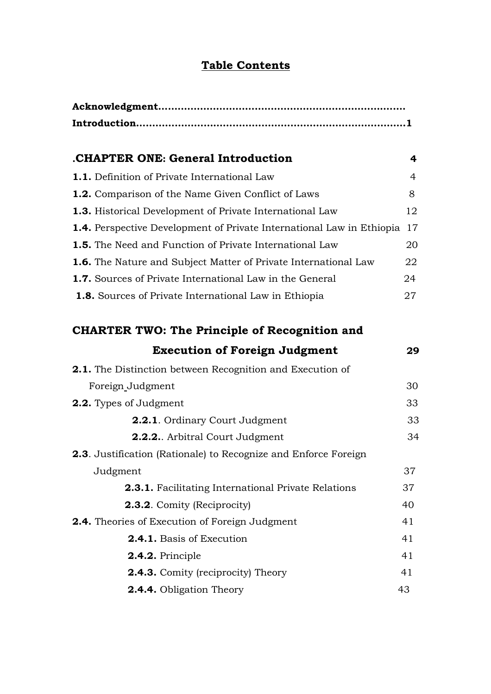# **Table Contents**

| CHAPTER ONE: General Introduction                                            | 4  |  |  |
|------------------------------------------------------------------------------|----|--|--|
| <b>1.1.</b> Definition of Private International Law                          | 4  |  |  |
| <b>1.2.</b> Comparison of the Name Given Conflict of Laws                    | 8  |  |  |
| <b>1.3.</b> Historical Development of Private International Law              | 12 |  |  |
| <b>1.4.</b> Perspective Development of Private International Law in Ethiopia | 17 |  |  |
| <b>1.5.</b> The Need and Function of Private International Law               | 20 |  |  |
| <b>1.6.</b> The Nature and Subject Matter of Private International Law       | 22 |  |  |
| <b>1.7.</b> Sources of Private International Law in the General              | 24 |  |  |
| <b>1.8.</b> Sources of Private International Law in Ethiopia                 | 27 |  |  |

# **CHARTER TWO: The Principle of Recognition and**

| <b>Execution of Foreign Judgment</b>                                   | 29 |
|------------------------------------------------------------------------|----|
| <b>2.1.</b> The Distinction between Recognition and Execution of       |    |
| Foreign_Judgment                                                       | 30 |
| <b>2.2.</b> Types of Judgment                                          | 33 |
| <b>2.2.1.</b> Ordinary Court Judgment                                  | 33 |
| <b>2.2.2.</b> Arbitral Court Judgment                                  | 34 |
| <b>2.3.</b> Justification (Rationale) to Recognize and Enforce Foreign |    |
| Judgment                                                               | 37 |
| <b>2.3.1.</b> Facilitating International Private Relations             | 37 |
| <b>2.3.2.</b> Comity (Reciprocity)                                     | 40 |
| <b>2.4.</b> Theories of Execution of Foreign Judgment                  |    |
| <b>2.4.1.</b> Basis of Execution                                       | 41 |
| 2.4.2. Principle                                                       | 41 |
| <b>2.4.3.</b> Comity (reciprocity) Theory                              | 41 |
| <b>2.4.4.</b> Obligation Theory                                        | 43 |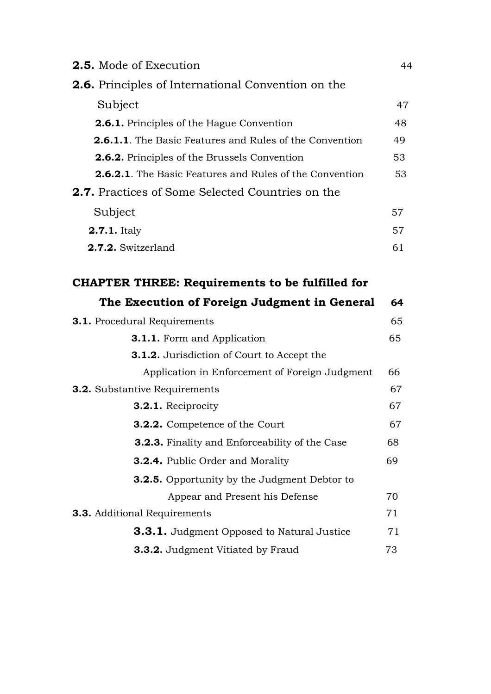| 2.5. Mode of Execution                                         | 44 |
|----------------------------------------------------------------|----|
| <b>2.6.</b> Principles of International Convention on the      |    |
| Subject                                                        | 47 |
| <b>2.6.1.</b> Principles of the Hague Convention               | 48 |
| <b>2.6.1.1.</b> The Basic Features and Rules of the Convention | 49 |
| <b>2.6.2.</b> Principles of the Brussels Convention            | 53 |
| <b>2.6.2.1.</b> The Basic Features and Rules of the Convention | 53 |
| <b>2.7.</b> Practices of Some Selected Countries on the        |    |
| Subject                                                        | 57 |
| <b>2.7.1.</b> Italy                                            | 57 |
| 2.7.2. Switzerland                                             | 61 |
| <b>CHAPTER THREE: Requirements to be fulfilled for</b>         |    |
| The Execution of Foreign Judgment in General                   | 64 |
| <b>3.1.</b> Procedural Requirements                            |    |
| <b>3.1.1.</b> Form and Application                             | 65 |
| 2.1.2. Iunication of Court to Account the                      |    |

| <b>3.1.2.</b> Jurisdiction of Court to Accept the     |    |
|-------------------------------------------------------|----|
| Application in Enforcement of Foreign Judgment        | 66 |
| <b>3.2.</b> Substantive Requirements                  |    |
| <b>3.2.1.</b> Reciprocity                             | 67 |
| <b>3.2.2.</b> Competence of the Court                 | 67 |
| <b>3.2.3.</b> Finality and Enforceability of the Case | 68 |
| <b>3.2.4.</b> Public Order and Morality               | 69 |
| <b>3.2.5.</b> Opportunity by the Judgment Debtor to   |    |
| Appear and Present his Defense                        | 70 |
| <b>3.3.</b> Additional Requirements                   |    |
| <b>3.3.1.</b> Judgment Opposed to Natural Justice     | 71 |
| <b>3.3.2.</b> Judgment Vitiated by Fraud              | 73 |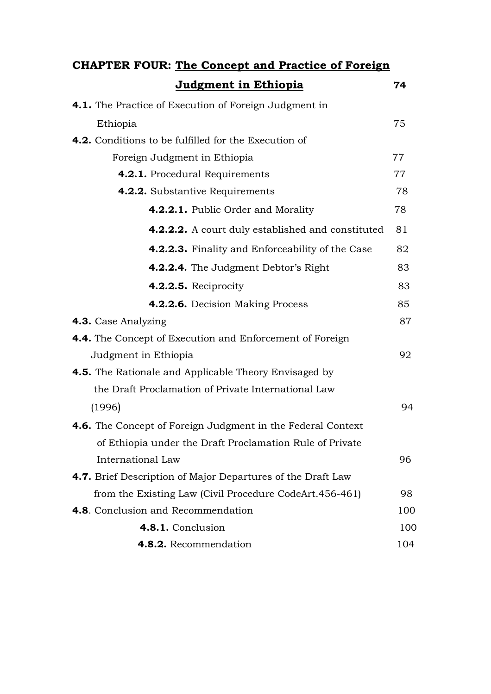| <b>CHAPTER FOUR: The Concept and Practice of Foreign</b>           |     |  |
|--------------------------------------------------------------------|-----|--|
| <u>Judgment in Ethiopia</u>                                        | 74  |  |
| <b>4.1.</b> The Practice of Execution of Foreign Judgment in       |     |  |
| Ethiopia                                                           | 75  |  |
| <b>4.2.</b> Conditions to be fulfilled for the Execution of        |     |  |
| Foreign Judgment in Ethiopia                                       | 77  |  |
| 4.2.1. Procedural Requirements                                     | 77  |  |
| 4.2.2. Substantive Requirements                                    | 78  |  |
| 4.2.2.1. Public Order and Morality                                 | 78  |  |
| <b>4.2.2.2.</b> A court duly established and constituted           | 81  |  |
| <b>4.2.2.3.</b> Finality and Enforceability of the Case            | 82  |  |
| 4.2.2.4. The Judgment Debtor's Right                               | 83  |  |
| 4.2.2.5. Reciprocity                                               | 83  |  |
| 4.2.2.6. Decision Making Process                                   | 85  |  |
| 4.3. Case Analyzing                                                | 87  |  |
| 4.4. The Concept of Execution and Enforcement of Foreign           |     |  |
| Judgment in Ethiopia                                               | 92  |  |
| <b>4.5.</b> The Rationale and Applicable Theory Envisaged by       |     |  |
| the Draft Proclamation of Private International Law                |     |  |
| (1996)                                                             | 94  |  |
| <b>4.6.</b> The Concept of Foreign Judgment in the Federal Context |     |  |
| of Ethiopia under the Draft Proclamation Rule of Private           |     |  |
| International Law                                                  | 96  |  |
| 4.7. Brief Description of Major Departures of the Draft Law        |     |  |
| from the Existing Law (Civil Procedure CodeArt.456-461)            | 98  |  |
| <b>4.8.</b> Conclusion and Recommendation                          | 100 |  |
| 4.8.1. Conclusion                                                  | 100 |  |
| 4.8.2. Recommendation                                              | 104 |  |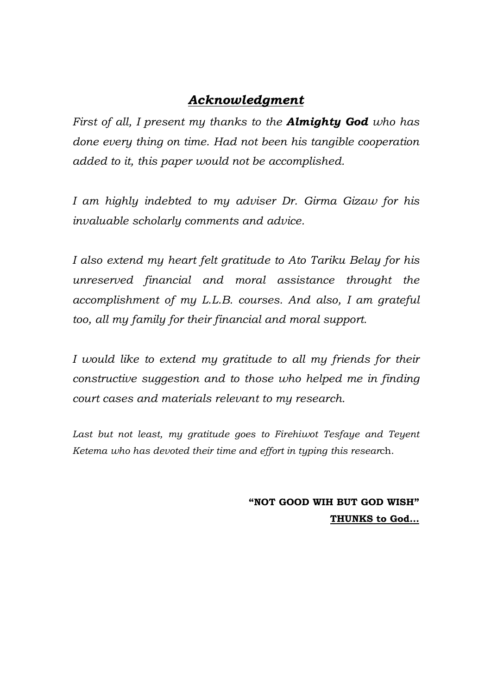# *Acknowledgment*

*First of all, I present my thanks to the Almighty God who has done every thing on time. Had not been his tangible cooperation added to it, this paper would not be accomplished.* 

*I am highly indebted to my adviser Dr. Girma Gizaw for his invaluable scholarly comments and advice.* 

*I also extend my heart felt gratitude to Ato Tariku Belay for his unreserved financial and moral assistance throught the accomplishment of my L.L.B. courses. And also, I am grateful too, all my family for their financial and moral support.* 

*I would like to extend my gratitude to all my friends for their constructive suggestion and to those who helped me in finding court cases and materials relevant to my research.* 

Last but not least, my gratitude goes to Firehiwot Tesfaye and Teyent *Ketema who has devoted their time and effort in typing this resear*ch.

> **"NOT GOOD WIH BUT GOD WISH" THUNKS to God…**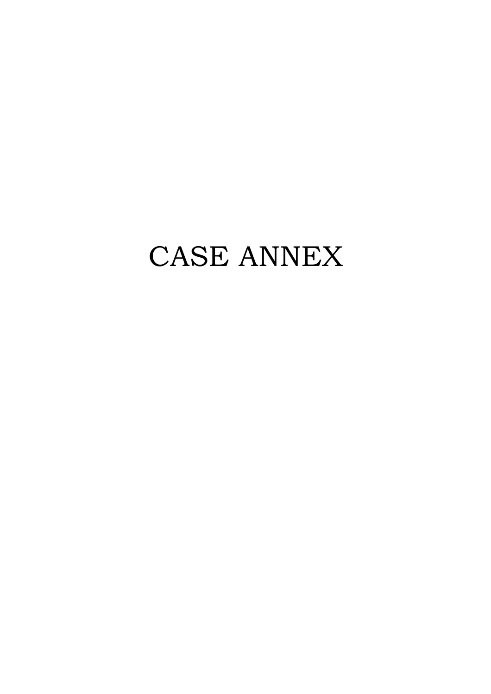# CASE ANNEX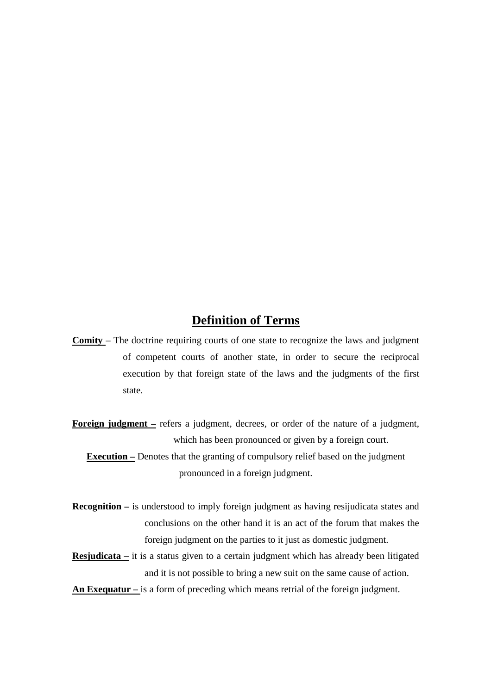## **Definition of Terms**

- **Comity**  The doctrine requiring courts of one state to recognize the laws and judgment of competent courts of another state, in order to secure the reciprocal execution by that foreign state of the laws and the judgments of the first state.
- **Foreign judgment –** refers a judgment, decrees, or order of the nature of a judgment, which has been pronounced or given by a foreign court.

**Execution –** Denotes that the granting of compulsory relief based on the judgment pronounced in a foreign judgment.

- **Recognition** is understood to imply foreign judgment as having resijudicata states and conclusions on the other hand it is an act of the forum that makes the foreign judgment on the parties to it just as domestic judgment.
- **Resjudicata –** it is a status given to a certain judgment which has already been litigated and it is not possible to bring a new suit on the same cause of action.
- **An Exequatur** is a form of preceding which means retrial of the foreign judgment.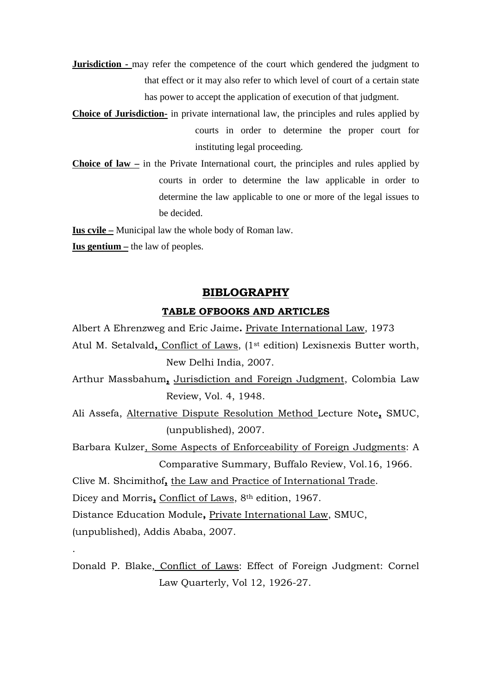- **Jurisdiction -** may refer the competence of the court which gendered the judgment to that effect or it may also refer to which level of court of a certain state has power to accept the application of execution of that judgment.
- **Choice of Jurisdiction-** in private international law, the principles and rules applied by courts in order to determine the proper court for instituting legal proceeding.
- **Choice of law –** in the Private International court, the principles and rules applied by courts in order to determine the law applicable in order to determine the law applicable to one or more of the legal issues to be decided.

**Ius cvile –** Municipal law the whole body of Roman law.

**Ius gentium –** the law of peoples.

### **BIBLOGRAPHY**

#### **TABLE OFBOOKS AND ARTICLES**

- Albert A Ehrenzweg and Eric Jaime**.** Private International Law, 1973 Atul M. Setalvald**,** Conflict of Laws, (1st edition) Lexisnexis Butter worth, New Delhi India, 2007.
- Arthur Massbahum**,** Jurisdiction and Foreign Judgment, Colombia Law Review, Vol. 4, 1948.
- Ali Assefa, Alternative Dispute Resolution Method Lecture Note**,** SMUC, (unpublished), 2007.
- Barbara Kulzer, Some Aspects of Enforceability of Foreign Judgments: A Comparative Summary, Buffalo Review, Vol.16, 1966.
- Clive M. Shcimithof**,** the Law and Practice of International Trade.

Dicey and Morris**,** Conflict of Laws, 8th edition, 1967.

Distance Education Module**,** Private International Law, SMUC,

(unpublished), Addis Ababa, 2007.

.

Donald P. Blake, Conflict of Laws: Effect of Foreign Judgment: Cornel Law Quarterly, Vol 12, 1926-27.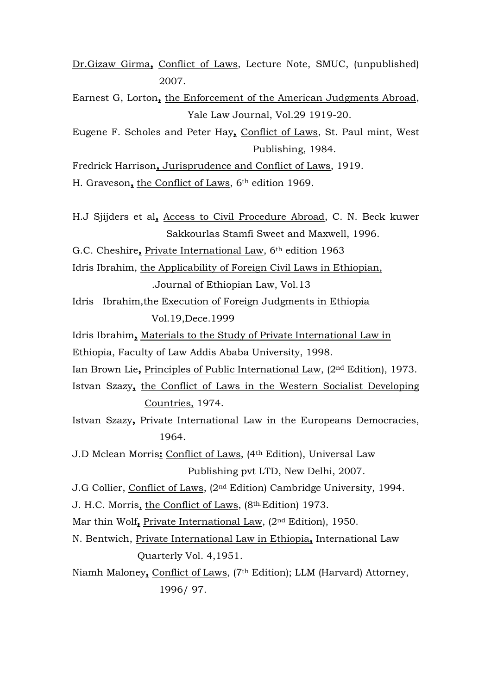Dr.Gizaw Girma**,** Conflict of Laws, Lecture Note, SMUC, (unpublished) 2007.

- Earnest G, Lorton**,** the Enforcement of the American Judgments Abroad, Yale Law Journal, Vol.29 1919-20.
- Eugene F. Scholes and Peter Hay**,** Conflict of Laws, St. Paul mint, West Publishing, 1984.

Fredrick Harrison**,** Jurisprudence and Conflict of Laws, 1919.

H. Graveson**,** the Conflict of Laws, 6th edition 1969.

- H.J Sjijders et al**,** Access to Civil Procedure Abroad, C. N. Beck kuwer Sakkourlas Stamfi Sweet and Maxwell, 1996.
- G.C. Cheshire**,** Private International Law, 6th edition 1963

Idris Ibrahim, the Applicability of Foreign Civil Laws in Ethiopian,

.Journal of Ethiopian Law, Vol.13

- Idris Ibrahim,the Execution of Foreign Judgments in Ethiopia Vol.19,Dece.1999
- Idris Ibrahim**,** Materials to the Study of Private International Law in
- Ethiopia, Faculty of Law Addis Ababa University, 1998.
- Ian Brown Lie**,** Principles of Public International Law, (2nd Edition), 1973.
- Istvan Szazy**,** the Conflict of Laws in the Western Socialist Developing Countries, 1974.
- Istvan Szazy**,** Private International Law in the Europeans Democracies, 1964.
- J.D Mclean Morris**:** Conflict of Laws, (4th Edition), Universal Law Publishing pvt LTD, New Delhi, 2007.
- J.G Collier, Conflict of Laws, (2nd Edition) Cambridge University, 1994.
- J. H.C. Morris, the Conflict of Laws, (8th.Edition) 1973.
- Mar thin Wolf**,** Private International Law, (2nd Edition), 1950.
- N. Bentwich, Private International Law in Ethiopia**,** International Law Quarterly Vol. 4,1951.

Niamh Maloney**,** Conflict of Laws, (7th Edition); LLM (Harvard) Attorney, 1996/ 97.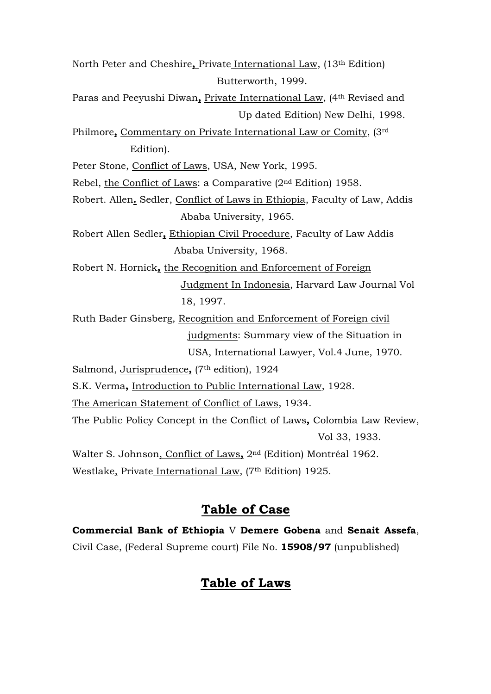North Peter and Cheshire**,** Private International Law, (13th Edition) Butterworth, 1999. Paras and Peeyushi Diwan, Private International Law, (4<sup>th</sup> Revised and Up dated Edition) New Delhi, 1998. Philmore**,** Commentary on Private International Law or Comity, (3rd Edition). Peter Stone, Conflict of Laws, USA, New York, 1995. Rebel, the Conflict of Laws: a Comparative (2nd Edition) 1958. Robert. Allen**.** Sedler, Conflict of Laws in Ethiopia, Faculty of Law, Addis Ababa University, 1965. Robert Allen Sedler**,** Ethiopian Civil Procedure, Faculty of Law Addis Ababa University, 1968. Robert N. Hornick**,** the Recognition and Enforcement of Foreign Judgment In Indonesia, Harvard Law Journal Vol 18, 1997. Ruth Bader Ginsberg, Recognition and Enforcement of Foreign civil judgments: Summary view of the Situation in USA, International Lawyer, Vol.4 June, 1970. Salmond, Jurisprudence**,** (7th edition), 1924 S.K. Verma**,** Introduction to Public International Law, 1928. The American Statement of Conflict of Laws, 1934. The Public Policy Concept in the Conflict of Laws**,** Colombia Law Review, Vol 33, 1933. Walter S. Johnson, Conflict of Laws**,** 2nd (Edition) Montréal 1962. Westlake, Private International Law, (7<sup>th</sup> Edition) 1925.

## **Table of Case**

**Commercial Bank of Ethiopia** V **Demere Gobena** and **Senait Assefa**, Civil Case, (Federal Supreme court) File No. **15908/97** (unpublished)

# **Table of Laws**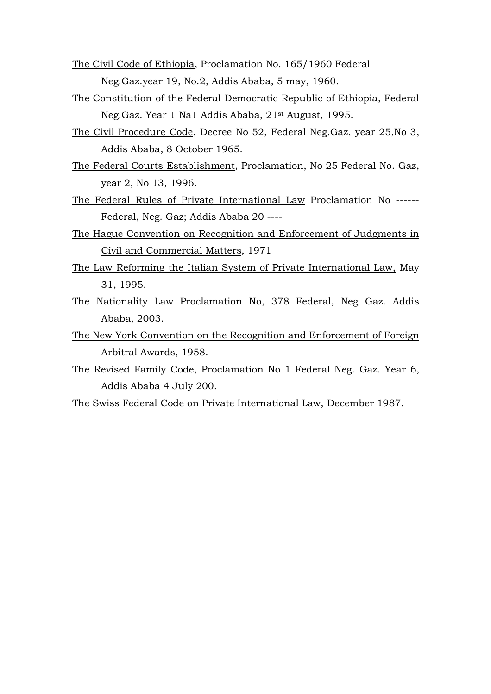- The Civil Code of Ethiopia, Proclamation No. 165/1960 Federal Neg.Gaz.year 19, No.2, Addis Ababa, 5 may, 1960.
- The Constitution of the Federal Democratic Republic of Ethiopia, Federal Neg.Gaz. Year 1 Na1 Addis Ababa, 21st August, 1995.
- The Civil Procedure Code, Decree No 52, Federal Neg.Gaz, year 25,No 3, Addis Ababa, 8 October 1965.
- The Federal Courts Establishment, Proclamation, No 25 Federal No. Gaz, year 2, No 13, 1996.
- The Federal Rules of Private International Law Proclamation No ------ Federal, Neg. Gaz; Addis Ababa 20 ----
- The Hague Convention on Recognition and Enforcement of Judgments in Civil and Commercial Matters, 1971
- The Law Reforming the Italian System of Private International Law, May 31, 1995.
- The Nationality Law Proclamation No, 378 Federal, Neg Gaz. Addis Ababa, 2003.
- The New York Convention on the Recognition and Enforcement of Foreign Arbitral Awards, 1958.
- The Revised Family Code, Proclamation No 1 Federal Neg. Gaz. Year 6, Addis Ababa 4 July 200.
- The Swiss Federal Code on Private International Law, December 1987.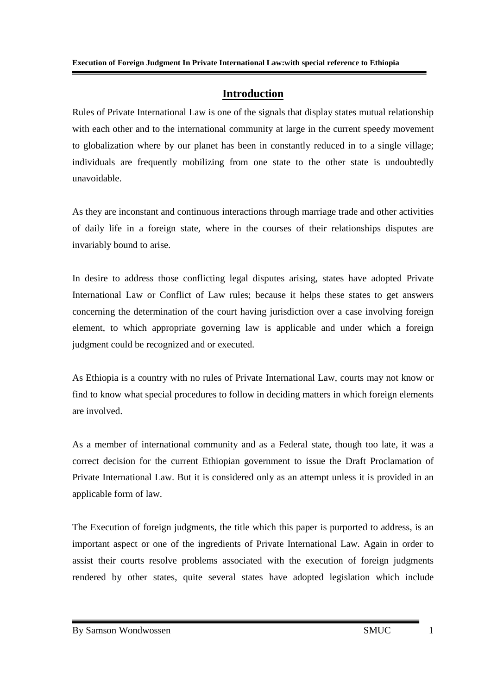#### **Introduction**

Rules of Private International Law is one of the signals that display states mutual relationship with each other and to the international community at large in the current speedy movement to globalization where by our planet has been in constantly reduced in to a single village; individuals are frequently mobilizing from one state to the other state is undoubtedly unavoidable.

As they are inconstant and continuous interactions through marriage trade and other activities of daily life in a foreign state, where in the courses of their relationships disputes are invariably bound to arise.

In desire to address those conflicting legal disputes arising, states have adopted Private International Law or Conflict of Law rules; because it helps these states to get answers concerning the determination of the court having jurisdiction over a case involving foreign element, to which appropriate governing law is applicable and under which a foreign judgment could be recognized and or executed.

As Ethiopia is a country with no rules of Private International Law, courts may not know or find to know what special procedures to follow in deciding matters in which foreign elements are involved.

As a member of international community and as a Federal state, though too late, it was a correct decision for the current Ethiopian government to issue the Draft Proclamation of Private International Law. But it is considered only as an attempt unless it is provided in an applicable form of law.

The Execution of foreign judgments, the title which this paper is purported to address, is an important aspect or one of the ingredients of Private International Law. Again in order to assist their courts resolve problems associated with the execution of foreign judgments rendered by other states, quite several states have adopted legislation which include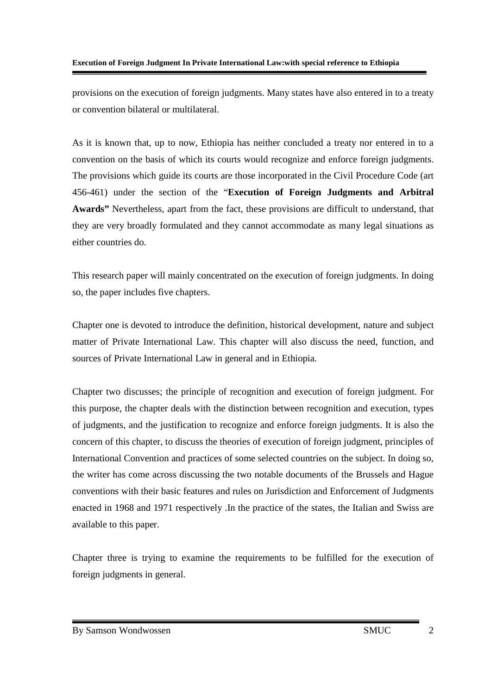provisions on the execution of foreign judgments. Many states have also entered in to a treaty or convention bilateral or multilateral.

As it is known that, up to now, Ethiopia has neither concluded a treaty nor entered in to a convention on the basis of which its courts would recognize and enforce foreign judgments. The provisions which guide its courts are those incorporated in the Civil Procedure Code (art 456-461) under the section of the "**Execution of Foreign Judgments and Arbitral Awards"** Nevertheless, apart from the fact, these provisions are difficult to understand, that they are very broadly formulated and they cannot accommodate as many legal situations as either countries do.

This research paper will mainly concentrated on the execution of foreign judgments. In doing so, the paper includes five chapters.

Chapter one is devoted to introduce the definition, historical development, nature and subject matter of Private International Law. This chapter will also discuss the need, function, and sources of Private International Law in general and in Ethiopia.

Chapter two discusses; the principle of recognition and execution of foreign judgment. For this purpose, the chapter deals with the distinction between recognition and execution, types of judgments, and the justification to recognize and enforce foreign judgments. It is also the concern of this chapter, to discuss the theories of execution of foreign judgment, principles of International Convention and practices of some selected countries on the subject. In doing so, the writer has come across discussing the two notable documents of the Brussels and Hague conventions with their basic features and rules on Jurisdiction and Enforcement of Judgments enacted in 1968 and 1971 respectively .In the practice of the states, the Italian and Swiss are available to this paper.

Chapter three is trying to examine the requirements to be fulfilled for the execution of foreign judgments in general.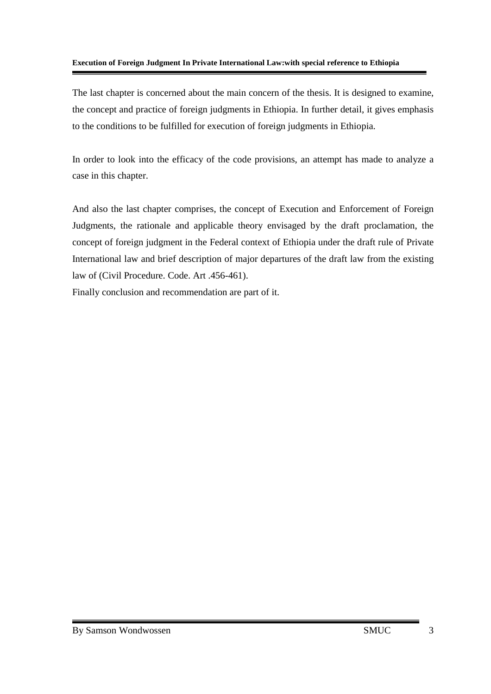#### **Execution of Foreign Judgment In Private International Law:with special reference to Ethiopia**

The last chapter is concerned about the main concern of the thesis. It is designed to examine, the concept and practice of foreign judgments in Ethiopia. In further detail, it gives emphasis to the conditions to be fulfilled for execution of foreign judgments in Ethiopia.

In order to look into the efficacy of the code provisions, an attempt has made to analyze a case in this chapter.

And also the last chapter comprises, the concept of Execution and Enforcement of Foreign Judgments, the rationale and applicable theory envisaged by the draft proclamation, the concept of foreign judgment in the Federal context of Ethiopia under the draft rule of Private International law and brief description of major departures of the draft law from the existing law of (Civil Procedure. Code. Art .456-461).

Finally conclusion and recommendation are part of it.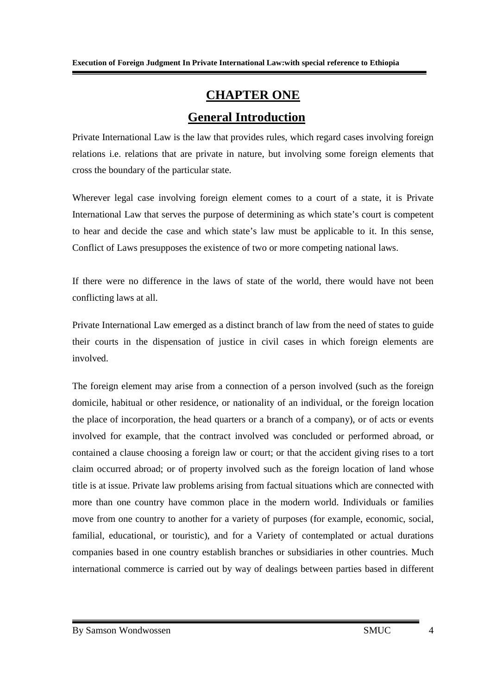# **CHAPTER ONE General Introduction**

Private International Law is the law that provides rules, which regard cases involving foreign relations i.e. relations that are private in nature, but involving some foreign elements that cross the boundary of the particular state.

Wherever legal case involving foreign element comes to a court of a state, it is Private International Law that serves the purpose of determining as which state's court is competent to hear and decide the case and which state's law must be applicable to it. In this sense, Conflict of Laws presupposes the existence of two or more competing national laws.

If there were no difference in the laws of state of the world, there would have not been conflicting laws at all.

Private International Law emerged as a distinct branch of law from the need of states to guide their courts in the dispensation of justice in civil cases in which foreign elements are involved.

The foreign element may arise from a connection of a person involved (such as the foreign domicile, habitual or other residence, or nationality of an individual, or the foreign location the place of incorporation, the head quarters or a branch of a company), or of acts or events involved for example, that the contract involved was concluded or performed abroad, or contained a clause choosing a foreign law or court; or that the accident giving rises to a tort claim occurred abroad; or of property involved such as the foreign location of land whose title is at issue. Private law problems arising from factual situations which are connected with more than one country have common place in the modern world. Individuals or families move from one country to another for a variety of purposes (for example, economic, social, familial, educational, or touristic), and for a Variety of contemplated or actual durations companies based in one country establish branches or subsidiaries in other countries. Much international commerce is carried out by way of dealings between parties based in different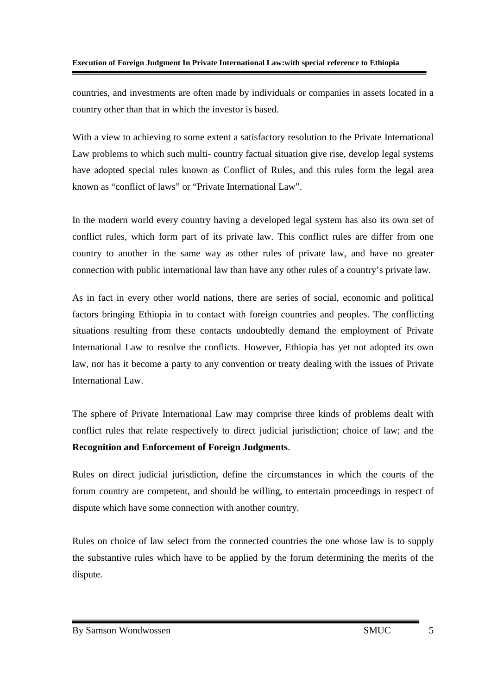countries, and investments are often made by individuals or companies in assets located in a country other than that in which the investor is based.

With a view to achieving to some extent a satisfactory resolution to the Private International Law problems to which such multi- country factual situation give rise, develop legal systems have adopted special rules known as Conflict of Rules, and this rules form the legal area known as "conflict of laws" or "Private International Law".

In the modern world every country having a developed legal system has also its own set of conflict rules, which form part of its private law. This conflict rules are differ from one country to another in the same way as other rules of private law, and have no greater connection with public international law than have any other rules of a country's private law.

As in fact in every other world nations, there are series of social, economic and political factors bringing Ethiopia in to contact with foreign countries and peoples. The conflicting situations resulting from these contacts undoubtedly demand the employment of Private International Law to resolve the conflicts. However, Ethiopia has yet not adopted its own law, nor has it become a party to any convention or treaty dealing with the issues of Private International Law.

The sphere of Private International Law may comprise three kinds of problems dealt with conflict rules that relate respectively to direct judicial jurisdiction; choice of law; and the **Recognition and Enforcement of Foreign Judgments**.

Rules on direct judicial jurisdiction, define the circumstances in which the courts of the forum country are competent, and should be willing, to entertain proceedings in respect of dispute which have some connection with another country.

Rules on choice of law select from the connected countries the one whose law is to supply the substantive rules which have to be applied by the forum determining the merits of the dispute.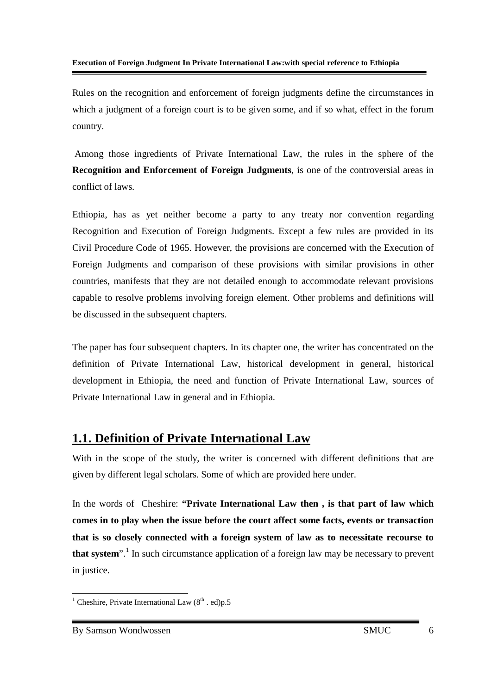Rules on the recognition and enforcement of foreign judgments define the circumstances in which a judgment of a foreign court is to be given some, and if so what, effect in the forum country.

 Among those ingredients of Private International Law, the rules in the sphere of the **Recognition and Enforcement of Foreign Judgments**, is one of the controversial areas in conflict of laws.

Ethiopia, has as yet neither become a party to any treaty nor convention regarding Recognition and Execution of Foreign Judgments. Except a few rules are provided in its Civil Procedure Code of 1965. However, the provisions are concerned with the Execution of Foreign Judgments and comparison of these provisions with similar provisions in other countries, manifests that they are not detailed enough to accommodate relevant provisions capable to resolve problems involving foreign element. Other problems and definitions will be discussed in the subsequent chapters.

The paper has four subsequent chapters. In its chapter one, the writer has concentrated on the definition of Private International Law, historical development in general, historical development in Ethiopia, the need and function of Private International Law, sources of Private International Law in general and in Ethiopia.

## **1.1. Definition of Private International Law**

With in the scope of the study, the writer is concerned with different definitions that are given by different legal scholars. Some of which are provided here under.

In the words of Cheshire: **"Private International Law then , is that part of law which comes in to play when the issue before the court affect some facts, events or transaction that is so closely connected with a foreign system of law as to necessitate recourse to**  that system<sup>". 1</sup> In such circumstance application of a foreign law may be necessary to prevent in justice.

 $\overline{\phantom{a}}$  Cheshire, Private International Law (8<sup>th</sup> . ed)p.5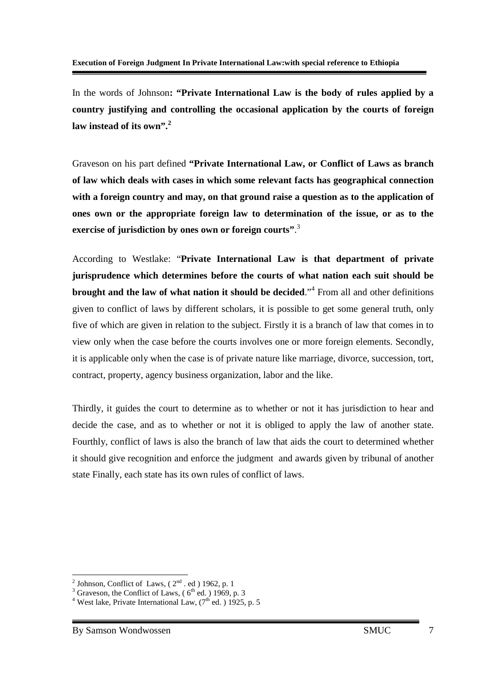In the words of Johnson**: "Private International Law is the body of rules applied by a country justifying and controlling the occasional application by the courts of foreign law instead of its own".<sup>2</sup>**

Graveson on his part defined **"Private International Law, or Conflict of Laws as branch of law which deals with cases in which some relevant facts has geographical connection with a foreign country and may, on that ground raise a question as to the application of ones own or the appropriate foreign law to determination of the issue, or as to the exercise of jurisdiction by ones own or foreign courts"**. 3

According to Westlake: "**Private International Law is that department of private jurisprudence which determines before the courts of what nation each suit should be brought and the law of what nation it should be decided**."<sup>4</sup> From all and other definitions given to conflict of laws by different scholars, it is possible to get some general truth, only five of which are given in relation to the subject. Firstly it is a branch of law that comes in to view only when the case before the courts involves one or more foreign elements. Secondly, it is applicable only when the case is of private nature like marriage, divorce, succession, tort, contract, property, agency business organization, labor and the like.

Thirdly, it guides the court to determine as to whether or not it has jurisdiction to hear and decide the case, and as to whether or not it is obliged to apply the law of another state. Fourthly, conflict of laws is also the branch of law that aids the court to determined whether it should give recognition and enforce the judgment and awards given by tribunal of another state Finally, each state has its own rules of conflict of laws.

<sup>&</sup>lt;sup>2</sup> Johnson, Conflict of Laws,  $(2<sup>nd</sup> \cdot ed)$  1962, p. 1<br><sup>3</sup> Graveson, the Conflict of Laws,  $(6<sup>th</sup> ed)$  1969, p. 3

<sup>&</sup>lt;sup>4</sup> West lake, Private International Law,  $(7<sup>th</sup>$  ed.  $)$  1925, p. 5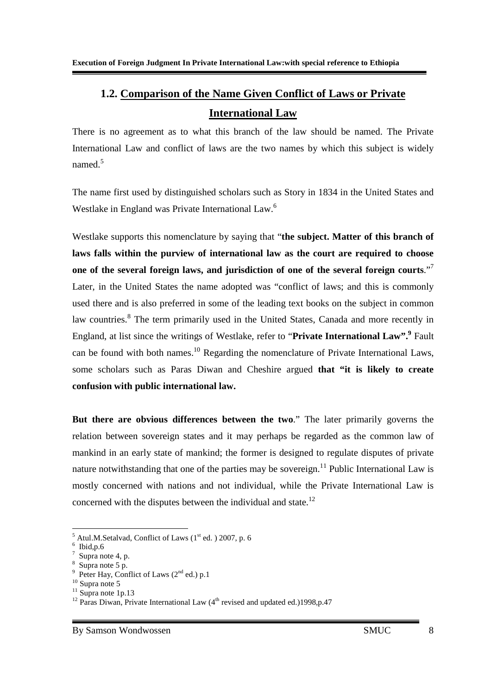# **1.2. Comparison of the Name Given Conflict of Laws or Private International Law**

There is no agreement as to what this branch of the law should be named. The Private International Law and conflict of laws are the two names by which this subject is widely named $<sup>5</sup>$ </sup>

The name first used by distinguished scholars such as Story in 1834 in the United States and Westlake in England was Private International Law.<sup>6</sup>

Westlake supports this nomenclature by saying that "**the subject. Matter of this branch of laws falls within the purview of international law as the court are required to choose one of the several foreign laws, and jurisdiction of one of the several foreign courts**."<sup>7</sup> Later, in the United States the name adopted was "conflict of laws; and this is commonly used there and is also preferred in some of the leading text books on the subject in common law countries.<sup>8</sup> The term primarily used in the United States, Canada and more recently in England, at list since the writings of Westlake, refer to "Private International Law".<sup>9</sup> Fault can be found with both names.<sup>10</sup> Regarding the nomenclature of Private International Laws, some scholars such as Paras Diwan and Cheshire argued **that "it is likely to create confusion with public international law.** 

**But there are obvious differences between the two**." The later primarily governs the relation between sovereign states and it may perhaps be regarded as the common law of mankind in an early state of mankind; the former is designed to regulate disputes of private nature notwithstanding that one of the parties may be sovereign.<sup>11</sup> Public International Law is mostly concerned with nations and not individual, while the Private International Law is concerned with the disputes between the individual and state.<sup>12</sup>

<sup>-</sup> $<sup>5</sup>$  Atul.M.Setalvad, Conflict of Laws (1<sup>st</sup> ed.) 2007, p. 6</sup>

 $6$  Ibid, p. 6

<sup>7</sup> Supra note 4, p.

<sup>8</sup> Supra note 5 p.

<sup>9</sup> Peter Hay, Conflict of Laws  $(2^{nd}$  ed.) p.1

 $10$  Supra note 5

 $11$  Supra note 1p.13

<sup>&</sup>lt;sup>12</sup> Paras Diwan, Private International Law  $(4<sup>th</sup>$  revised and updated ed.)1998,p.47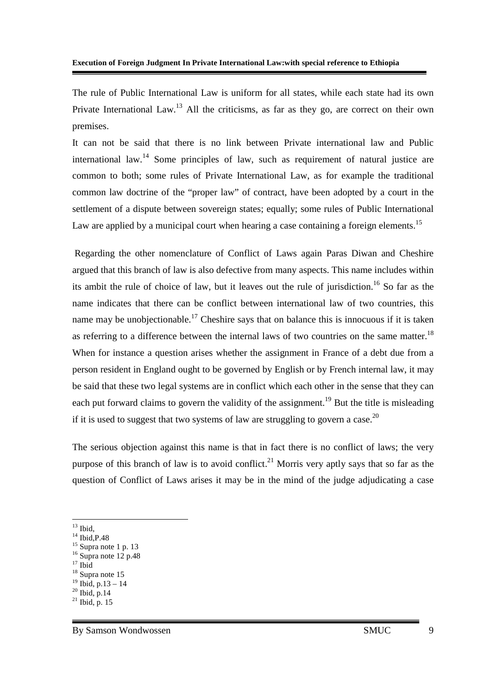The rule of Public International Law is uniform for all states, while each state had its own Private International Law.<sup>13</sup> All the criticisms, as far as they go, are correct on their own premises.

It can not be said that there is no link between Private international law and Public international law.<sup>14</sup> Some principles of law, such as requirement of natural justice are common to both; some rules of Private International Law, as for example the traditional common law doctrine of the "proper law" of contract, have been adopted by a court in the settlement of a dispute between sovereign states; equally; some rules of Public International Law are applied by a municipal court when hearing a case containing a foreign elements.<sup>15</sup>

 Regarding the other nomenclature of Conflict of Laws again Paras Diwan and Cheshire argued that this branch of law is also defective from many aspects. This name includes within its ambit the rule of choice of law, but it leaves out the rule of jurisdiction.<sup>16</sup> So far as the name indicates that there can be conflict between international law of two countries, this name may be unobjectionable.<sup>17</sup> Cheshire says that on balance this is innocuous if it is taken as referring to a difference between the internal laws of two countries on the same matter.<sup>18</sup> When for instance a question arises whether the assignment in France of a debt due from a person resident in England ought to be governed by English or by French internal law, it may be said that these two legal systems are in conflict which each other in the sense that they can each put forward claims to govern the validity of the assignment.<sup>19</sup> But the title is misleading if it is used to suggest that two systems of law are struggling to govern a case.<sup>20</sup>

The serious objection against this name is that in fact there is no conflict of laws; the very purpose of this branch of law is to avoid conflict.<sup>21</sup> Morris very aptly says that so far as the question of Conflict of Laws arises it may be in the mind of the judge adjudicating a case

-

 $17$  Ibid

 $13$  Ibid,

 $14$  Ibid, P.48

 $15$  Supra note 1 p. 13

 $16$  Supra note 12 p.48

<sup>&</sup>lt;sup>18</sup> Supra note 15

 $19$  Ibid, p.13 – 14

 $^{20}$  Ibid, p.14

 $^{21}$  Ibid, p. 15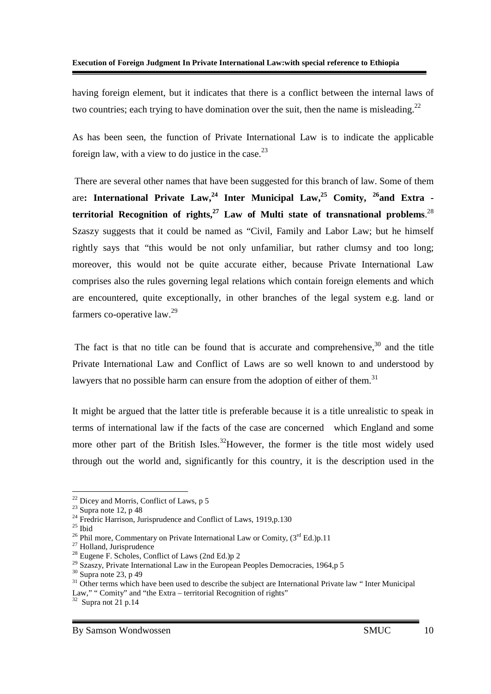having foreign element, but it indicates that there is a conflict between the internal laws of two countries; each trying to have domination over the suit, then the name is misleading.<sup>22</sup>

As has been seen, the function of Private International Law is to indicate the applicable foreign law, with a view to do justice in the case.  $2<sup>3</sup>$ 

 There are several other names that have been suggested for this branch of law. Some of them are**: International Private Law,<sup>24</sup> Inter Municipal Law,<sup>25</sup> Comity, <sup>26</sup>and Extra territorial Recognition of rights,<sup>27</sup> Law of Multi state of transnational problems**. 28 Szaszy suggests that it could be named as "Civil, Family and Labor Law; but he himself rightly says that "this would be not only unfamiliar, but rather clumsy and too long; moreover, this would not be quite accurate either, because Private International Law comprises also the rules governing legal relations which contain foreign elements and which are encountered, quite exceptionally, in other branches of the legal system e.g. land or farmers co-operative  $law.<sup>29</sup>$ 

The fact is that no title can be found that is accurate and comprehensive.<sup>30</sup> and the title Private International Law and Conflict of Laws are so well known to and understood by lawyers that no possible harm can ensure from the adoption of either of them.<sup>31</sup>

It might be argued that the latter title is preferable because it is a title unrealistic to speak in terms of international law if the facts of the case are concerned which England and some more other part of the British Isles.<sup>32</sup>However, the former is the title most widely used through out the world and, significantly for this country, it is the description used in the

-

 $22$  Dicey and Morris, Conflict of Laws, p 5

 $23$  Supra note 12, p 48

<sup>&</sup>lt;sup>24</sup> Fredric Harrison, Jurisprudence and Conflict of Laws, 1919,p.130

 $25$  Ibid

<sup>&</sup>lt;sup>26</sup> Phil more, Commentary on Private International Law or Comity,  $(3^{rd} Ed.)p.11$ 

<sup>&</sup>lt;sup>27</sup> Holland, Jurisprudence

<sup>&</sup>lt;sup>28</sup> Eugene F. Scholes, Conflict of Laws (2nd Ed.)p 2

 $29$  Szaszy, Private International Law in the European Peoples Democracies, 1964,p 5

 $30$  Supra note 23, p 49

<sup>&</sup>lt;sup>31</sup> Other terms which have been used to describe the subject are International Private law " Inter Municipal Law," " Comity" and "the Extra – territorial Recognition of rights"

 $32$  Supra not 21 p.14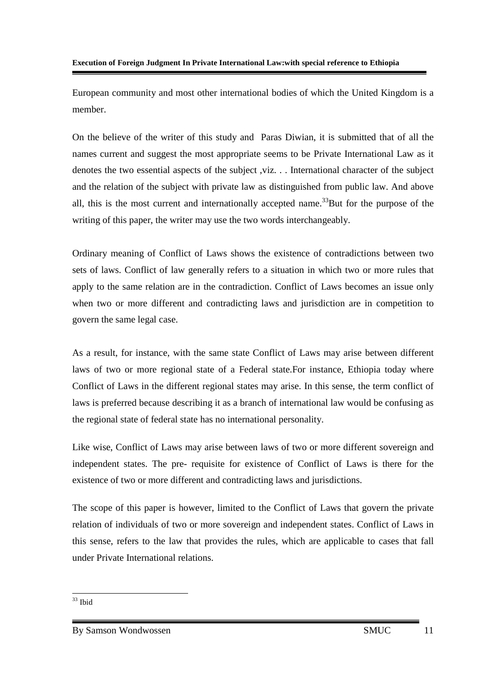European community and most other international bodies of which the United Kingdom is a member.

On the believe of the writer of this study and Paras Diwian, it is submitted that of all the names current and suggest the most appropriate seems to be Private International Law as it denotes the two essential aspects of the subject ,viz. . . International character of the subject and the relation of the subject with private law as distinguished from public law. And above all, this is the most current and internationally accepted name.<sup>33</sup>But for the purpose of the writing of this paper, the writer may use the two words interchangeably.

Ordinary meaning of Conflict of Laws shows the existence of contradictions between two sets of laws. Conflict of law generally refers to a situation in which two or more rules that apply to the same relation are in the contradiction. Conflict of Laws becomes an issue only when two or more different and contradicting laws and jurisdiction are in competition to govern the same legal case.

As a result, for instance, with the same state Conflict of Laws may arise between different laws of two or more regional state of a Federal state.For instance, Ethiopia today where Conflict of Laws in the different regional states may arise. In this sense, the term conflict of laws is preferred because describing it as a branch of international law would be confusing as the regional state of federal state has no international personality.

Like wise, Conflict of Laws may arise between laws of two or more different sovereign and independent states. The pre- requisite for existence of Conflict of Laws is there for the existence of two or more different and contradicting laws and jurisdictions.

The scope of this paper is however, limited to the Conflict of Laws that govern the private relation of individuals of two or more sovereign and independent states. Conflict of Laws in this sense, refers to the law that provides the rules, which are applicable to cases that fall under Private International relations.

-<sup>33</sup> Ibid

By Samson Wondwossen SMUC 11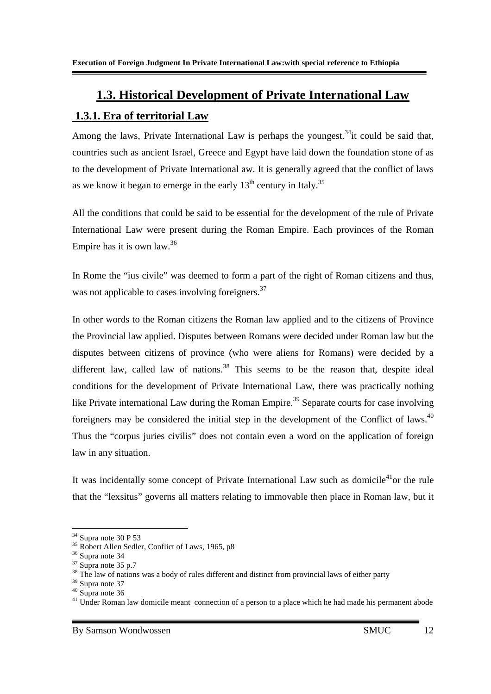# **1.3. Historical Development of Private International Law**

## **1.3.1. Era of territorial Law**

Among the laws, Private International Law is perhaps the youngest.<sup>34</sup>it could be said that, countries such as ancient Israel, Greece and Egypt have laid down the foundation stone of as to the development of Private International aw. It is generally agreed that the conflict of laws as we know it began to emerge in the early  $13<sup>th</sup>$  century in Italy.<sup>35</sup>

All the conditions that could be said to be essential for the development of the rule of Private International Law were present during the Roman Empire. Each provinces of the Roman Empire has it is own law.<sup>36</sup>

In Rome the "ius civile" was deemed to form a part of the right of Roman citizens and thus, was not applicable to cases involving foreigners.<sup>37</sup>

In other words to the Roman citizens the Roman law applied and to the citizens of Province the Provincial law applied. Disputes between Romans were decided under Roman law but the disputes between citizens of province (who were aliens for Romans) were decided by a different law, called law of nations.<sup>38</sup> This seems to be the reason that, despite ideal conditions for the development of Private International Law, there was practically nothing like Private international Law during the Roman Empire.<sup>39</sup> Separate courts for case involving foreigners may be considered the initial step in the development of the Conflict of laws.<sup>40</sup> Thus the "corpus juries civilis" does not contain even a word on the application of foreign law in any situation.

It was incidentally some concept of Private International Law such as domicile<sup>41</sup>or the rule that the "lexsitus" governs all matters relating to immovable then place in Roman law, but it

-

 $34$  Supra note 30 P 53

 $35$  Robert Allen Sedler, Conflict of Laws, 1965, p8

<sup>36</sup> Supra note 34

 $37 \text{ Surr}$  supra note 35 p.7

<sup>&</sup>lt;sup>38</sup> The law of nations was a body of rules different and distinct from provincial laws of either party

<sup>39</sup> Supra note 37

<sup>40</sup> Supra note 36

 $41$  Under Roman law domicile meant connection of a person to a place which he had made his permanent abode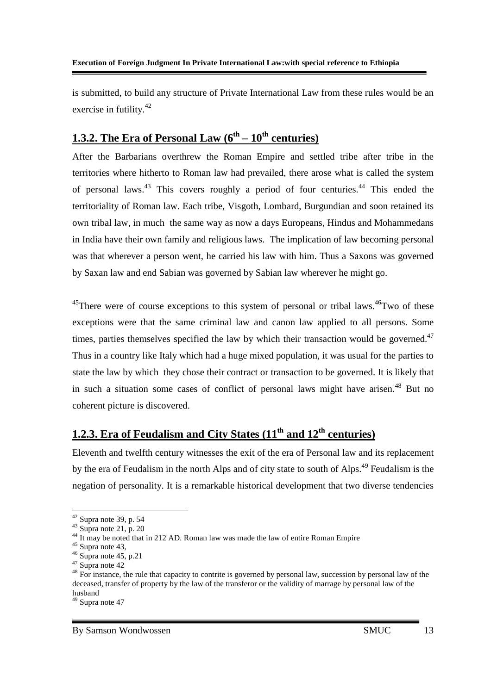is submitted, to build any structure of Private International Law from these rules would be an exercise in futility.<sup>42</sup>

## **1.3.2. The Era of Personal Law**  $(6^{th} – 10^{th}$  **centuries)**

After the Barbarians overthrew the Roman Empire and settled tribe after tribe in the territories where hitherto to Roman law had prevailed, there arose what is called the system of personal laws.<sup>43</sup> This covers roughly a period of four centuries.<sup>44</sup> This ended the territoriality of Roman law. Each tribe, Visgoth, Lombard, Burgundian and soon retained its own tribal law, in much the same way as now a days Europeans, Hindus and Mohammedans in India have their own family and religious laws. The implication of law becoming personal was that wherever a person went, he carried his law with him. Thus a Saxons was governed by Saxan law and end Sabian was governed by Sabian law wherever he might go.

 $45$ There were of course exceptions to this system of personal or tribal laws.  $46$ Two of these exceptions were that the same criminal law and canon law applied to all persons. Some times, parties themselves specified the law by which their transaction would be governed.<sup>47</sup> Thus in a country like Italy which had a huge mixed population, it was usual for the parties to state the law by which they chose their contract or transaction to be governed. It is likely that in such a situation some cases of conflict of personal laws might have arisen.<sup>48</sup> But no coherent picture is discovered.

# **1.2.3. Era of Feudalism and City States (11th and 12th centuries)**

Eleventh and twelfth century witnesses the exit of the era of Personal law and its replacement by the era of Feudalism in the north Alps and of city state to south of Alps.<sup>49</sup> Feudalism is the negation of personality. It is a remarkable historical development that two diverse tendencies

-

 $42$  Supra note 39, p. 54

 $43$  Supra note 21, p. 20

<sup>&</sup>lt;sup>44</sup> It may be noted that in 212 AD. Roman law was made the law of entire Roman Empire

 $45$  Supra note 43,

 $46$  Supra note 45, p.21

 $47 \overline{\text{S} \text{unra}}$  note 42

<sup>&</sup>lt;sup>48</sup> For instance, the rule that capacity to contrite is governed by personal law, succession by personal law of the deceased, transfer of property by the law of the transferor or the validity of marrage by personal law of the husband

 $49$  Supra note 47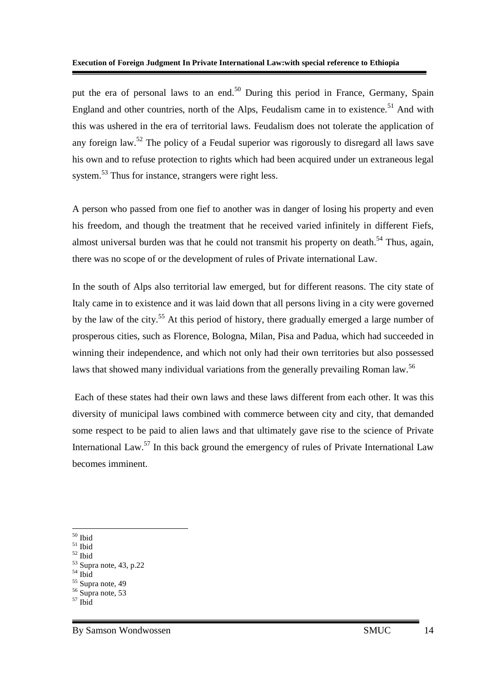put the era of personal laws to an end.<sup>50</sup> During this period in France, Germany, Spain England and other countries, north of the Alps, Feudalism came in to existence.<sup>51</sup> And with this was ushered in the era of territorial laws. Feudalism does not tolerate the application of any foreign law.<sup>52</sup> The policy of a Feudal superior was rigorously to disregard all laws save his own and to refuse protection to rights which had been acquired under un extraneous legal system.<sup>53</sup> Thus for instance, strangers were right less.

A person who passed from one fief to another was in danger of losing his property and even his freedom, and though the treatment that he received varied infinitely in different Fiefs, almost universal burden was that he could not transmit his property on death.<sup>54</sup> Thus, again, there was no scope of or the development of rules of Private international Law.

In the south of Alps also territorial law emerged, but for different reasons. The city state of Italy came in to existence and it was laid down that all persons living in a city were governed by the law of the city.<sup>55</sup> At this period of history, there gradually emerged a large number of prosperous cities, such as Florence, Bologna, Milan, Pisa and Padua, which had succeeded in winning their independence, and which not only had their own territories but also possessed laws that showed many individual variations from the generally prevailing Roman law.<sup>56</sup>

 Each of these states had their own laws and these laws different from each other. It was this diversity of municipal laws combined with commerce between city and city, that demanded some respect to be paid to alien laws and that ultimately gave rise to the science of Private International Law.<sup>57</sup> In this back ground the emergency of rules of Private International Law becomes imminent.

<sup>-</sup><sup>50</sup> Ibid

 $51$  Ibid

 $52$  Ibid

 $53$  Supra note, 43, p.22

 $54$  Ibid

<sup>&</sup>lt;sup>55</sup> Supra note, 49

<sup>56</sup> Supra note, 53

<sup>57</sup> Ibid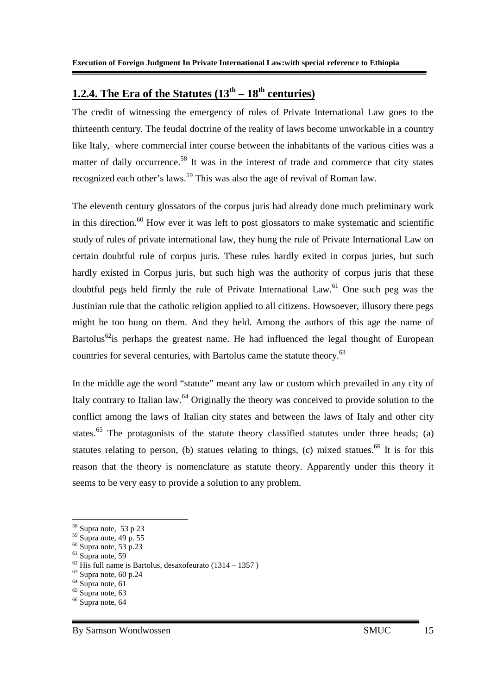## **1.2.4. The Era of the Statutes**  $(13<sup>th</sup> - 18<sup>th</sup>$  **centuries)**

The credit of witnessing the emergency of rules of Private International Law goes to the thirteenth century. The feudal doctrine of the reality of laws become unworkable in a country like Italy, where commercial inter course between the inhabitants of the various cities was a matter of daily occurrence.<sup>58</sup> It was in the interest of trade and commerce that city states recognized each other's laws.<sup>59</sup> This was also the age of revival of Roman law.

The eleventh century glossators of the corpus juris had already done much preliminary work in this direction. $60$  How ever it was left to post glossators to make systematic and scientific study of rules of private international law, they hung the rule of Private International Law on certain doubtful rule of corpus juris. These rules hardly exited in corpus juries, but such hardly existed in Corpus juris, but such high was the authority of corpus juris that these doubtful pegs held firmly the rule of Private International Law.<sup>61</sup> One such peg was the Justinian rule that the catholic religion applied to all citizens. Howsoever, illusory there pegs might be too hung on them. And they held. Among the authors of this age the name of Bartolus<sup>62</sup> is perhaps the greatest name. He had influenced the legal thought of European countries for several centuries, with Bartolus came the statute theory.<sup>63</sup>

In the middle age the word "statute" meant any law or custom which prevailed in any city of Italy contrary to Italian law.<sup>64</sup> Originally the theory was conceived to provide solution to the conflict among the laws of Italian city states and between the laws of Italy and other city states.<sup>65</sup> The protagonists of the statute theory classified statutes under three heads; (a) statutes relating to person, (b) statues relating to things, (c) mixed statues.<sup>66</sup> It is for this reason that the theory is nomenclature as statute theory. Apparently under this theory it seems to be very easy to provide a solution to any problem.

-

 $58$  Supra note, 53 p 23

<sup>59</sup> Supra note, 49 p. 55

 $60$  Supra note, 53 p.23  $61$  Supra note, 59

 $62$  His full name is Bartolus, desaxofeurato (1314 – 1357)

 $63$  Supra note, 60 p.24

 $64$  Supra note, 61

 $65$  Supra note, 63 <sup>66</sup> Supra note, 64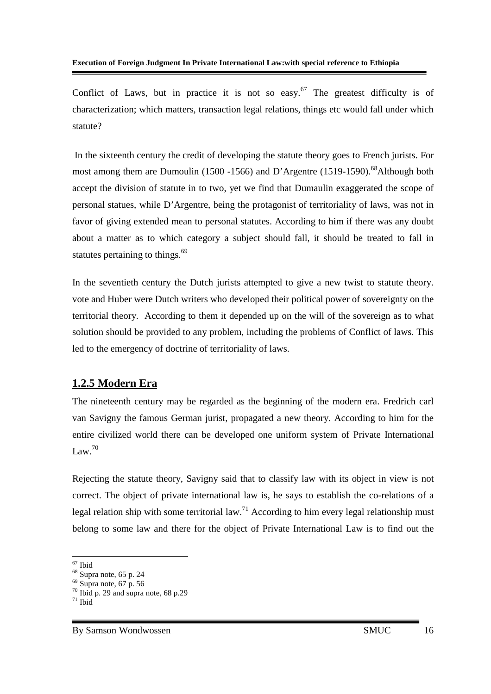Conflict of Laws, but in practice it is not so easy.<sup>67</sup> The greatest difficulty is of characterization; which matters, transaction legal relations, things etc would fall under which statute?

 In the sixteenth century the credit of developing the statute theory goes to French jurists. For most among them are Dumoulin (1500 -1566) and D'Argentre (1519-1590).<sup>68</sup>Although both accept the division of statute in to two, yet we find that Dumaulin exaggerated the scope of personal statues, while D'Argentre, being the protagonist of territoriality of laws, was not in favor of giving extended mean to personal statutes. According to him if there was any doubt about a matter as to which category a subject should fall, it should be treated to fall in statutes pertaining to things.<sup>69</sup>

In the seventieth century the Dutch jurists attempted to give a new twist to statute theory. vote and Huber were Dutch writers who developed their political power of sovereignty on the territorial theory. According to them it depended up on the will of the sovereign as to what solution should be provided to any problem, including the problems of Conflict of laws. This led to the emergency of doctrine of territoriality of laws.

## **1.2.5 Modern Era**

The nineteenth century may be regarded as the beginning of the modern era. Fredrich carl van Savigny the famous German jurist, propagated a new theory. According to him for the entire civilized world there can be developed one uniform system of Private International Law. $70$ 

Rejecting the statute theory, Savigny said that to classify law with its object in view is not correct. The object of private international law is, he says to establish the co-relations of a legal relation ship with some territorial law.<sup>71</sup> According to him every legal relationship must belong to some law and there for the object of Private International Law is to find out the

<sup>-</sup><sup>67</sup> Ibid

 $68$  Supra note, 65 p. 24

 $69$  Supra note, 67 p. 56

 $70$  Ibid p. 29 and supra note, 68 p.29

 $71$  Ibid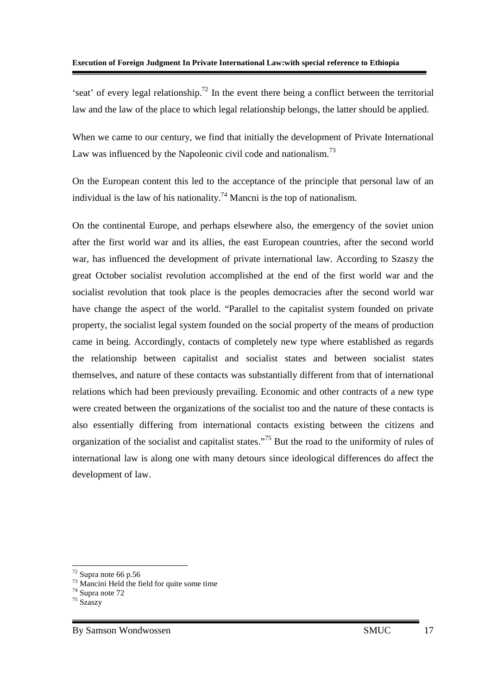'seat' of every legal relationship.<sup>72</sup> In the event there being a conflict between the territorial law and the law of the place to which legal relationship belongs, the latter should be applied.

When we came to our century, we find that initially the development of Private International Law was influenced by the Napoleonic civil code and nationalism.<sup>73</sup>

On the European content this led to the acceptance of the principle that personal law of an individual is the law of his nationality.<sup>74</sup> Mancni is the top of nationalism.

On the continental Europe, and perhaps elsewhere also, the emergency of the soviet union after the first world war and its allies, the east European countries, after the second world war, has influenced the development of private international law. According to Szaszy the great October socialist revolution accomplished at the end of the first world war and the socialist revolution that took place is the peoples democracies after the second world war have change the aspect of the world. "Parallel to the capitalist system founded on private property, the socialist legal system founded on the social property of the means of production came in being. Accordingly, contacts of completely new type where established as regards the relationship between capitalist and socialist states and between socialist states themselves, and nature of these contacts was substantially different from that of international relations which had been previously prevailing. Economic and other contracts of a new type were created between the organizations of the socialist too and the nature of these contacts is also essentially differing from international contacts existing between the citizens and organization of the socialist and capitalist states."<sup>75</sup> But the road to the uniformity of rules of international law is along one with many detours since ideological differences do affect the development of law.

-

 $72$  Supra note 66 p.56

<sup>&</sup>lt;sup>73</sup> Mancini Held the field for quite some time

<sup>&</sup>lt;sup>74</sup> Supra note 72

<sup>75</sup> Szaszy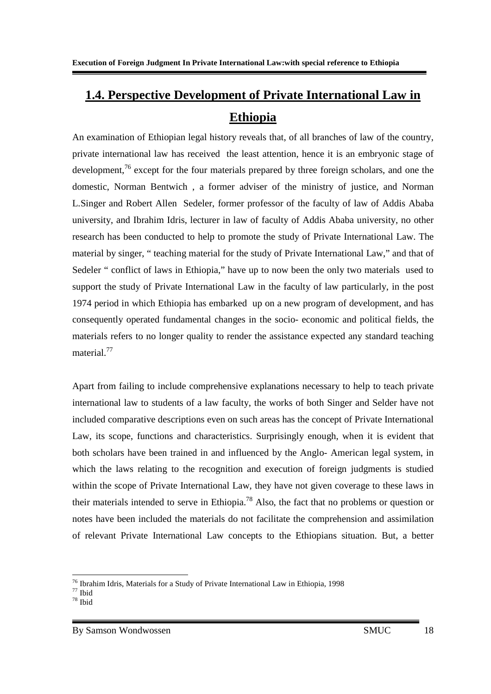# **1.4. Perspective Development of Private International Law in Ethiopia**

An examination of Ethiopian legal history reveals that, of all branches of law of the country, private international law has received the least attention, hence it is an embryonic stage of development,<sup>76</sup> except for the four materials prepared by three foreign scholars, and one the domestic, Norman Bentwich , a former adviser of the ministry of justice, and Norman L.Singer and Robert Allen Sedeler, former professor of the faculty of law of Addis Ababa university, and Ibrahim Idris, lecturer in law of faculty of Addis Ababa university, no other research has been conducted to help to promote the study of Private International Law. The material by singer, " teaching material for the study of Private International Law," and that of Sedeler " conflict of laws in Ethiopia," have up to now been the only two materials used to support the study of Private International Law in the faculty of law particularly, in the post 1974 period in which Ethiopia has embarked up on a new program of development, and has consequently operated fundamental changes in the socio- economic and political fields, the materials refers to no longer quality to render the assistance expected any standard teaching material.<sup>77</sup>

Apart from failing to include comprehensive explanations necessary to help to teach private international law to students of a law faculty, the works of both Singer and Selder have not included comparative descriptions even on such areas has the concept of Private International Law, its scope, functions and characteristics. Surprisingly enough, when it is evident that both scholars have been trained in and influenced by the Anglo- American legal system, in which the laws relating to the recognition and execution of foreign judgments is studied within the scope of Private International Law, they have not given coverage to these laws in their materials intended to serve in Ethiopia.<sup>78</sup> Also, the fact that no problems or question or notes have been included the materials do not facilitate the comprehension and assimilation of relevant Private International Law concepts to the Ethiopians situation. But, a better

<sup>-</sup><sup>76</sup> Ibrahim Idris, Materials for a Study of Private International Law in Ethiopia, 1998

 $77$  Ibid

<sup>78</sup> Ibid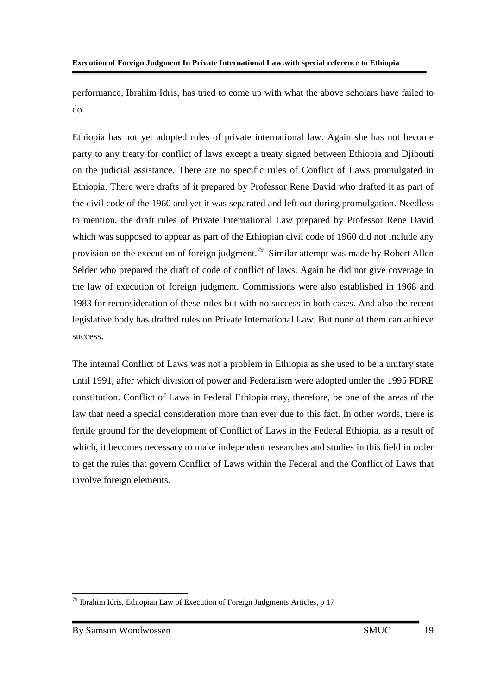performance, Ibrahim Idris, has tried to come up with what the above scholars have failed to do.

Ethiopia has not yet adopted rules of private international law. Again she has not become party to any treaty for conflict of laws except a treaty signed between Ethiopia and Djibouti on the judicial assistance. There are no specific rules of Conflict of Laws promulgated in Ethiopia. There were drafts of it prepared by Professor Rene David who drafted it as part of the civil code of the 1960 and yet it was separated and left out during promulgation. Needless to mention, the draft rules of Private International Law prepared by Professor Rene David which was supposed to appear as part of the Ethiopian civil code of 1960 did not include any provision on the execution of foreign judgment.<sup>79</sup> Similar attempt was made by Robert Allen Selder who prepared the draft of code of conflict of laws. Again he did not give coverage to the law of execution of foreign judgment. Commissions were also established in 1968 and 1983 for reconsideration of these rules but with no success in both cases. And also the recent legislative body has drafted rules on Private International Law. But none of them can achieve success.

The internal Conflict of Laws was not a problem in Ethiopia as she used to be a unitary state until 1991, after which division of power and Federalism were adopted under the 1995 FDRE constitution. Conflict of Laws in Federal Ethiopia may, therefore, be one of the areas of the law that need a special consideration more than ever due to this fact. In other words, there is fertile ground for the development of Conflict of Laws in the Federal Ethiopia, as a result of which, it becomes necessary to make independent researches and studies in this field in order to get the rules that govern Conflict of Laws within the Federal and the Conflict of Laws that involve foreign elements.

<sup>-</sup> $79$  Ibrahim Idris, Ethiopian Law of Execution of Foreign Judgments Articles, p 17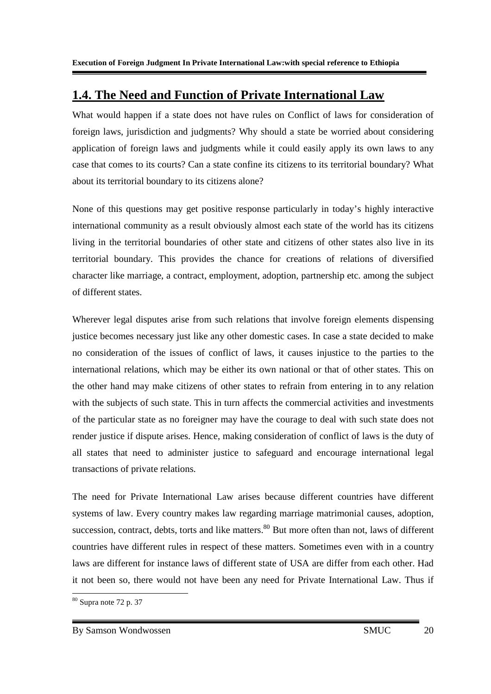# **1.4. The Need and Function of Private International Law**

What would happen if a state does not have rules on Conflict of laws for consideration of foreign laws, jurisdiction and judgments? Why should a state be worried about considering application of foreign laws and judgments while it could easily apply its own laws to any case that comes to its courts? Can a state confine its citizens to its territorial boundary? What about its territorial boundary to its citizens alone?

None of this questions may get positive response particularly in today's highly interactive international community as a result obviously almost each state of the world has its citizens living in the territorial boundaries of other state and citizens of other states also live in its territorial boundary. This provides the chance for creations of relations of diversified character like marriage, a contract, employment, adoption, partnership etc. among the subject of different states.

Wherever legal disputes arise from such relations that involve foreign elements dispensing justice becomes necessary just like any other domestic cases. In case a state decided to make no consideration of the issues of conflict of laws, it causes injustice to the parties to the international relations, which may be either its own national or that of other states. This on the other hand may make citizens of other states to refrain from entering in to any relation with the subjects of such state. This in turn affects the commercial activities and investments of the particular state as no foreigner may have the courage to deal with such state does not render justice if dispute arises. Hence, making consideration of conflict of laws is the duty of all states that need to administer justice to safeguard and encourage international legal transactions of private relations.

The need for Private International Law arises because different countries have different systems of law. Every country makes law regarding marriage matrimonial causes, adoption, succession, contract, debts, torts and like matters.<sup>80</sup> But more often than not, laws of different countries have different rules in respect of these matters. Sometimes even with in a country laws are different for instance laws of different state of USA are differ from each other. Had it not been so, there would not have been any need for Private International Law. Thus if

<sup>-</sup> $80$  Supra note 72 p. 37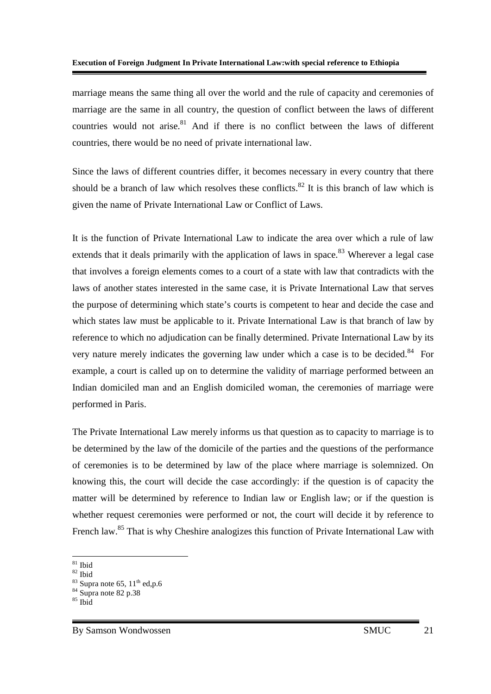marriage means the same thing all over the world and the rule of capacity and ceremonies of marriage are the same in all country, the question of conflict between the laws of different countries would not arise.<sup>81</sup> And if there is no conflict between the laws of different countries, there would be no need of private international law.

Since the laws of different countries differ, it becomes necessary in every country that there should be a branch of law which resolves these conflicts.<sup>82</sup> It is this branch of law which is given the name of Private International Law or Conflict of Laws.

It is the function of Private International Law to indicate the area over which a rule of law extends that it deals primarily with the application of laws in space.<sup>83</sup> Wherever a legal case that involves a foreign elements comes to a court of a state with law that contradicts with the laws of another states interested in the same case, it is Private International Law that serves the purpose of determining which state's courts is competent to hear and decide the case and which states law must be applicable to it. Private International Law is that branch of law by reference to which no adjudication can be finally determined. Private International Law by its very nature merely indicates the governing law under which a case is to be decided.<sup>84</sup> For example, a court is called up on to determine the validity of marriage performed between an Indian domiciled man and an English domiciled woman, the ceremonies of marriage were performed in Paris.

The Private International Law merely informs us that question as to capacity to marriage is to be determined by the law of the domicile of the parties and the questions of the performance of ceremonies is to be determined by law of the place where marriage is solemnized. On knowing this, the court will decide the case accordingly: if the question is of capacity the matter will be determined by reference to Indian law or English law; or if the question is whether request ceremonies were performed or not, the court will decide it by reference to French law.<sup>85</sup> That is why Cheshire analogizes this function of Private International Law with

<sup>-</sup><sup>81</sup> Ibid

 $82$  Ibid

 $83$  Supra note 65,  $11<sup>th</sup>$  ed,p.6

<sup>&</sup>lt;sup>84</sup> Supra note 82 p.38

 $85$  Ibid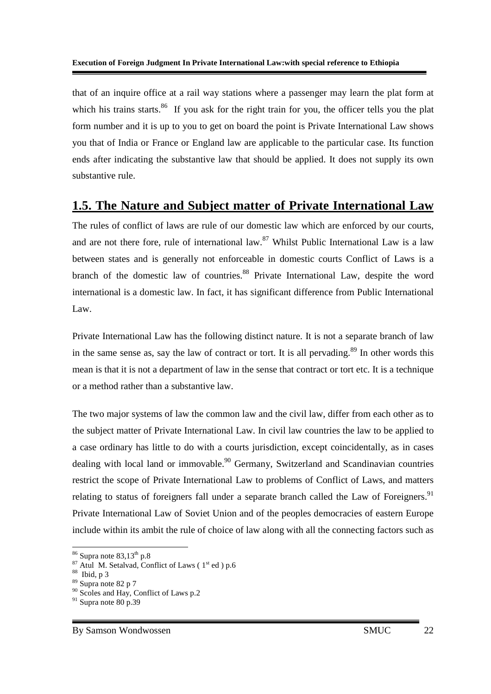that of an inquire office at a rail way stations where a passenger may learn the plat form at which his trains starts.<sup>86</sup> If you ask for the right train for you, the officer tells you the plat form number and it is up to you to get on board the point is Private International Law shows you that of India or France or England law are applicable to the particular case. Its function ends after indicating the substantive law that should be applied. It does not supply its own substantive rule.

## **1.5. The Nature and Subject matter of Private International Law**

The rules of conflict of laws are rule of our domestic law which are enforced by our courts, and are not there fore, rule of international law.<sup>87</sup> Whilst Public International Law is a law between states and is generally not enforceable in domestic courts Conflict of Laws is a branch of the domestic law of countries.<sup>88</sup> Private International Law, despite the word international is a domestic law. In fact, it has significant difference from Public International Law.

Private International Law has the following distinct nature. It is not a separate branch of law in the same sense as, say the law of contract or tort. It is all pervading.<sup>89</sup> In other words this mean is that it is not a department of law in the sense that contract or tort etc. It is a technique or a method rather than a substantive law.

The two major systems of law the common law and the civil law, differ from each other as to the subject matter of Private International Law. In civil law countries the law to be applied to a case ordinary has little to do with a courts jurisdiction, except coincidentally, as in cases dealing with local land or immovable.<sup>90</sup> Germany, Switzerland and Scandinavian countries restrict the scope of Private International Law to problems of Conflict of Laws, and matters relating to status of foreigners fall under a separate branch called the Law of Foreigners.<sup>91</sup> Private International Law of Soviet Union and of the peoples democracies of eastern Europe include within its ambit the rule of choice of law along with all the connecting factors such as

<sup>-</sup> $86$  Supra note  $83,13^{\text{th}}$  p.8

 $87$  Atul M. Setalvad, Conflict of Laws ( $1<sup>st</sup>$  ed) p.6

 $88$  Ibid, p 3

 $89$  Supra note 82 p 7

<sup>&</sup>lt;sup>90</sup> Scoles and Hay, Conflict of Laws p.2

 $91$  Supra note 80 p.39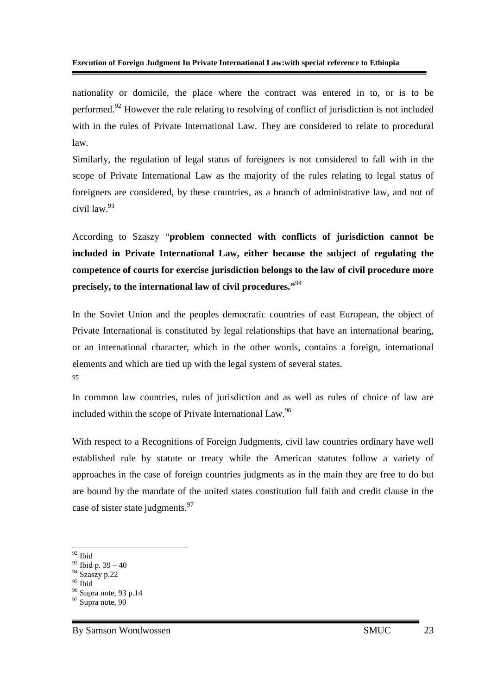#### **Execution of Foreign Judgment In Private International Law:with special reference to Ethiopia**

nationality or domicile, the place where the contract was entered in to, or is to be performed.<sup>92</sup> However the rule relating to resolving of conflict of jurisdiction is not included with in the rules of Private International Law. They are considered to relate to procedural law.

Similarly, the regulation of legal status of foreigners is not considered to fall with in the scope of Private International Law as the majority of the rules relating to legal status of foreigners are considered, by these countries, as a branch of administrative law, and not of civil law.<sup>93</sup>

According to Szaszy "**problem connected with conflicts of jurisdiction cannot be included in Private International Law, either because the subject of regulating the competence of courts for exercise jurisdiction belongs to the law of civil procedure more precisely, to the international law of civil procedures."**<sup>94</sup>

In the Soviet Union and the peoples democratic countries of east European, the object of Private International is constituted by legal relationships that have an international bearing, or an international character, which in the other words, contains a foreign, international elements and which are tied up with the legal system of several states. 95

In common law countries, rules of jurisdiction and as well as rules of choice of law are included within the scope of Private International Law.<sup>96</sup>

With respect to a Recognitions of Foreign Judgments, civil law countries ordinary have well established rule by statute or treaty while the American statutes follow a variety of approaches in the case of foreign countries judgments as in the main they are free to do but are bound by the mandate of the united states constitution full faith and credit clause in the case of sister state judgments.<sup>97</sup>

<sup>-</sup><sup>92</sup> Ibid

 $93$  Ibid p. 39 – 40

<sup>94</sup> Szaszy p.22

 $95$  Ibid

<sup>&</sup>lt;sup>96</sup> Supra note, 93 p.14

 $97$  Supra note, 90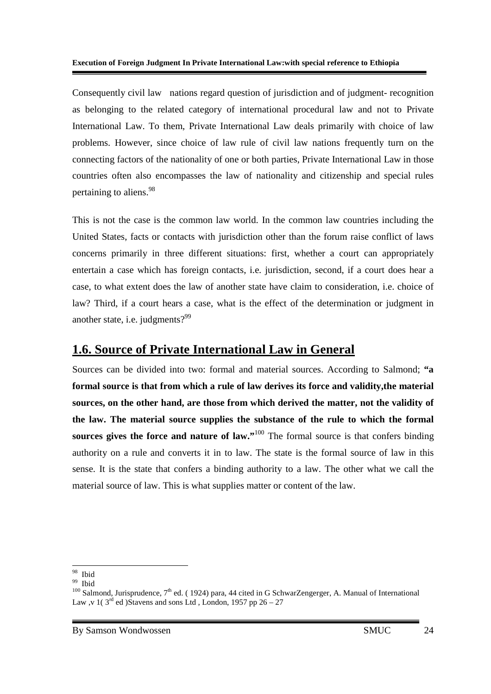Consequently civil law nations regard question of jurisdiction and of judgment- recognition as belonging to the related category of international procedural law and not to Private International Law. To them, Private International Law deals primarily with choice of law problems. However, since choice of law rule of civil law nations frequently turn on the connecting factors of the nationality of one or both parties, Private International Law in those countries often also encompasses the law of nationality and citizenship and special rules pertaining to aliens.<sup>98</sup>

This is not the case is the common law world. In the common law countries including the United States, facts or contacts with jurisdiction other than the forum raise conflict of laws concerns primarily in three different situations: first, whether a court can appropriately entertain a case which has foreign contacts, i.e. jurisdiction, second, if a court does hear a case, to what extent does the law of another state have claim to consideration, i.e. choice of law? Third, if a court hears a case, what is the effect of the determination or judgment in another state, i.e. judgments?<sup>99</sup>

### **1.6. Source of Private International Law in General**

Sources can be divided into two: formal and material sources. According to Salmond; **"a formal source is that from which a rule of law derives its force and validity,the material sources, on the other hand, are those from which derived the matter, not the validity of the law. The material source supplies the substance of the rule to which the formal sources gives the force and nature of law."**<sup>100</sup> The formal source is that confers binding authority on a rule and converts it in to law. The state is the formal source of law in this sense. It is the state that confers a binding authority to a law. The other what we call the material source of law. This is what supplies matter or content of the law.

-

<sup>98</sup> Ibid

 $99$  Ibid

 $100$  Salmond, Jurisprudence,  $7<sup>th</sup>$  ed. (1924) para, 44 cited in G SchwarZengerger, A. Manual of International Law ,v 1( $3^{rd}$  ed)Stavens and sons Ltd , London, 1957 pp 26 – 27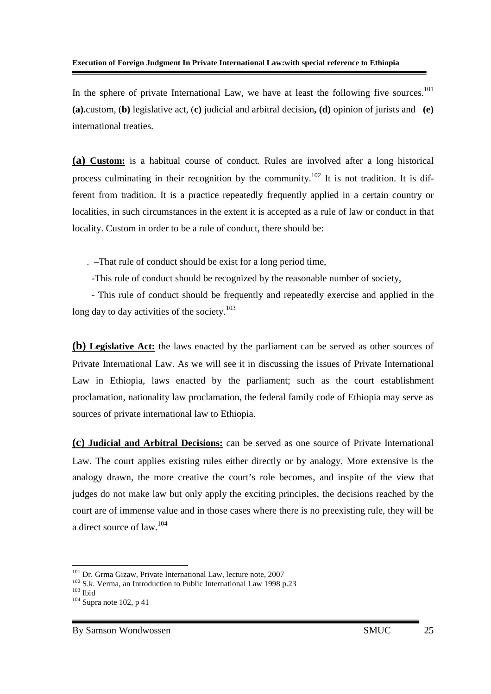In the sphere of private International Law, we have at least the following five sources.<sup>101</sup> **(a).**custom, (**b)** legislative act, (**c)** judicial and arbitral decision**, (d)** opinion of jurists and **(e)** international treaties.

**(a) Custom:** is a habitual course of conduct. Rules are involved after a long historical process culminating in their recognition by the community.<sup>102</sup> It is not tradition. It is different from tradition. It is a practice repeatedly frequently applied in a certain country or localities, in such circumstances in the extent it is accepted as a rule of law or conduct in that locality. Custom in order to be a rule of conduct, there should be:

. –That rule of conduct should be exist for a long period time,

-This rule of conduct should be recognized by the reasonable number of society,

 - This rule of conduct should be frequently and repeatedly exercise and applied in the long day to day activities of the society. $103$ 

**(b) Legislative Act:** the laws enacted by the parliament can be served as other sources of Private International Law. As we will see it in discussing the issues of Private International Law in Ethiopia, laws enacted by the parliament; such as the court establishment proclamation, nationality law proclamation, the federal family code of Ethiopia may serve as sources of private international law to Ethiopia.

**(c) Judicial and Arbitral Decisions:** can be served as one source of Private International Law. The court applies existing rules either directly or by analogy. More extensive is the analogy drawn, the more creative the court's role becomes, and inspite of the view that judges do not make law but only apply the exciting principles, the decisions reached by the court are of immense value and in those cases where there is no preexisting rule, they will be a direct source of law.<sup>104</sup>

-

<sup>&</sup>lt;sup>101</sup> Dr. Grma Gizaw, Private International Law, lecture note, 2007

<sup>&</sup>lt;sup>102</sup> S.k. Verma, an Introduction to Public International Law 1998 p.23

 $103$  Ibid

 $104$  Supra note 102, p 41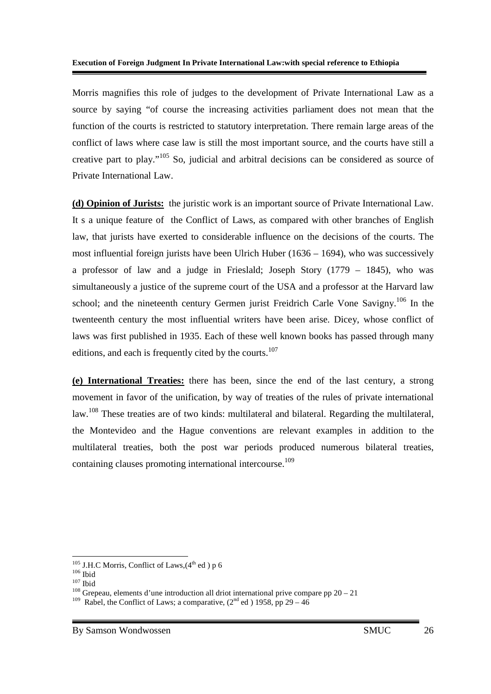Morris magnifies this role of judges to the development of Private International Law as a source by saying "of course the increasing activities parliament does not mean that the function of the courts is restricted to statutory interpretation. There remain large areas of the conflict of laws where case law is still the most important source, and the courts have still a creative part to play."<sup>105</sup> So, judicial and arbitral decisions can be considered as source of Private International Law.

**(d) Opinion of Jurists:** the juristic work is an important source of Private International Law. It s a unique feature of the Conflict of Laws, as compared with other branches of English law, that jurists have exerted to considerable influence on the decisions of the courts. The most influential foreign jurists have been Ulrich Huber (1636 – 1694), who was successively a professor of law and a judge in Frieslald; Joseph Story (1779 – 1845), who was simultaneously a justice of the supreme court of the USA and a professor at the Harvard law school; and the nineteenth century Germen jurist Freidrich Carle Vone Savigny.<sup>106</sup> In the twenteenth century the most influential writers have been arise. Dicey, whose conflict of laws was first published in 1935. Each of these well known books has passed through many editions, and each is frequently cited by the courts.<sup>107</sup>

**(e) International Treaties:** there has been, since the end of the last century, a strong movement in favor of the unification, by way of treaties of the rules of private international law.<sup>108</sup> These treaties are of two kinds: multilateral and bilateral. Regarding the multilateral, the Montevideo and the Hague conventions are relevant examples in addition to the multilateral treaties, both the post war periods produced numerous bilateral treaties, containing clauses promoting international intercourse.<sup>109</sup>

-

 $108$  Grepeau, elements d'une introduction all driot international prive compare pp 20 – 21

 $105$  J.H.C Morris, Conflict of Laws,  $(4<sup>th</sup>$  ed) p 6

 $106$  Ibid

 $107$  Ibid

<sup>&</sup>lt;sup>109</sup> Rabel, the Conflict of Laws; a comparative,  $(2^{nd}$  ed ) 1958, pp 29 – 46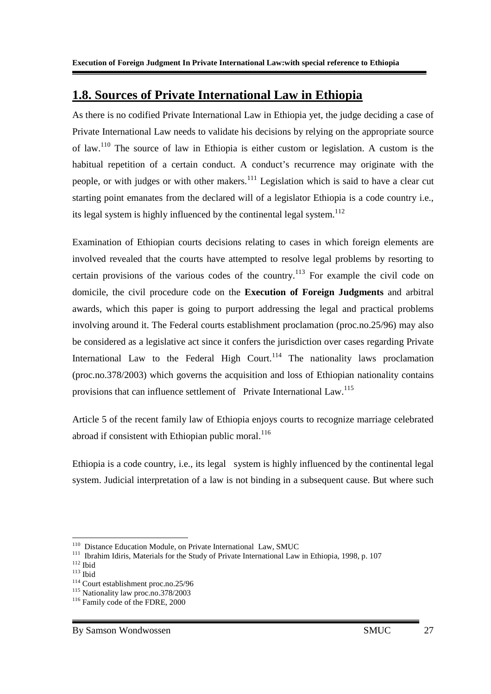### **1.8. Sources of Private International Law in Ethiopia**

As there is no codified Private International Law in Ethiopia yet, the judge deciding a case of Private International Law needs to validate his decisions by relying on the appropriate source of law.<sup>110</sup> The source of law in Ethiopia is either custom or legislation. A custom is the habitual repetition of a certain conduct. A conduct's recurrence may originate with the people, or with judges or with other makers.<sup>111</sup> Legislation which is said to have a clear cut starting point emanates from the declared will of a legislator Ethiopia is a code country i.e., its legal system is highly influenced by the continental legal system. $^{112}$ 

Examination of Ethiopian courts decisions relating to cases in which foreign elements are involved revealed that the courts have attempted to resolve legal problems by resorting to certain provisions of the various codes of the country.<sup>113</sup> For example the civil code on domicile, the civil procedure code on the **Execution of Foreign Judgments** and arbitral awards, which this paper is going to purport addressing the legal and practical problems involving around it. The Federal courts establishment proclamation (proc.no.25/96) may also be considered as a legislative act since it confers the jurisdiction over cases regarding Private International Law to the Federal High Court.<sup>114</sup> The nationality laws proclamation (proc.no.378/2003) which governs the acquisition and loss of Ethiopian nationality contains provisions that can influence settlement of Private International Law.<sup>115</sup>

Article 5 of the recent family law of Ethiopia enjoys courts to recognize marriage celebrated abroad if consistent with Ethiopian public moral.<sup>116</sup>

Ethiopia is a code country, i.e., its legal system is highly influenced by the continental legal system. Judicial interpretation of a law is not binding in a subsequent cause. But where such

-

<sup>&</sup>lt;sup>110</sup> Distance Education Module, on Private International Law, SMUC

<sup>&</sup>lt;sup>111</sup> Ibrahim Idiris, Materials for the Study of Private International Law in Ethiopia, 1998, p. 107

 $112$  Ibid

 $113$  Ibid

<sup>114</sup> Court establishment proc.no.25/96

<sup>115</sup> Nationality law proc.no.378/2003

<sup>&</sup>lt;sup>116</sup> Family code of the FDRE, 2000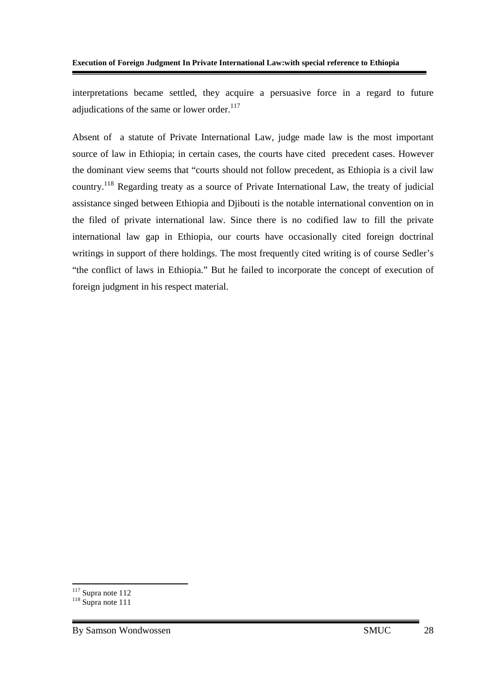interpretations became settled, they acquire a persuasive force in a regard to future adjudications of the same or lower order. $117$ 

Absent of a statute of Private International Law, judge made law is the most important source of law in Ethiopia; in certain cases, the courts have cited precedent cases. However the dominant view seems that "courts should not follow precedent, as Ethiopia is a civil law country.<sup>118</sup> Regarding treaty as a source of Private International Law, the treaty of judicial assistance singed between Ethiopia and Djibouti is the notable international convention on in the filed of private international law. Since there is no codified law to fill the private international law gap in Ethiopia, our courts have occasionally cited foreign doctrinal writings in support of there holdings. The most frequently cited writing is of course Sedler's "the conflict of laws in Ethiopia." But he failed to incorporate the concept of execution of foreign judgment in his respect material.

<u>.</u>

 $117$  Supra note 112

 $118$  Supra note 111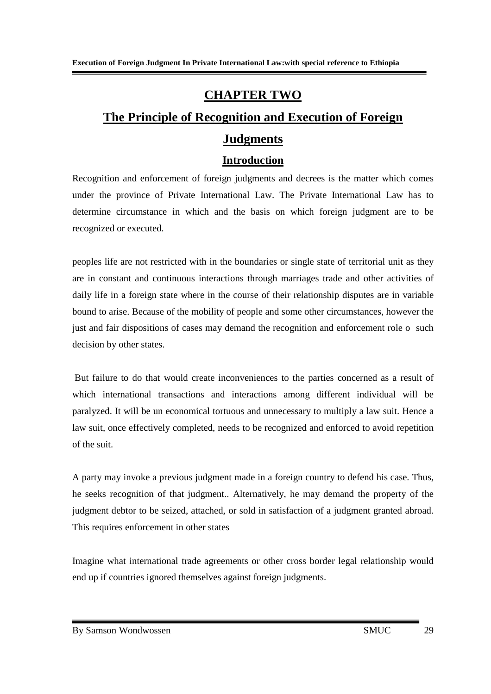### **CHAPTER TWO**

## **The Principle of Recognition and Execution of Foreign Judgments**

#### **Introduction**

Recognition and enforcement of foreign judgments and decrees is the matter which comes under the province of Private International Law. The Private International Law has to determine circumstance in which and the basis on which foreign judgment are to be recognized or executed.

peoples life are not restricted with in the boundaries or single state of territorial unit as they are in constant and continuous interactions through marriages trade and other activities of daily life in a foreign state where in the course of their relationship disputes are in variable bound to arise. Because of the mobility of people and some other circumstances, however the just and fair dispositions of cases may demand the recognition and enforcement role o such decision by other states.

 But failure to do that would create inconveniences to the parties concerned as a result of which international transactions and interactions among different individual will be paralyzed. It will be un economical tortuous and unnecessary to multiply a law suit. Hence a law suit, once effectively completed, needs to be recognized and enforced to avoid repetition of the suit.

A party may invoke a previous judgment made in a foreign country to defend his case. Thus, he seeks recognition of that judgment.. Alternatively, he may demand the property of the judgment debtor to be seized, attached, or sold in satisfaction of a judgment granted abroad. This requires enforcement in other states

Imagine what international trade agreements or other cross border legal relationship would end up if countries ignored themselves against foreign judgments.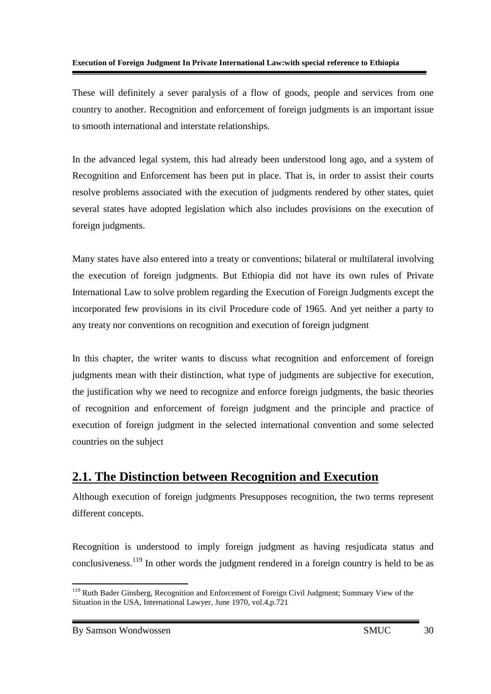These will definitely a sever paralysis of a flow of goods, people and services from one country to another. Recognition and enforcement of foreign judgments is an important issue to smooth international and interstate relationships.

In the advanced legal system, this had already been understood long ago, and a system of Recognition and Enforcement has been put in place. That is, in order to assist their courts resolve problems associated with the execution of judgments rendered by other states, quiet several states have adopted legislation which also includes provisions on the execution of foreign judgments.

Many states have also entered into a treaty or conventions; bilateral or multilateral involving the execution of foreign judgments. But Ethiopia did not have its own rules of Private International Law to solve problem regarding the Execution of Foreign Judgments except the incorporated few provisions in its civil Procedure code of 1965. And yet neither a party to any treaty nor conventions on recognition and execution of foreign judgment

In this chapter, the writer wants to discuss what recognition and enforcement of foreign judgments mean with their distinction, what type of judgments are subjective for execution, the justification why we need to recognize and enforce foreign judgments, the basic theories of recognition and enforcement of foreign judgment and the principle and practice of execution of foreign judgment in the selected international convention and some selected countries on the subject

## **2.1. The Distinction between Recognition and Execution**

Although execution of foreign judgments Presupposes recognition, the two terms represent different concepts.

Recognition is understood to imply foreign judgment as having resjudicata status and conclusiveness.<sup>119</sup> In other words the judgment rendered in a foreign country is held to be as

By Samson Wondwossen SMUC 30

<sup>&</sup>lt;u>.</u> <sup>119</sup> Ruth Bader Ginsberg, Recognition and Enforcement of Foreign Civil Judgment; Summary View of the Situation in the USA, International Lawyer, June 1970, vol.4,p.721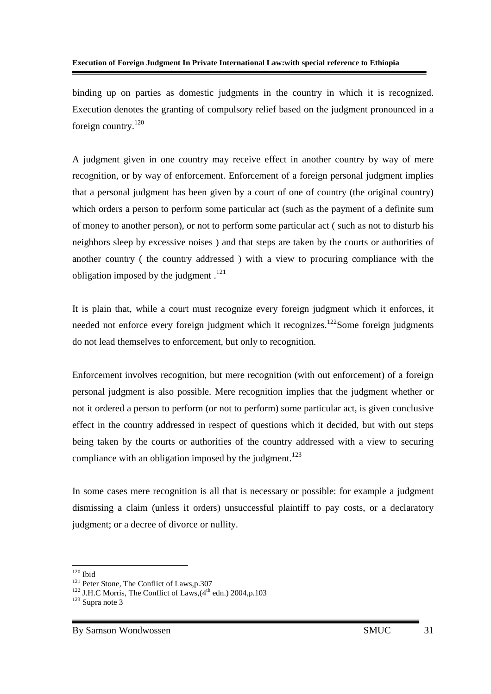binding up on parties as domestic judgments in the country in which it is recognized. Execution denotes the granting of compulsory relief based on the judgment pronounced in a foreign country.<sup>120</sup>

A judgment given in one country may receive effect in another country by way of mere recognition, or by way of enforcement. Enforcement of a foreign personal judgment implies that a personal judgment has been given by a court of one of country (the original country) which orders a person to perform some particular act (such as the payment of a definite sum of money to another person), or not to perform some particular act ( such as not to disturb his neighbors sleep by excessive noises ) and that steps are taken by the courts or authorities of another country ( the country addressed ) with a view to procuring compliance with the obligation imposed by the judgment  $.121$ 

It is plain that, while a court must recognize every foreign judgment which it enforces, it needed not enforce every foreign judgment which it recognizes.<sup>122</sup>Some foreign judgments do not lead themselves to enforcement, but only to recognition.

Enforcement involves recognition, but mere recognition (with out enforcement) of a foreign personal judgment is also possible. Mere recognition implies that the judgment whether or not it ordered a person to perform (or not to perform) some particular act, is given conclusive effect in the country addressed in respect of questions which it decided, but with out steps being taken by the courts or authorities of the country addressed with a view to securing compliance with an obligation imposed by the judgment.<sup>123</sup>

In some cases mere recognition is all that is necessary or possible: for example a judgment dismissing a claim (unless it orders) unsuccessful plaintiff to pay costs, or a declaratory judgment; or a decree of divorce or nullity.

<sup>-</sup> $120$  Ibid

<sup>&</sup>lt;sup>121</sup> Peter Stone, The Conflict of Laws,p.307

 $122$  J.H.C Morris, The Conflict of Laws,  $(4<sup>th</sup>$  edn.) 2004, p.103

 $123$  Supra note 3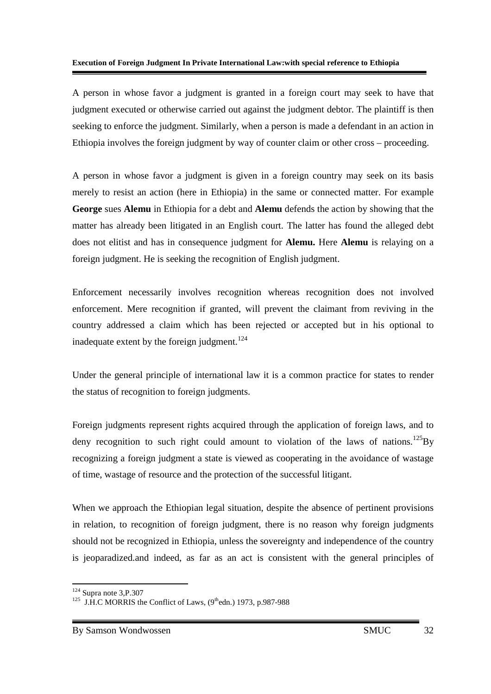A person in whose favor a judgment is granted in a foreign court may seek to have that judgment executed or otherwise carried out against the judgment debtor. The plaintiff is then seeking to enforce the judgment. Similarly, when a person is made a defendant in an action in Ethiopia involves the foreign judgment by way of counter claim or other cross – proceeding.

A person in whose favor a judgment is given in a foreign country may seek on its basis merely to resist an action (here in Ethiopia) in the same or connected matter. For example **George** sues **Alemu** in Ethiopia for a debt and **Alemu** defends the action by showing that the matter has already been litigated in an English court. The latter has found the alleged debt does not elitist and has in consequence judgment for **Alemu.** Here **Alemu** is relaying on a foreign judgment. He is seeking the recognition of English judgment.

Enforcement necessarily involves recognition whereas recognition does not involved enforcement. Mere recognition if granted, will prevent the claimant from reviving in the country addressed a claim which has been rejected or accepted but in his optional to inadequate extent by the foreign judgment.<sup>124</sup>

Under the general principle of international law it is a common practice for states to render the status of recognition to foreign judgments.

Foreign judgments represent rights acquired through the application of foreign laws, and to deny recognition to such right could amount to violation of the laws of nations.<sup>125</sup>By recognizing a foreign judgment a state is viewed as cooperating in the avoidance of wastage of time, wastage of resource and the protection of the successful litigant.

When we approach the Ethiopian legal situation, despite the absence of pertinent provisions in relation, to recognition of foreign judgment, there is no reason why foreign judgments should not be recognized in Ethiopia, unless the sovereignty and independence of the country is jeoparadized.and indeed, as far as an act is consistent with the general principles of

<sup>&</sup>lt;u>.</u>  $124$  Supra note 3, P.307

<sup>&</sup>lt;sup>125</sup> J.H.C MORRIS the Conflict of Laws,  $(9^{\text{th}}$ edn.) 1973, p.987-988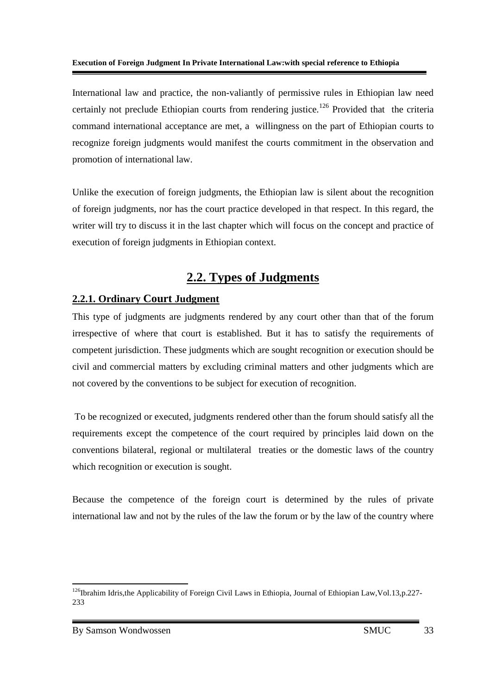International law and practice, the non-valiantly of permissive rules in Ethiopian law need certainly not preclude Ethiopian courts from rendering justice.<sup>126</sup> Provided that the criteria command international acceptance are met, a willingness on the part of Ethiopian courts to recognize foreign judgments would manifest the courts commitment in the observation and promotion of international law.

Unlike the execution of foreign judgments, the Ethiopian law is silent about the recognition of foreign judgments, nor has the court practice developed in that respect. In this regard, the writer will try to discuss it in the last chapter which will focus on the concept and practice of execution of foreign judgments in Ethiopian context.

## **2.2. Types of Judgments**

### **2.2.1. Ordinary Court Judgment**

This type of judgments are judgments rendered by any court other than that of the forum irrespective of where that court is established. But it has to satisfy the requirements of competent jurisdiction. These judgments which are sought recognition or execution should be civil and commercial matters by excluding criminal matters and other judgments which are not covered by the conventions to be subject for execution of recognition.

 To be recognized or executed, judgments rendered other than the forum should satisfy all the requirements except the competence of the court required by principles laid down on the conventions bilateral, regional or multilateral treaties or the domestic laws of the country which recognition or execution is sought.

Because the competence of the foreign court is determined by the rules of private international law and not by the rules of the law the forum or by the law of the country where

<sup>&</sup>lt;u>.</u> <sup>126</sup>Ibrahim Idris,the Applicability of Foreign Civil Laws in Ethiopia, Journal of Ethiopian Law, Vol.13,p.227-233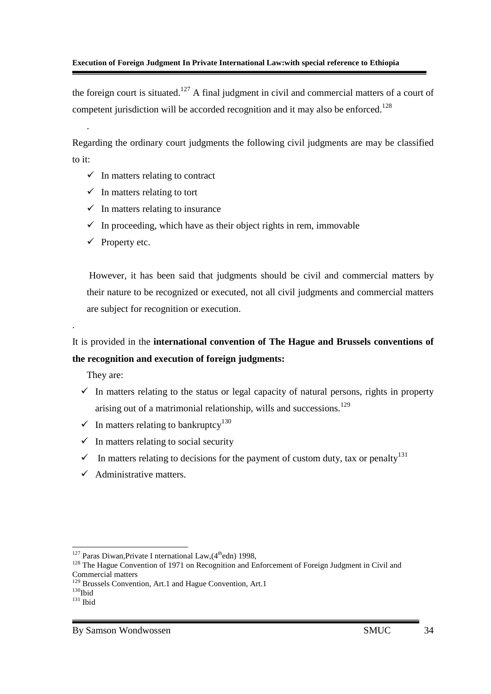the foreign court is situated.<sup>127</sup> A final judgment in civil and commercial matters of a court of competent jurisdiction will be accorded recognition and it may also be enforced.<sup>128</sup>

Regarding the ordinary court judgments the following civil judgments are may be classified to it:

- $\checkmark$  In matters relating to contract
- $\checkmark$  In matters relating to tort
- $\checkmark$  In matters relating to insurance
- $\checkmark$  In proceeding, which have as their object rights in rem, immovable
- $\checkmark$  Property etc.

.

 However, it has been said that judgments should be civil and commercial matters by their nature to be recognized or executed, not all civil judgments and commercial matters are subject for recognition or execution.

## It is provided in the **international convention of The Hague and Brussels conventions of the recognition and execution of foreign judgments:**

They are:

.

- $\checkmark$  In matters relating to the status or legal capacity of natural persons, rights in property arising out of a matrimonial relationship, wills and successions.<sup>129</sup>
- $\checkmark$  In matters relating to bankruptcy<sup>130</sup>
- $\checkmark$  In matters relating to social security
- In matters relating to decisions for the payment of custom duty, tax or penalty<sup>131</sup>
- $\checkmark$  Administrative matters.

<sup>-</sup><sup>127</sup> Paras Diwan, Private I nternational Law,  $(4<sup>th</sup>$ edn) 1998,

<sup>&</sup>lt;sup>128</sup> The Hague Convention of 1971 on Recognition and Enforcement of Foreign Judgment in Civil and Commercial matters

<sup>&</sup>lt;sup>129</sup> Brussels Convention, Art.1 and Hague Convention, Art.1

 $^{130}\overline{\text{Ibid}}$ 

 $^{131}$  Ibid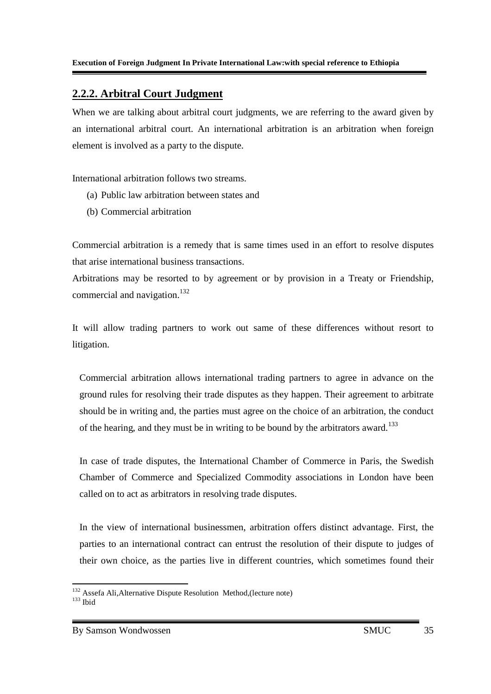### **2.2.2. Arbitral Court Judgment**

When we are talking about arbitral court judgments, we are referring to the award given by an international arbitral court. An international arbitration is an arbitration when foreign element is involved as a party to the dispute.

International arbitration follows two streams.

- (a) Public law arbitration between states and
- (b) Commercial arbitration

Commercial arbitration is a remedy that is same times used in an effort to resolve disputes that arise international business transactions.

Arbitrations may be resorted to by agreement or by provision in a Treaty or Friendship, commercial and navigation.<sup>132</sup>

It will allow trading partners to work out same of these differences without resort to litigation.

Commercial arbitration allows international trading partners to agree in advance on the ground rules for resolving their trade disputes as they happen. Their agreement to arbitrate should be in writing and, the parties must agree on the choice of an arbitration, the conduct of the hearing, and they must be in writing to be bound by the arbitrators award.<sup>133</sup>

In case of trade disputes, the International Chamber of Commerce in Paris, the Swedish Chamber of Commerce and Specialized Commodity associations in London have been called on to act as arbitrators in resolving trade disputes.

In the view of international businessmen, arbitration offers distinct advantage. First, the parties to an international contract can entrust the resolution of their dispute to judges of their own choice, as the parties live in different countries, which sometimes found their

<sup>&</sup>lt;u>.</u> <sup>132</sup> Assefa Ali, Alternative Dispute Resolution Method, (lecture note)  $133$  Ibid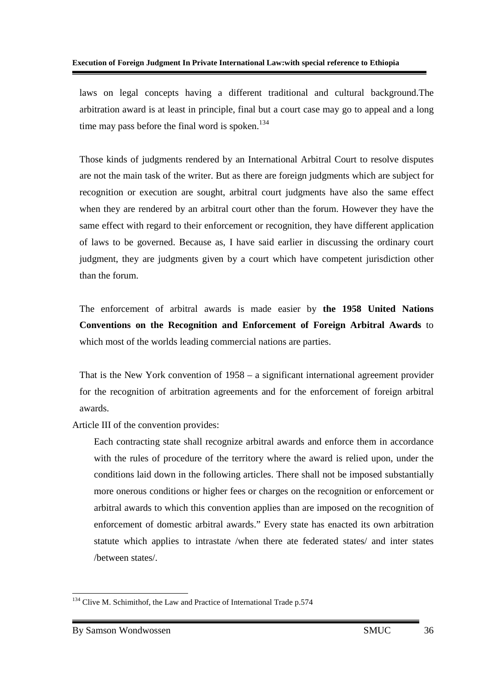laws on legal concepts having a different traditional and cultural background.The arbitration award is at least in principle, final but a court case may go to appeal and a long time may pass before the final word is spoken. $134$ 

Those kinds of judgments rendered by an International Arbitral Court to resolve disputes are not the main task of the writer. But as there are foreign judgments which are subject for recognition or execution are sought, arbitral court judgments have also the same effect when they are rendered by an arbitral court other than the forum. However they have the same effect with regard to their enforcement or recognition, they have different application of laws to be governed. Because as, I have said earlier in discussing the ordinary court judgment, they are judgments given by a court which have competent jurisdiction other than the forum.

The enforcement of arbitral awards is made easier by **the 1958 United Nations Conventions on the Recognition and Enforcement of Foreign Arbitral Awards** to which most of the worlds leading commercial nations are parties.

That is the New York convention of 1958 – a significant international agreement provider for the recognition of arbitration agreements and for the enforcement of foreign arbitral awards.

Article III of the convention provides:

Each contracting state shall recognize arbitral awards and enforce them in accordance with the rules of procedure of the territory where the award is relied upon, under the conditions laid down in the following articles. There shall not be imposed substantially more onerous conditions or higher fees or charges on the recognition or enforcement or arbitral awards to which this convention applies than are imposed on the recognition of enforcement of domestic arbitral awards." Every state has enacted its own arbitration statute which applies to intrastate /when there ate federated states/ and inter states /between states/.

<sup>-</sup><sup>134</sup> Clive M. Schimithof, the Law and Practice of International Trade p.574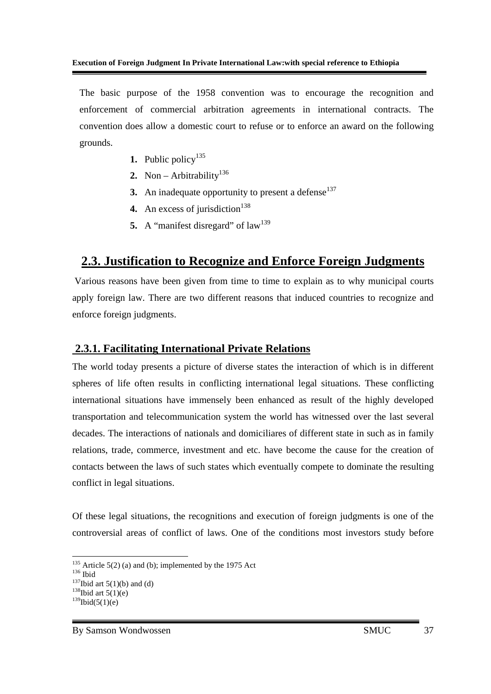The basic purpose of the 1958 convention was to encourage the recognition and enforcement of commercial arbitration agreements in international contracts. The convention does allow a domestic court to refuse or to enforce an award on the following grounds.

- **1.** Public policy<sup>135</sup>
- 2. Non Arbitrability<sup>136</sup>
- **3.** An inadequate opportunity to present a defense $137$
- **4.** An excess of jurisdiction<sup>138</sup>
- **5.** A "manifest disregard" of  $law<sup>139</sup>$

### **2.3. Justification to Recognize and Enforce Foreign Judgments**

 Various reasons have been given from time to time to explain as to why municipal courts apply foreign law. There are two different reasons that induced countries to recognize and enforce foreign judgments.

### **2.3.1. Facilitating International Private Relations**

The world today presents a picture of diverse states the interaction of which is in different spheres of life often results in conflicting international legal situations. These conflicting international situations have immensely been enhanced as result of the highly developed transportation and telecommunication system the world has witnessed over the last several decades. The interactions of nationals and domiciliares of different state in such as in family relations, trade, commerce, investment and etc. have become the cause for the creation of contacts between the laws of such states which eventually compete to dominate the resulting conflict in legal situations.

Of these legal situations, the recognitions and execution of foreign judgments is one of the controversial areas of conflict of laws. One of the conditions most investors study before

<sup>-</sup> $135$  Article 5(2) (a) and (b); implemented by the 1975 Act

 $136$  Ibid

 $137$ Ibid art 5(1)(b) and (d)

 $138$ Ibid art  $5(1)(e)$ 

 $139$ Ibid(5(1)(e)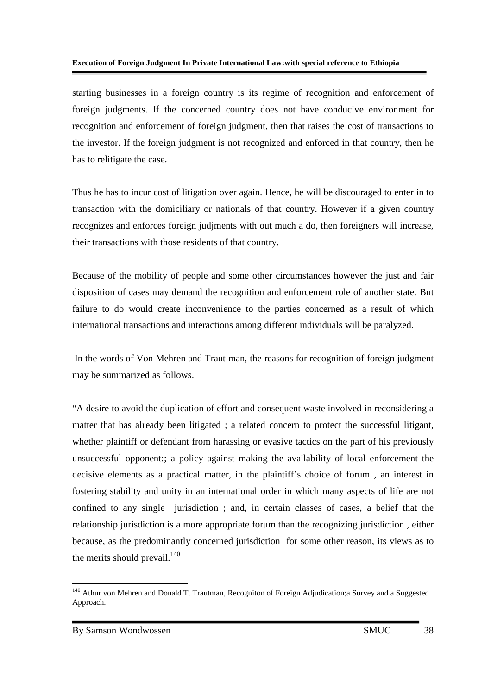starting businesses in a foreign country is its regime of recognition and enforcement of foreign judgments. If the concerned country does not have conducive environment for recognition and enforcement of foreign judgment, then that raises the cost of transactions to the investor. If the foreign judgment is not recognized and enforced in that country, then he has to relitigate the case.

Thus he has to incur cost of litigation over again. Hence, he will be discouraged to enter in to transaction with the domiciliary or nationals of that country. However if a given country recognizes and enforces foreign judjments with out much a do, then foreigners will increase, their transactions with those residents of that country.

Because of the mobility of people and some other circumstances however the just and fair disposition of cases may demand the recognition and enforcement role of another state. But failure to do would create inconvenience to the parties concerned as a result of which international transactions and interactions among different individuals will be paralyzed.

 In the words of Von Mehren and Traut man, the reasons for recognition of foreign judgment may be summarized as follows.

"A desire to avoid the duplication of effort and consequent waste involved in reconsidering a matter that has already been litigated ; a related concern to protect the successful litigant, whether plaintiff or defendant from harassing or evasive tactics on the part of his previously unsuccessful opponent:; a policy against making the availability of local enforcement the decisive elements as a practical matter, in the plaintiff's choice of forum , an interest in fostering stability and unity in an international order in which many aspects of life are not confined to any single jurisdiction ; and, in certain classes of cases, a belief that the relationship jurisdiction is a more appropriate forum than the recognizing jurisdiction , either because, as the predominantly concerned jurisdiction for some other reason, its views as to the merits should prevail. $^{140}$ 

<sup>&</sup>lt;u>.</u> <sup>140</sup> Athur von Mehren and Donald T. Trautman, Recogniton of Foreign Adjudication;a Survey and a Suggested Approach.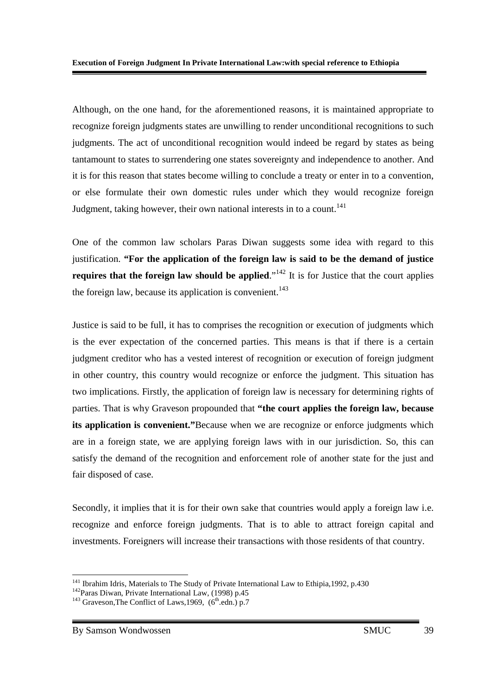Although, on the one hand, for the aforementioned reasons, it is maintained appropriate to recognize foreign judgments states are unwilling to render unconditional recognitions to such judgments. The act of unconditional recognition would indeed be regard by states as being tantamount to states to surrendering one states sovereignty and independence to another. And it is for this reason that states become willing to conclude a treaty or enter in to a convention, or else formulate their own domestic rules under which they would recognize foreign Judgment, taking however, their own national interests in to a count.<sup>141</sup>

One of the common law scholars Paras Diwan suggests some idea with regard to this justification. **"For the application of the foreign law is said to be the demand of justice requires that the foreign law should be applied.**"<sup>142</sup> It is for Justice that the court applies the foreign law, because its application is convenient.<sup>143</sup>

Justice is said to be full, it has to comprises the recognition or execution of judgments which is the ever expectation of the concerned parties. This means is that if there is a certain judgment creditor who has a vested interest of recognition or execution of foreign judgment in other country, this country would recognize or enforce the judgment. This situation has two implications. Firstly, the application of foreign law is necessary for determining rights of parties. That is why Graveson propounded that **"the court applies the foreign law, because its application is convenient."**Because when we are recognize or enforce judgments which are in a foreign state, we are applying foreign laws with in our jurisdiction. So, this can satisfy the demand of the recognition and enforcement role of another state for the just and fair disposed of case.

Secondly, it implies that it is for their own sake that countries would apply a foreign law i.e. recognize and enforce foreign judgments. That is to able to attract foreign capital and investments. Foreigners will increase their transactions with those residents of that country.

<sup>-</sup><sup>141</sup> Ibrahim Idris, Materials to The Study of Private International Law to Ethipia, 1992, p.430

<sup>142</sup>Paras Diwan, Private International Law, (1998) p.45

<sup>&</sup>lt;sup>143</sup> Graveson, The Conflict of Laws, 1969,  $(6^{th}$ .edn.) p.7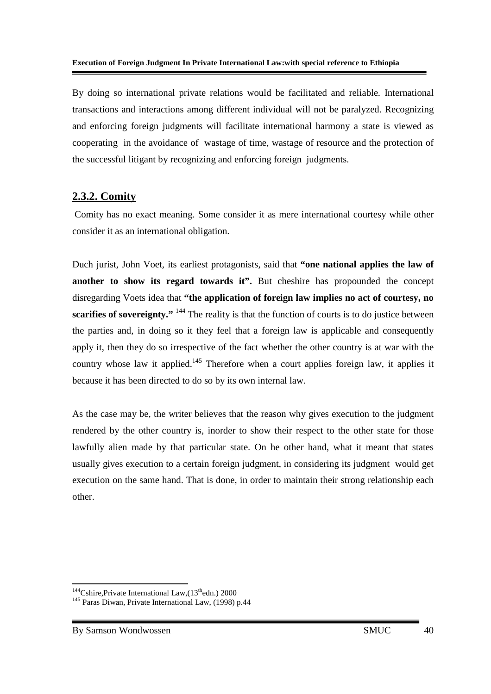By doing so international private relations would be facilitated and reliable. International transactions and interactions among different individual will not be paralyzed. Recognizing and enforcing foreign judgments will facilitate international harmony a state is viewed as cooperating in the avoidance of wastage of time, wastage of resource and the protection of the successful litigant by recognizing and enforcing foreign judgments.

### **2.3.2. Comity**

 Comity has no exact meaning. Some consider it as mere international courtesy while other consider it as an international obligation.

Duch jurist, John Voet, its earliest protagonists, said that **"one national applies the law of another to show its regard towards it".** But cheshire has propounded the concept disregarding Voets idea that **"the application of foreign law implies no act of courtesy, no scarifies of sovereignty."** <sup>144</sup> The reality is that the function of courts is to do justice between the parties and, in doing so it they feel that a foreign law is applicable and consequently apply it, then they do so irrespective of the fact whether the other country is at war with the country whose law it applied.<sup>145</sup> Therefore when a court applies foreign law, it applies it because it has been directed to do so by its own internal law.

As the case may be, the writer believes that the reason why gives execution to the judgment rendered by the other country is, inorder to show their respect to the other state for those lawfully alien made by that particular state. On he other hand, what it meant that states usually gives execution to a certain foreign judgment, in considering its judgment would get execution on the same hand. That is done, in order to maintain their strong relationship each other.

<sup>&</sup>lt;u>.</u> <sup>144</sup>Cshire,Private International Law,  $(13<sup>th</sup>$ edn.) 2000

<sup>&</sup>lt;sup>145</sup> Paras Diwan, Private International Law, (1998) p.44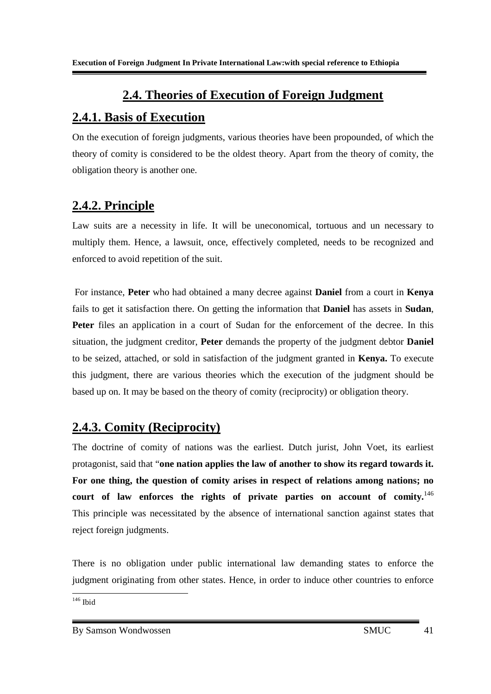## **2.4. Theories of Execution of Foreign Judgment**

## **2.4.1. Basis of Execution**

On the execution of foreign judgments, various theories have been propounded, of which the theory of comity is considered to be the oldest theory. Apart from the theory of comity, the obligation theory is another one.

## **2.4.2. Principle**

Law suits are a necessity in life. It will be uneconomical, tortuous and un necessary to multiply them. Hence, a lawsuit, once, effectively completed, needs to be recognized and enforced to avoid repetition of the suit.

 For instance, **Peter** who had obtained a many decree against **Daniel** from a court in **Kenya**  fails to get it satisfaction there. On getting the information that **Daniel** has assets in **Sudan**, **Peter** files an application in a court of Sudan for the enforcement of the decree. In this situation, the judgment creditor, **Peter** demands the property of the judgment debtor **Daniel**  to be seized, attached, or sold in satisfaction of the judgment granted in **Kenya.** To execute this judgment, there are various theories which the execution of the judgment should be based up on. It may be based on the theory of comity (reciprocity) or obligation theory.

## **2.4.3. Comity (Reciprocity)**

The doctrine of comity of nations was the earliest. Dutch jurist, John Voet, its earliest protagonist, said that "**one nation applies the law of another to show its regard towards it. For one thing, the question of comity arises in respect of relations among nations; no court of law enforces the rights of private parties on account of comity.**<sup>146</sup> This principle was necessitated by the absence of international sanction against states that reject foreign judgments.

There is no obligation under public international law demanding states to enforce the judgment originating from other states. Hence, in order to induce other countries to enforce

- $146$  Ibid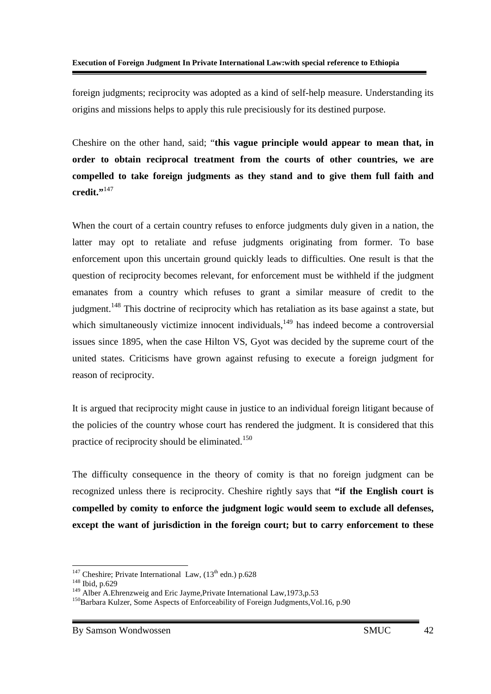foreign judgments; reciprocity was adopted as a kind of self-help measure. Understanding its origins and missions helps to apply this rule precisiously for its destined purpose.

Cheshire on the other hand, said; "**this vague principle would appear to mean that, in order to obtain reciprocal treatment from the courts of other countries, we are compelled to take foreign judgments as they stand and to give them full faith and credit."**<sup>147</sup>

When the court of a certain country refuses to enforce judgments duly given in a nation, the latter may opt to retaliate and refuse judgments originating from former. To base enforcement upon this uncertain ground quickly leads to difficulties. One result is that the question of reciprocity becomes relevant, for enforcement must be withheld if the judgment emanates from a country which refuses to grant a similar measure of credit to the judgment.<sup>148</sup> This doctrine of reciprocity which has retaliation as its base against a state, but which simultaneously victimize innocent individuals,<sup>149</sup> has indeed become a controversial issues since 1895, when the case Hilton VS, Gyot was decided by the supreme court of the united states. Criticisms have grown against refusing to execute a foreign judgment for reason of reciprocity.

It is argued that reciprocity might cause in justice to an individual foreign litigant because of the policies of the country whose court has rendered the judgment. It is considered that this practice of reciprocity should be eliminated.<sup>150</sup>

The difficulty consequence in the theory of comity is that no foreign judgment can be recognized unless there is reciprocity. Cheshire rightly says that **"if the English court is compelled by comity to enforce the judgment logic would seem to exclude all defenses, except the want of jurisdiction in the foreign court; but to carry enforcement to these** 

<sup>-</sup><sup>147</sup> Cheshire; Private International Law,  $(13<sup>th</sup>$  edn.) p.628

<sup>148</sup> Ibid, p.629

<sup>&</sup>lt;sup>149</sup> Alber A.Ehrenzweig and Eric Jayme, Private International Law, 1973, p.53

<sup>&</sup>lt;sup>150</sup>Barbara Kulzer, Some Aspects of Enforceability of Foreign Judgments, Vol.16, p.90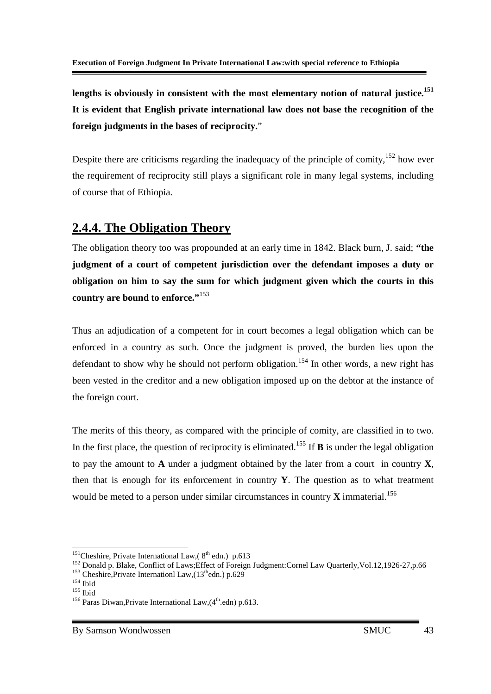**lengths is obviously in consistent with the most elementary notion of natural justice.<sup>151</sup> It is evident that English private international law does not base the recognition of the foreign judgments in the bases of reciprocity.**"

Despite there are criticisms regarding the inadequacy of the principle of comity,<sup>152</sup> how ever the requirement of reciprocity still plays a significant role in many legal systems, including of course that of Ethiopia.

## **2.4.4. The Obligation Theory**

The obligation theory too was propounded at an early time in 1842. Black burn, J. said; **"the judgment of a court of competent jurisdiction over the defendant imposes a duty or obligation on him to say the sum for which judgment given which the courts in this country are bound to enforce."**<sup>153</sup>

Thus an adjudication of a competent for in court becomes a legal obligation which can be enforced in a country as such. Once the judgment is proved, the burden lies upon the defendant to show why he should not perform obligation.<sup>154</sup> In other words, a new right has been vested in the creditor and a new obligation imposed up on the debtor at the instance of the foreign court.

The merits of this theory, as compared with the principle of comity, are classified in to two. In the first place, the question of reciprocity is eliminated.<sup>155</sup> If **B** is under the legal obligation to pay the amount to **A** under a judgment obtained by the later from a court in country **X**, then that is enough for its enforcement in country **Y**. The question as to what treatment would be meted to a person under similar circumstances in country  $\bf{X}$  immaterial.<sup>156</sup>

<sup>-</sup><sup>151</sup>Cheshire, Private International Law,  $8^{th}$  edn.) p.613

<sup>&</sup>lt;sup>152</sup> Donald p. Blake, Conflict of Laws;Effect of Foreign Judgment:Cornel Law Quarterly, Vol.12,1926-27, p.66 <sup>153</sup> Cheshire,Private Internationl Law, $(13<sup>th</sup>$ edn.) p.629

<sup>154</sup> Ibid

 $155$  Ibid

<sup>&</sup>lt;sup>156</sup> Paras Diwan, Private International Law,  $(4^{\text{th}}.\text{edn})$  p.613.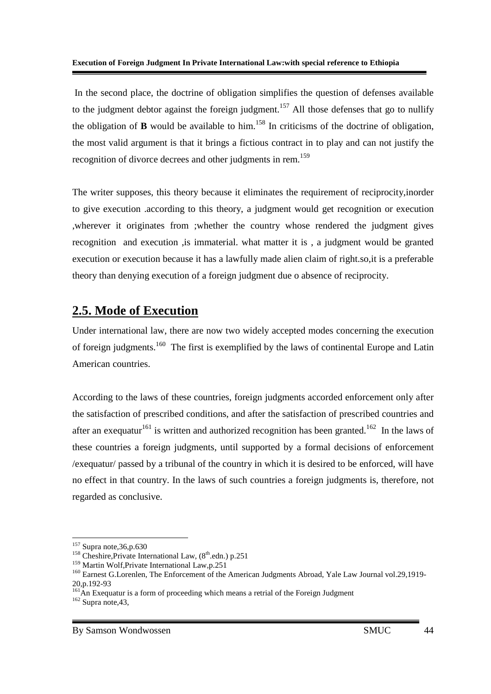In the second place, the doctrine of obligation simplifies the question of defenses available to the judgment debtor against the foreign judgment.<sup>157</sup> All those defenses that go to nullify the obligation of **B** would be available to him.<sup>158</sup> In criticisms of the doctrine of obligation, the most valid argument is that it brings a fictious contract in to play and can not justify the recognition of divorce decrees and other judgments in rem.<sup>159</sup>

The writer supposes, this theory because it eliminates the requirement of reciprocity,inorder to give execution .according to this theory, a judgment would get recognition or execution ,wherever it originates from ;whether the country whose rendered the judgment gives recognition and execution ,is immaterial. what matter it is , a judgment would be granted execution or execution because it has a lawfully made alien claim of right.so,it is a preferable theory than denying execution of a foreign judgment due o absence of reciprocity.

## **2.5. Mode of Execution**

Under international law, there are now two widely accepted modes concerning the execution of foreign judgments.<sup>160</sup> The first is exemplified by the laws of continental Europe and Latin American countries.

According to the laws of these countries, foreign judgments accorded enforcement only after the satisfaction of prescribed conditions, and after the satisfaction of prescribed countries and after an exequatur<sup>161</sup> is written and authorized recognition has been granted.<sup>162</sup> In the laws of these countries a foreign judgments, until supported by a formal decisions of enforcement /exequatur/ passed by a tribunal of the country in which it is desired to be enforced, will have no effect in that country. In the laws of such countries a foreign judgments is, therefore, not regarded as conclusive.

-

 $157$  Supra note, 36, p.630

<sup>&</sup>lt;sup>158</sup> Cheshire,Private International Law,  $(8<sup>th</sup>$ .edn.) p.251

<sup>159</sup> Martin Wolf,Private International Law,p.251

<sup>&</sup>lt;sup>160</sup> Earnest G.Lorenlen, The Enforcement of the American Judgments Abroad, Yale Law Journal vol.29,1919-20,p.192-93

 $161<sup>4</sup>$  An Exequatur is a form of proceeding which means a retrial of the Foreign Judgment  $162$  Supra note, 43,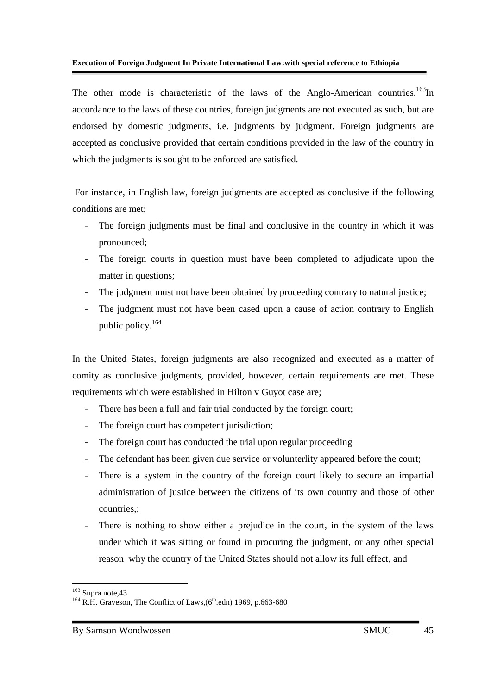The other mode is characteristic of the laws of the Anglo-American countries.<sup>163</sup>In accordance to the laws of these countries, foreign judgments are not executed as such, but are endorsed by domestic judgments, i.e. judgments by judgment. Foreign judgments are accepted as conclusive provided that certain conditions provided in the law of the country in which the judgments is sought to be enforced are satisfied.

 For instance, in English law, foreign judgments are accepted as conclusive if the following conditions are met;

- The foreign judgments must be final and conclusive in the country in which it was pronounced;
- The foreign courts in question must have been completed to adjudicate upon the matter in questions;
- The judgment must not have been obtained by proceeding contrary to natural justice;
- The judgment must not have been cased upon a cause of action contrary to English public policy.<sup>164</sup>

In the United States, foreign judgments are also recognized and executed as a matter of comity as conclusive judgments, provided, however, certain requirements are met. These requirements which were established in Hilton v Guyot case are;

- There has been a full and fair trial conducted by the foreign court;
- The foreign court has competent jurisdiction;
- The foreign court has conducted the trial upon regular proceeding
- The defendant has been given due service or volunterlity appeared before the court;
- There is a system in the country of the foreign court likely to secure an impartial administration of justice between the citizens of its own country and those of other countries,;
- There is nothing to show either a prejudice in the court, in the system of the laws under which it was sitting or found in procuring the judgment, or any other special reason why the country of the United States should not allow its full effect, and

<sup>&</sup>lt;u>.</u> <sup>163</sup> Supra note, 43

<sup>&</sup>lt;sup>164</sup> R.H. Graveson, The Conflict of Laws,  $(6<sup>th</sup>$ .edn) 1969, p.663-680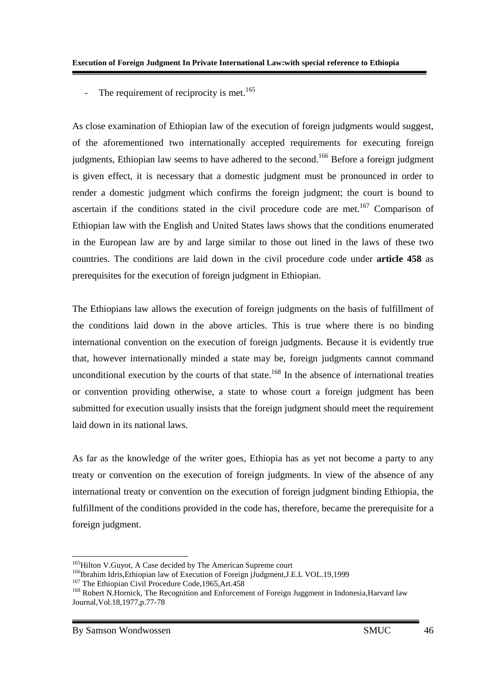- The requirement of reciprocity is met.<sup>165</sup>

As close examination of Ethiopian law of the execution of foreign judgments would suggest, of the aforementioned two internationally accepted requirements for executing foreign judgments, Ethiopian law seems to have adhered to the second.<sup>166</sup> Before a foreign judgment is given effect, it is necessary that a domestic judgment must be pronounced in order to render a domestic judgment which confirms the foreign judgment; the court is bound to ascertain if the conditions stated in the civil procedure code are met.<sup>167</sup> Comparison of Ethiopian law with the English and United States laws shows that the conditions enumerated in the European law are by and large similar to those out lined in the laws of these two countries. The conditions are laid down in the civil procedure code under **article 458** as prerequisites for the execution of foreign judgment in Ethiopian.

The Ethiopians law allows the execution of foreign judgments on the basis of fulfillment of the conditions laid down in the above articles. This is true where there is no binding international convention on the execution of foreign judgments. Because it is evidently true that, however internationally minded a state may be, foreign judgments cannot command unconditional execution by the courts of that state.<sup>168</sup> In the absence of international treaties or convention providing otherwise, a state to whose court a foreign judgment has been submitted for execution usually insists that the foreign judgment should meet the requirement laid down in its national laws.

As far as the knowledge of the writer goes, Ethiopia has as yet not become a party to any treaty or convention on the execution of foreign judgments. In view of the absence of any international treaty or convention on the execution of foreign judgment binding Ethiopia, the fulfillment of the conditions provided in the code has, therefore, became the prerequisite for a foreign judgment.

<sup>-</sup><sup>165</sup>Hilton V.Guyot, A Case decided by The American Supreme court

<sup>&</sup>lt;sup>166</sup>Ibrahim Idris, Ethiopian law of Execution of Foreign jJudgment, J.E.L VOL. 19, 1999

<sup>&</sup>lt;sup>167</sup> The Ethiopian Civil Procedure Code, 1965, Art. 458

<sup>&</sup>lt;sup>168</sup> Robert N.Hornick, The Recognition and Enforcement of Foreign Juggment in Indonesia, Harvard law Journal,Vol.18,1977,p.77-78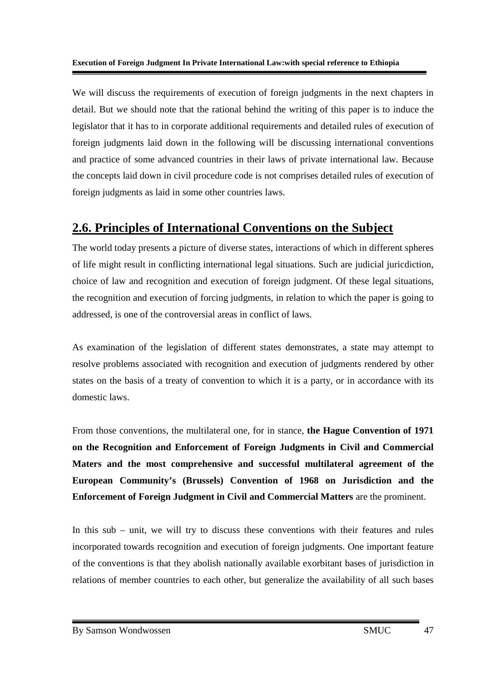We will discuss the requirements of execution of foreign judgments in the next chapters in detail. But we should note that the rational behind the writing of this paper is to induce the legislator that it has to in corporate additional requirements and detailed rules of execution of foreign judgments laid down in the following will be discussing international conventions and practice of some advanced countries in their laws of private international law. Because the concepts laid down in civil procedure code is not comprises detailed rules of execution of foreign judgments as laid in some other countries laws.

## **2.6. Principles of International Conventions on the Subject**

The world today presents a picture of diverse states, interactions of which in different spheres of life might result in conflicting international legal situations. Such are judicial juricdiction, choice of law and recognition and execution of foreign judgment. Of these legal situations, the recognition and execution of forcing judgments, in relation to which the paper is going to addressed, is one of the controversial areas in conflict of laws.

As examination of the legislation of different states demonstrates, a state may attempt to resolve problems associated with recognition and execution of judgments rendered by other states on the basis of a treaty of convention to which it is a party, or in accordance with its domestic laws.

From those conventions, the multilateral one, for in stance, **the Hague Convention of 1971 on the Recognition and Enforcement of Foreign Judgments in Civil and Commercial Maters and the most comprehensive and successful multilateral agreement of the European Community's (Brussels) Convention of 1968 on Jurisdiction and the Enforcement of Foreign Judgment in Civil and Commercial Matters** are the prominent.

In this sub – unit, we will try to discuss these conventions with their features and rules incorporated towards recognition and execution of foreign judgments. One important feature of the conventions is that they abolish nationally available exorbitant bases of jurisdiction in relations of member countries to each other, but generalize the availability of all such bases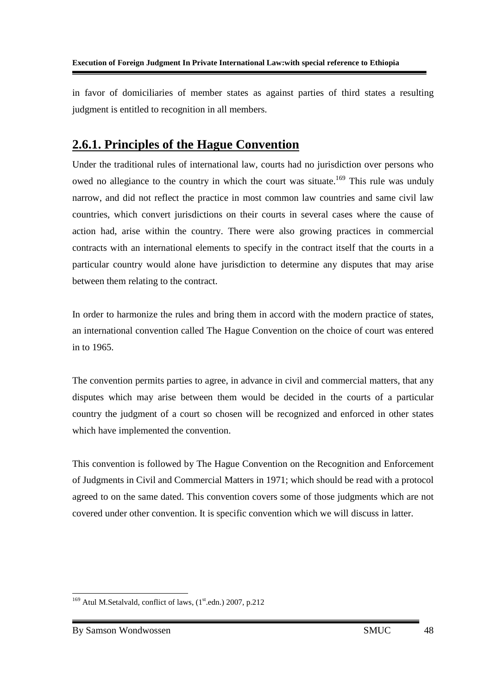in favor of domiciliaries of member states as against parties of third states a resulting judgment is entitled to recognition in all members.

## **2.6.1. Principles of the Hague Convention**

Under the traditional rules of international law, courts had no jurisdiction over persons who owed no allegiance to the country in which the court was situate.<sup>169</sup> This rule was unduly narrow, and did not reflect the practice in most common law countries and same civil law countries, which convert jurisdictions on their courts in several cases where the cause of action had, arise within the country. There were also growing practices in commercial contracts with an international elements to specify in the contract itself that the courts in a particular country would alone have jurisdiction to determine any disputes that may arise between them relating to the contract.

In order to harmonize the rules and bring them in accord with the modern practice of states, an international convention called The Hague Convention on the choice of court was entered in to 1965.

The convention permits parties to agree, in advance in civil and commercial matters, that any disputes which may arise between them would be decided in the courts of a particular country the judgment of a court so chosen will be recognized and enforced in other states which have implemented the convention.

This convention is followed by The Hague Convention on the Recognition and Enforcement of Judgments in Civil and Commercial Matters in 1971; which should be read with a protocol agreed to on the same dated. This convention covers some of those judgments which are not covered under other convention. It is specific convention which we will discuss in latter.

<sup>-</sup> $169$  Atul M.Setalvald, conflict of laws,  $(1<sup>st</sup>$ .edn.) 2007, p.212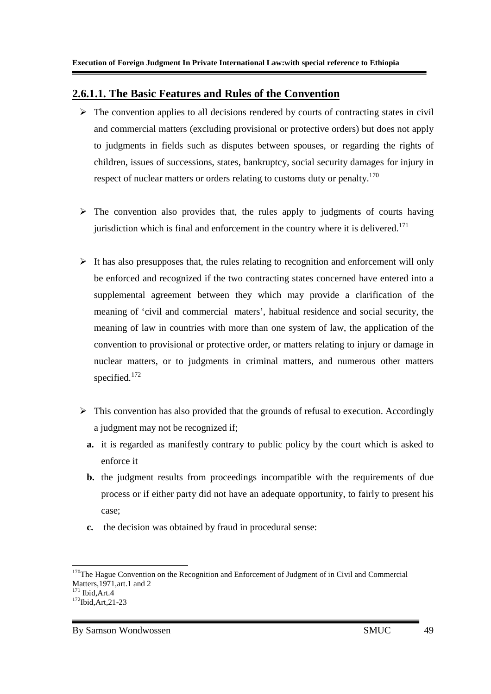#### **2.6.1.1. The Basic Features and Rules of the Convention**

- > The convention applies to all decisions rendered by courts of contracting states in civil and commercial matters (excluding provisional or protective orders) but does not apply to judgments in fields such as disputes between spouses, or regarding the rights of children, issues of successions, states, bankruptcy, social security damages for injury in respect of nuclear matters or orders relating to customs duty or penalty.<sup>170</sup>
- > The convention also provides that, the rules apply to judgments of courts having jurisdiction which is final and enforcement in the country where it is delivered.<sup>171</sup>
- > It has also presupposes that, the rules relating to recognition and enforcement will only be enforced and recognized if the two contracting states concerned have entered into a supplemental agreement between they which may provide a clarification of the meaning of 'civil and commercial maters', habitual residence and social security, the meaning of law in countries with more than one system of law, the application of the convention to provisional or protective order, or matters relating to injury or damage in nuclear matters, or to judgments in criminal matters, and numerous other matters specified.<sup>172</sup>
- > This convention has also provided that the grounds of refusal to execution. Accordingly a judgment may not be recognized if;
	- **a.** it is regarded as manifestly contrary to public policy by the court which is asked to enforce it
	- **b.** the judgment results from proceedings incompatible with the requirements of due process or if either party did not have an adequate opportunity, to fairly to present his case;
	- **c.** the decision was obtained by fraud in procedural sense:

<sup>-</sup><sup>170</sup>The Hague Convention on the Recognition and Enforcement of Judgment of in Civil and Commercial Matters,1971,art.1 and 2  $171$  Ibid Art 4

<sup>172</sup>Ibid,Art,21-23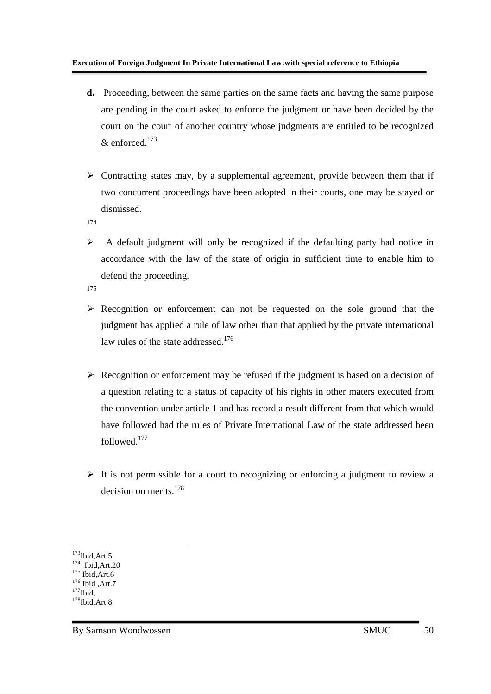- **d.** Proceeding, between the same parties on the same facts and having the same purpose are pending in the court asked to enforce the judgment or have been decided by the court on the court of another country whose judgments are entitled to be recognized  $&$  enforced.<sup>173</sup>
- > Contracting states may, by a supplemental agreement, provide between them that if two concurrent proceedings have been adopted in their courts, one may be stayed or dismissed.

174

- $\blacktriangleright$  A default judgment will only be recognized if the defaulting party had notice in accordance with the law of the state of origin in sufficient time to enable him to defend the proceeding.
- 175
- Recognition or enforcement can not be requested on the sole ground that the judgment has applied a rule of law other than that applied by the private international law rules of the state addressed.<sup>176</sup>
- > Recognition or enforcement may be refused if the judgment is based on a decision of a question relating to a status of capacity of his rights in other maters executed from the convention under article 1 and has record a result different from that which would have followed had the rules of Private International Law of the state addressed been followed.<sup>177</sup>
- > It is not permissible for a court to recognizing or enforcing a judgment to review a decision on merits.<sup>178</sup>

-

 $173$ Ibid,Art.5

<sup>&</sup>lt;sup>174</sup> Ibid, Art.20

 $175$  Ibid, Art. 6  $176$  Ibid, Art.7

 $177$ Ibid

 $178$ Ibid,Art.8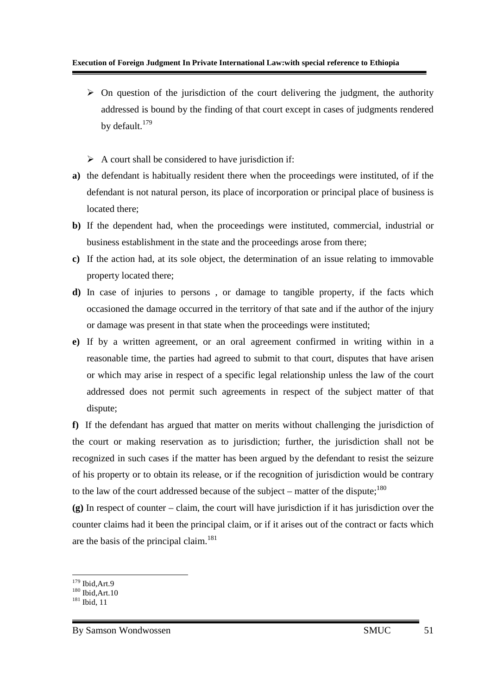- > On question of the jurisdiction of the court delivering the judgment, the authority addressed is bound by the finding of that court except in cases of judgments rendered by default.<sup>179</sup>
- A court shall be considered to have jurisdiction if:
- **a)** the defendant is habitually resident there when the proceedings were instituted, of if the defendant is not natural person, its place of incorporation or principal place of business is located there;
- **b)** If the dependent had, when the proceedings were instituted, commercial, industrial or business establishment in the state and the proceedings arose from there;
- **c)** If the action had, at its sole object, the determination of an issue relating to immovable property located there;
- **d)** In case of injuries to persons , or damage to tangible property, if the facts which occasioned the damage occurred in the territory of that sate and if the author of the injury or damage was present in that state when the proceedings were instituted;
- **e)** If by a written agreement, or an oral agreement confirmed in writing within in a reasonable time, the parties had agreed to submit to that court, disputes that have arisen or which may arise in respect of a specific legal relationship unless the law of the court addressed does not permit such agreements in respect of the subject matter of that dispute;

**f)** If the defendant has argued that matter on merits without challenging the jurisdiction of the court or making reservation as to jurisdiction; further, the jurisdiction shall not be recognized in such cases if the matter has been argued by the defendant to resist the seizure of his property or to obtain its release, or if the recognition of jurisdiction would be contrary to the law of the court addressed because of the subject – matter of the dispute; $180$ 

**(g)** In respect of counter – claim, the court will have jurisdiction if it has jurisdiction over the counter claims had it been the principal claim, or if it arises out of the contract or facts which are the basis of the principal claim.<sup>181</sup>

<sup>-</sup><sup>179</sup> Ibid,Art.9

 $180$  Ibid Art 10

 $181$  Ibid, 11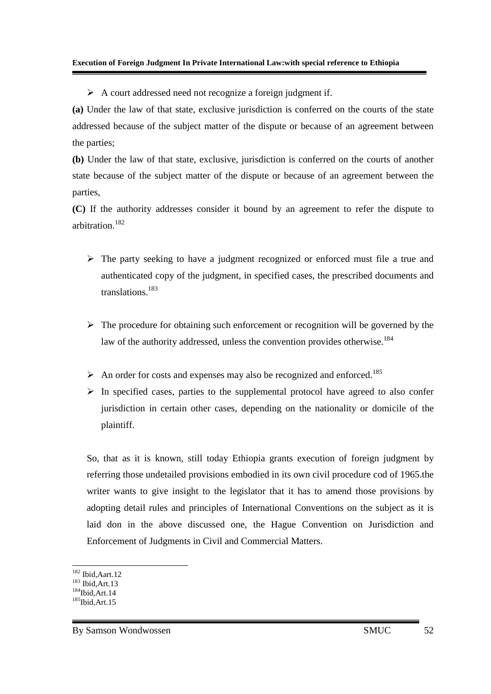A court addressed need not recognize a foreign judgment if.

**(a)** Under the law of that state, exclusive jurisdiction is conferred on the courts of the state addressed because of the subject matter of the dispute or because of an agreement between the parties;

**(b)** Under the law of that state, exclusive, jurisdiction is conferred on the courts of another state because of the subject matter of the dispute or because of an agreement between the parties,

**(C)** If the authority addresses consider it bound by an agreement to refer the dispute to arbitration.<sup>182</sup>

- > The party seeking to have a judgment recognized or enforced must file a true and authenticated copy of the judgment, in specified cases, the prescribed documents and translations.<sup>183</sup>
- > The procedure for obtaining such enforcement or recognition will be governed by the law of the authority addressed, unless the convention provides otherwise.<sup>184</sup>
- An order for costs and expenses may also be recognized and enforced.<sup>185</sup>
- > In specified cases, parties to the supplemental protocol have agreed to also confer jurisdiction in certain other cases, depending on the nationality or domicile of the plaintiff.

So, that as it is known, still today Ethiopia grants execution of foreign judgment by referring those undetailed provisions embodied in its own civil procedure cod of 1965.the writer wants to give insight to the legislator that it has to amend those provisions by adopting detail rules and principles of International Conventions on the subject as it is laid don in the above discussed one, the Hague Convention on Jurisdiction and Enforcement of Judgments in Civil and Commercial Matters.

-

<sup>182</sup> Ibid,Aart.12

<sup>183</sup> Ibid,Art.13  $184$ Ibid, Art. 14

 $185$ Ibid,Art.15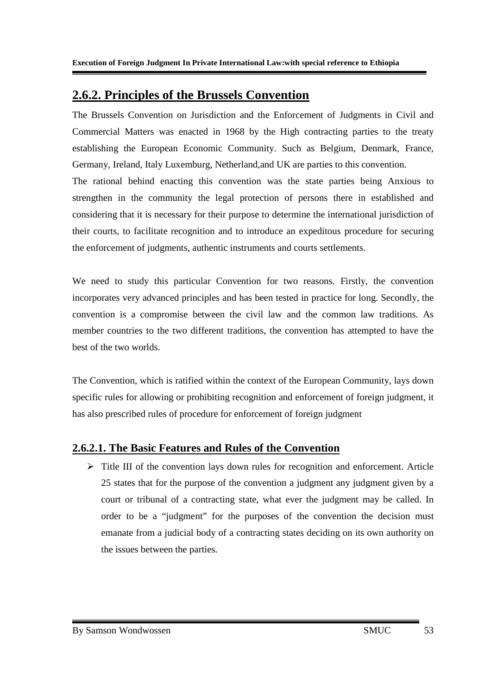### **2.6.2. Principles of the Brussels Convention**

The Brussels Convention on Jurisdiction and the Enforcement of Judgments in Civil and Commercial Matters was enacted in 1968 by the High contracting parties to the treaty establishing the European Economic Community. Such as Belgium, Denmark, France, Germany, Ireland, Italy Luxemburg, Netherland,and UK are parties to this convention.

The rational behind enacting this convention was the state parties being Anxious to strengthen in the community the legal protection of persons there in established and considering that it is necessary for their purpose to determine the international jurisdiction of their courts, to facilitate recognition and to introduce an expeditous procedure for securing the enforcement of judgments, authentic instruments and courts settlements.

We need to study this particular Convention for two reasons. Firstly, the convention incorporates very advanced principles and has been tested in practice for long. Secondly, the convention is a compromise between the civil law and the common law traditions. As member countries to the two different traditions, the convention has attempted to have the best of the two worlds.

The Convention, which is ratified within the context of the European Community, lays down specific rules for allowing or prohibiting recognition and enforcement of foreign judgment, it has also prescribed rules of procedure for enforcement of foreign judgment

### **2.6.2.1. The Basic Features and Rules of the Convention**

> Title III of the convention lays down rules for recognition and enforcement. Article 25 states that for the purpose of the convention a judgment any judgment given by a court or tribunal of a contracting state, what ever the judgment may be called. In order to be a "judgment" for the purposes of the convention the decision must emanate from a judicial body of a contracting states deciding on its own authority on the issues between the parties.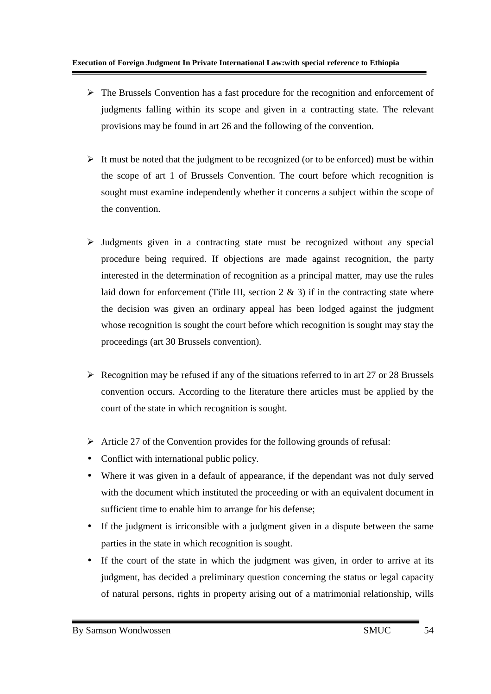- > The Brussels Convention has a fast procedure for the recognition and enforcement of judgments falling within its scope and given in a contracting state. The relevant provisions may be found in art 26 and the following of the convention.
- It must be noted that the judgment to be recognized (or to be enforced) must be within the scope of art 1 of Brussels Convention. The court before which recognition is sought must examine independently whether it concerns a subject within the scope of the convention.
- > Judgments given in a contracting state must be recognized without any special procedure being required. If objections are made against recognition, the party interested in the determination of recognition as a principal matter, may use the rules laid down for enforcement (Title III, section  $2 \& 3$ ) if in the contracting state where the decision was given an ordinary appeal has been lodged against the judgment whose recognition is sought the court before which recognition is sought may stay the proceedings (art 30 Brussels convention).
- Recognition may be refused if any of the situations referred to in art 27 or 28 Brussels convention occurs. According to the literature there articles must be applied by the court of the state in which recognition is sought.
- > Article 27 of the Convention provides for the following grounds of refusal:
- Conflict with international public policy.
- Where it was given in a default of appearance, if the dependant was not duly served with the document which instituted the proceeding or with an equivalent document in sufficient time to enable him to arrange for his defense;
- If the judgment is irriconsible with a judgment given in a dispute between the same parties in the state in which recognition is sought.
- If the court of the state in which the judgment was given, in order to arrive at its judgment, has decided a preliminary question concerning the status or legal capacity of natural persons, rights in property arising out of a matrimonial relationship, wills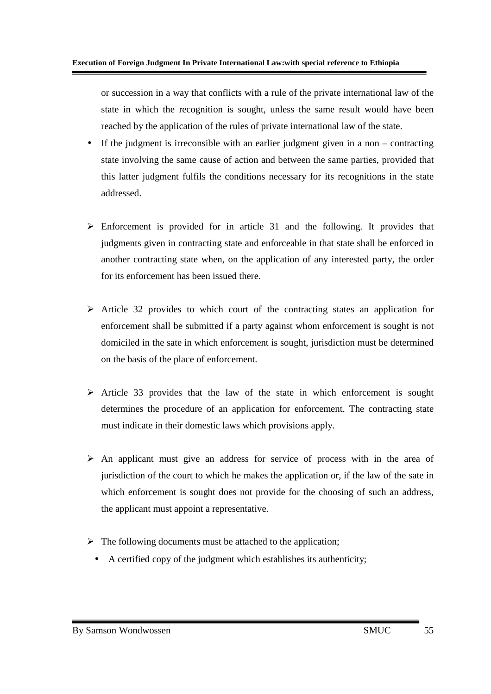or succession in a way that conflicts with a rule of the private international law of the state in which the recognition is sought, unless the same result would have been reached by the application of the rules of private international law of the state.

- If the judgment is irreconsible with an earlier judgment given in a non contracting state involving the same cause of action and between the same parties, provided that this latter judgment fulfils the conditions necessary for its recognitions in the state addressed.
- > Enforcement is provided for in article 31 and the following. It provides that judgments given in contracting state and enforceable in that state shall be enforced in another contracting state when, on the application of any interested party, the order for its enforcement has been issued there.
- > Article 32 provides to which court of the contracting states an application for enforcement shall be submitted if a party against whom enforcement is sought is not domiciled in the sate in which enforcement is sought, jurisdiction must be determined on the basis of the place of enforcement.
- > Article 33 provides that the law of the state in which enforcement is sought determines the procedure of an application for enforcement. The contracting state must indicate in their domestic laws which provisions apply.
- > An applicant must give an address for service of process with in the area of jurisdiction of the court to which he makes the application or, if the law of the sate in which enforcement is sought does not provide for the choosing of such an address, the applicant must appoint a representative.
- > The following documents must be attached to the application;
- A certified copy of the judgment which establishes its authenticity;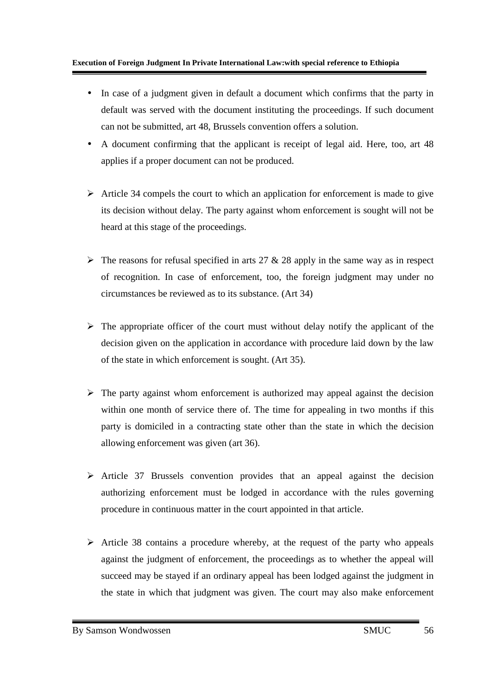- In case of a judgment given in default a document which confirms that the party in default was served with the document instituting the proceedings. If such document can not be submitted, art 48, Brussels convention offers a solution.
- A document confirming that the applicant is receipt of legal aid. Here, too, art 48 applies if a proper document can not be produced.
- > Article 34 compels the court to which an application for enforcement is made to give its decision without delay. The party against whom enforcement is sought will not be heard at this stage of the proceedings.
- $\triangleright$  The reasons for refusal specified in arts 27 & 28 apply in the same way as in respect of recognition. In case of enforcement, too, the foreign judgment may under no circumstances be reviewed as to its substance. (Art 34)
- > The appropriate officer of the court must without delay notify the applicant of the decision given on the application in accordance with procedure laid down by the law of the state in which enforcement is sought. (Art 35).
- > The party against whom enforcement is authorized may appeal against the decision within one month of service there of. The time for appealing in two months if this party is domiciled in a contracting state other than the state in which the decision allowing enforcement was given (art 36).
- > Article 37 Brussels convention provides that an appeal against the decision authorizing enforcement must be lodged in accordance with the rules governing procedure in continuous matter in the court appointed in that article.
- Article 38 contains a procedure whereby, at the request of the party who appeals against the judgment of enforcement, the proceedings as to whether the appeal will succeed may be stayed if an ordinary appeal has been lodged against the judgment in the state in which that judgment was given. The court may also make enforcement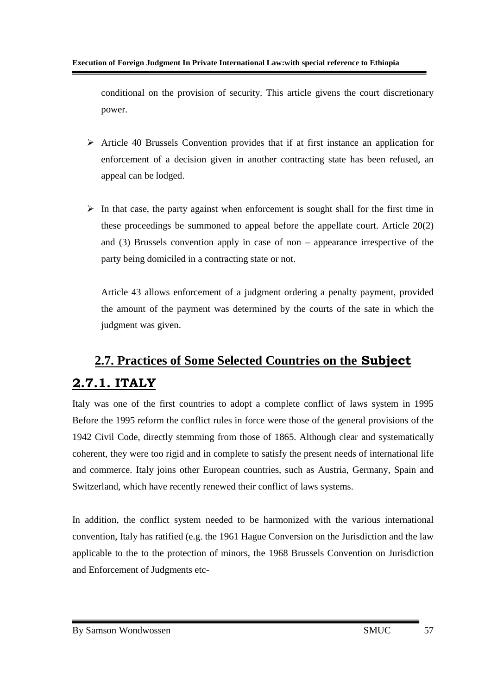conditional on the provision of security. This article givens the court discretionary power.

- > Article 40 Brussels Convention provides that if at first instance an application for enforcement of a decision given in another contracting state has been refused, an appeal can be lodged.
- > In that case, the party against when enforcement is sought shall for the first time in these proceedings be summoned to appeal before the appellate court. Article 20(2) and (3) Brussels convention apply in case of non – appearance irrespective of the party being domiciled in a contracting state or not.

Article 43 allows enforcement of a judgment ordering a penalty payment, provided the amount of the payment was determined by the courts of the sate in which the judgment was given.

# **2.7. Practices of Some Selected Countries on the Subject 2.7.1. ITALY**

Italy was one of the first countries to adopt a complete conflict of laws system in 1995 Before the 1995 reform the conflict rules in force were those of the general provisions of the 1942 Civil Code, directly stemming from those of 1865. Although clear and systematically coherent, they were too rigid and in complete to satisfy the present needs of international life and commerce. Italy joins other European countries, such as Austria, Germany, Spain and Switzerland, which have recently renewed their conflict of laws systems.

In addition, the conflict system needed to be harmonized with the various international convention, Italy has ratified (e.g. the 1961 Hague Conversion on the Jurisdiction and the law applicable to the to the protection of minors, the 1968 Brussels Convention on Jurisdiction and Enforcement of Judgments etc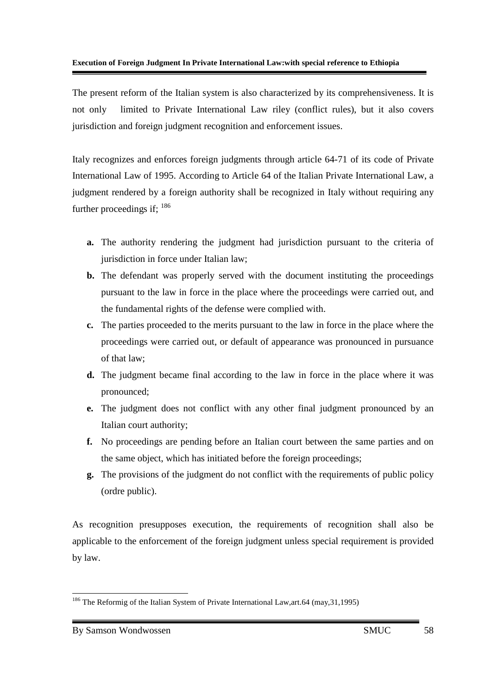The present reform of the Italian system is also characterized by its comprehensiveness. It is not only limited to Private International Law riley (conflict rules), but it also covers jurisdiction and foreign judgment recognition and enforcement issues.

Italy recognizes and enforces foreign judgments through article 64-71 of its code of Private International Law of 1995. According to Article 64 of the Italian Private International Law, a judgment rendered by a foreign authority shall be recognized in Italy without requiring any further proceedings if:  $186$ 

- **a.** The authority rendering the judgment had jurisdiction pursuant to the criteria of jurisdiction in force under Italian law;
- **b.** The defendant was properly served with the document instituting the proceedings pursuant to the law in force in the place where the proceedings were carried out, and the fundamental rights of the defense were complied with.
- **c.** The parties proceeded to the merits pursuant to the law in force in the place where the proceedings were carried out, or default of appearance was pronounced in pursuance of that law;
- **d.** The judgment became final according to the law in force in the place where it was pronounced;
- **e.** The judgment does not conflict with any other final judgment pronounced by an Italian court authority;
- **f.** No proceedings are pending before an Italian court between the same parties and on the same object, which has initiated before the foreign proceedings;
- **g.** The provisions of the judgment do not conflict with the requirements of public policy (ordre public).

As recognition presupposes execution, the requirements of recognition shall also be applicable to the enforcement of the foreign judgment unless special requirement is provided by law.

<sup>-</sup><sup>186</sup> The Reformig of the Italian System of Private International Law, art.64 (may, 31, 1995)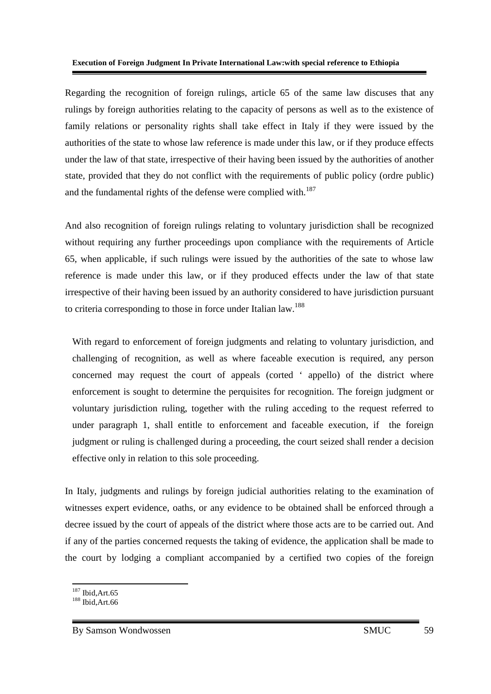Regarding the recognition of foreign rulings, article 65 of the same law discuses that any rulings by foreign authorities relating to the capacity of persons as well as to the existence of family relations or personality rights shall take effect in Italy if they were issued by the authorities of the state to whose law reference is made under this law, or if they produce effects under the law of that state, irrespective of their having been issued by the authorities of another state, provided that they do not conflict with the requirements of public policy (ordre public) and the fundamental rights of the defense were complied with.<sup>187</sup>

And also recognition of foreign rulings relating to voluntary jurisdiction shall be recognized without requiring any further proceedings upon compliance with the requirements of Article 65, when applicable, if such rulings were issued by the authorities of the sate to whose law reference is made under this law, or if they produced effects under the law of that state irrespective of their having been issued by an authority considered to have jurisdiction pursuant to criteria corresponding to those in force under Italian law.<sup>188</sup>

With regard to enforcement of foreign judgments and relating to voluntary jurisdiction, and challenging of recognition, as well as where faceable execution is required, any person concerned may request the court of appeals (corted ' appello) of the district where enforcement is sought to determine the perquisites for recognition. The foreign judgment or voluntary jurisdiction ruling, together with the ruling acceding to the request referred to under paragraph 1, shall entitle to enforcement and faceable execution, if the foreign judgment or ruling is challenged during a proceeding, the court seized shall render a decision effective only in relation to this sole proceeding.

In Italy, judgments and rulings by foreign judicial authorities relating to the examination of witnesses expert evidence, oaths, or any evidence to be obtained shall be enforced through a decree issued by the court of appeals of the district where those acts are to be carried out. And if any of the parties concerned requests the taking of evidence, the application shall be made to the court by lodging a compliant accompanied by a certified two copies of the foreign

<sup>&</sup>lt;u>.</u>  $187$  Ibid, Art. 65

<sup>188</sup> Ibid,Art.66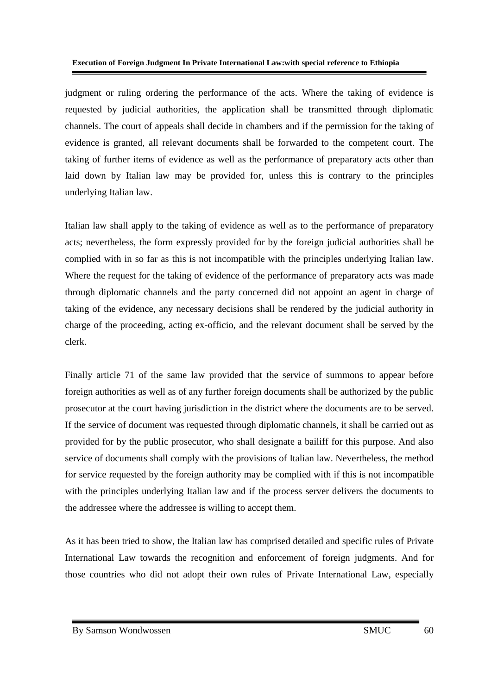judgment or ruling ordering the performance of the acts. Where the taking of evidence is requested by judicial authorities, the application shall be transmitted through diplomatic channels. The court of appeals shall decide in chambers and if the permission for the taking of evidence is granted, all relevant documents shall be forwarded to the competent court. The taking of further items of evidence as well as the performance of preparatory acts other than laid down by Italian law may be provided for, unless this is contrary to the principles underlying Italian law.

Italian law shall apply to the taking of evidence as well as to the performance of preparatory acts; nevertheless, the form expressly provided for by the foreign judicial authorities shall be complied with in so far as this is not incompatible with the principles underlying Italian law. Where the request for the taking of evidence of the performance of preparatory acts was made through diplomatic channels and the party concerned did not appoint an agent in charge of taking of the evidence, any necessary decisions shall be rendered by the judicial authority in charge of the proceeding, acting ex-officio, and the relevant document shall be served by the clerk.

Finally article 71 of the same law provided that the service of summons to appear before foreign authorities as well as of any further foreign documents shall be authorized by the public prosecutor at the court having jurisdiction in the district where the documents are to be served. If the service of document was requested through diplomatic channels, it shall be carried out as provided for by the public prosecutor, who shall designate a bailiff for this purpose. And also service of documents shall comply with the provisions of Italian law. Nevertheless, the method for service requested by the foreign authority may be complied with if this is not incompatible with the principles underlying Italian law and if the process server delivers the documents to the addressee where the addressee is willing to accept them.

As it has been tried to show, the Italian law has comprised detailed and specific rules of Private International Law towards the recognition and enforcement of foreign judgments. And for those countries who did not adopt their own rules of Private International Law, especially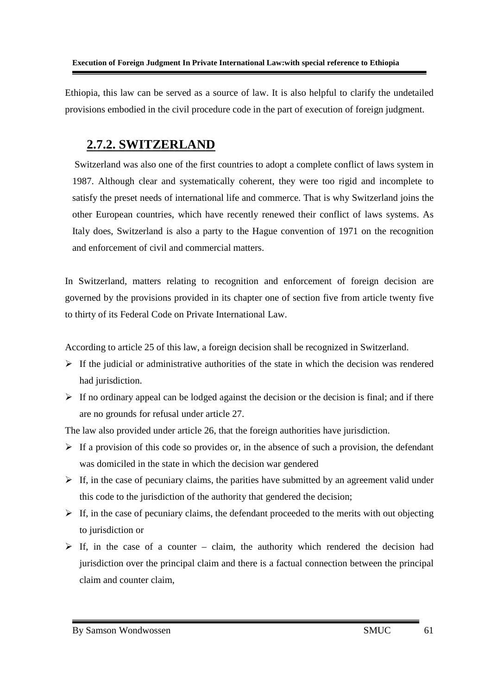Ethiopia, this law can be served as a source of law. It is also helpful to clarify the undetailed provisions embodied in the civil procedure code in the part of execution of foreign judgment.

## **2.7.2. SWITZERLAND**

 Switzerland was also one of the first countries to adopt a complete conflict of laws system in 1987. Although clear and systematically coherent, they were too rigid and incomplete to satisfy the preset needs of international life and commerce. That is why Switzerland joins the other European countries, which have recently renewed their conflict of laws systems. As Italy does, Switzerland is also a party to the Hague convention of 1971 on the recognition and enforcement of civil and commercial matters.

In Switzerland, matters relating to recognition and enforcement of foreign decision are governed by the provisions provided in its chapter one of section five from article twenty five to thirty of its Federal Code on Private International Law.

According to article 25 of this law, a foreign decision shall be recognized in Switzerland.

- > If the judicial or administrative authorities of the state in which the decision was rendered had jurisdiction.
- If no ordinary appeal can be lodged against the decision or the decision is final; and if there are no grounds for refusal under article 27.

The law also provided under article 26, that the foreign authorities have jurisdiction.

- If a provision of this code so provides or, in the absence of such a provision, the defendant was domiciled in the state in which the decision war gendered
- If, in the case of pecuniary claims, the parities have submitted by an agreement valid under this code to the jurisdiction of the authority that gendered the decision;
- > If, in the case of pecuniary claims, the defendant proceeded to the merits with out objecting to jurisdiction or
- $\triangleright$  If, in the case of a counter claim, the authority which rendered the decision had jurisdiction over the principal claim and there is a factual connection between the principal claim and counter claim,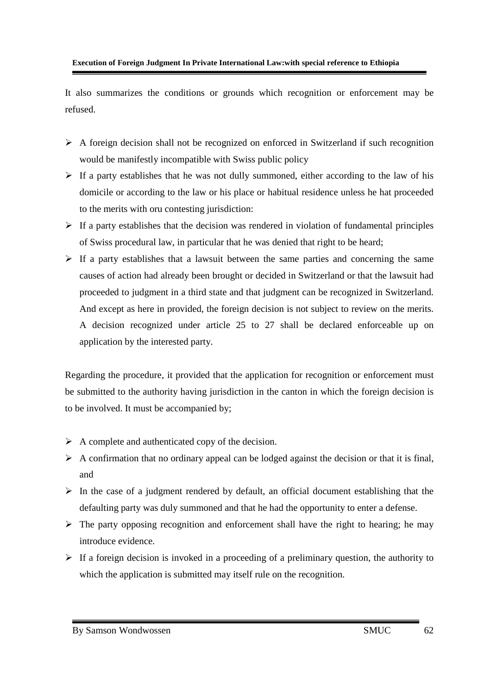It also summarizes the conditions or grounds which recognition or enforcement may be refused.

- > A foreign decision shall not be recognized on enforced in Switzerland if such recognition would be manifestly incompatible with Swiss public policy
- > If a party establishes that he was not dully summoned, either according to the law of his domicile or according to the law or his place or habitual residence unless he hat proceeded to the merits with oru contesting jurisdiction:
- If a party establishes that the decision was rendered in violation of fundamental principles of Swiss procedural law, in particular that he was denied that right to be heard;
- $\triangleright$  If a party establishes that a lawsuit between the same parties and concerning the same causes of action had already been brought or decided in Switzerland or that the lawsuit had proceeded to judgment in a third state and that judgment can be recognized in Switzerland. And except as here in provided, the foreign decision is not subject to review on the merits. A decision recognized under article 25 to 27 shall be declared enforceable up on application by the interested party.

Regarding the procedure, it provided that the application for recognition or enforcement must be submitted to the authority having jurisdiction in the canton in which the foreign decision is to be involved. It must be accompanied by;

- A complete and authenticated copy of the decision.
- A confirmation that no ordinary appeal can be lodged against the decision or that it is final, and
- > In the case of a judgment rendered by default, an official document establishing that the defaulting party was duly summoned and that he had the opportunity to enter a defense.
- > The party opposing recognition and enforcement shall have the right to hearing; he may introduce evidence.
- If a foreign decision is invoked in a proceeding of a preliminary question, the authority to which the application is submitted may itself rule on the recognition.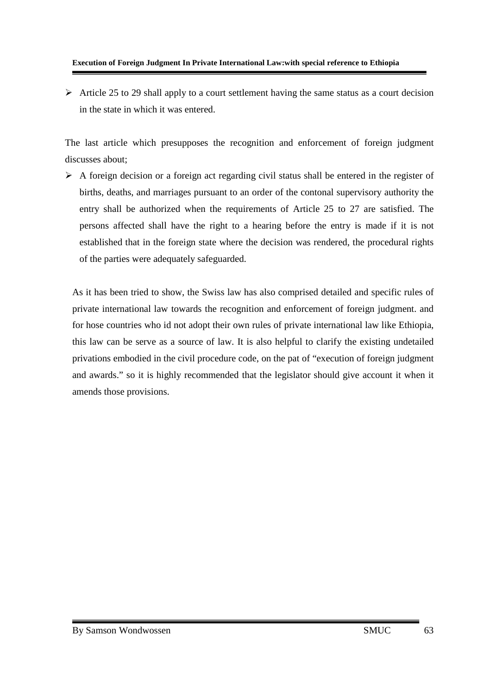#### **Execution of Foreign Judgment In Private International Law:with special reference to Ethiopia**

Article 25 to 29 shall apply to a court settlement having the same status as a court decision in the state in which it was entered.

The last article which presupposes the recognition and enforcement of foreign judgment discusses about;

> A foreign decision or a foreign act regarding civil status shall be entered in the register of births, deaths, and marriages pursuant to an order of the contonal supervisory authority the entry shall be authorized when the requirements of Article 25 to 27 are satisfied. The persons affected shall have the right to a hearing before the entry is made if it is not established that in the foreign state where the decision was rendered, the procedural rights of the parties were adequately safeguarded.

As it has been tried to show, the Swiss law has also comprised detailed and specific rules of private international law towards the recognition and enforcement of foreign judgment. and for hose countries who id not adopt their own rules of private international law like Ethiopia, this law can be serve as a source of law. It is also helpful to clarify the existing undetailed privations embodied in the civil procedure code, on the pat of "execution of foreign judgment and awards." so it is highly recommended that the legislator should give account it when it amends those provisions.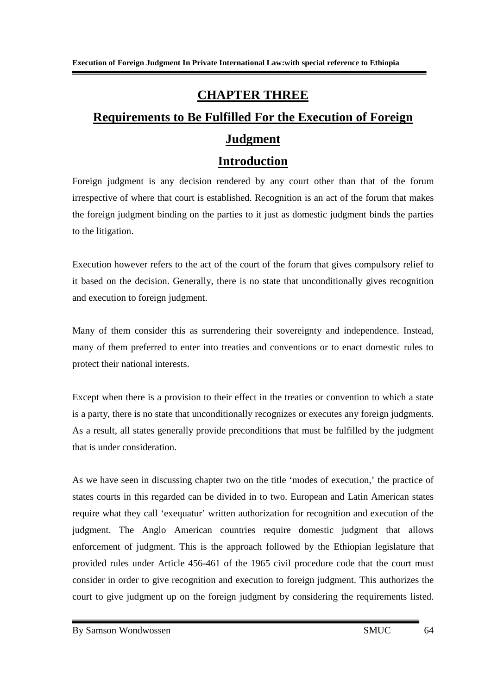## **CHAPTER THREE**

# **Requirements to Be Fulfilled For the Execution of Foreign Judgment**

### **Introduction**

Foreign judgment is any decision rendered by any court other than that of the forum irrespective of where that court is established. Recognition is an act of the forum that makes the foreign judgment binding on the parties to it just as domestic judgment binds the parties to the litigation.

Execution however refers to the act of the court of the forum that gives compulsory relief to it based on the decision. Generally, there is no state that unconditionally gives recognition and execution to foreign judgment.

Many of them consider this as surrendering their sovereignty and independence. Instead, many of them preferred to enter into treaties and conventions or to enact domestic rules to protect their national interests.

Except when there is a provision to their effect in the treaties or convention to which a state is a party, there is no state that unconditionally recognizes or executes any foreign judgments. As a result, all states generally provide preconditions that must be fulfilled by the judgment that is under consideration.

As we have seen in discussing chapter two on the title 'modes of execution,' the practice of states courts in this regarded can be divided in to two. European and Latin American states require what they call 'exequatur' written authorization for recognition and execution of the judgment. The Anglo American countries require domestic judgment that allows enforcement of judgment. This is the approach followed by the Ethiopian legislature that provided rules under Article 456-461 of the 1965 civil procedure code that the court must consider in order to give recognition and execution to foreign judgment. This authorizes the court to give judgment up on the foreign judgment by considering the requirements listed.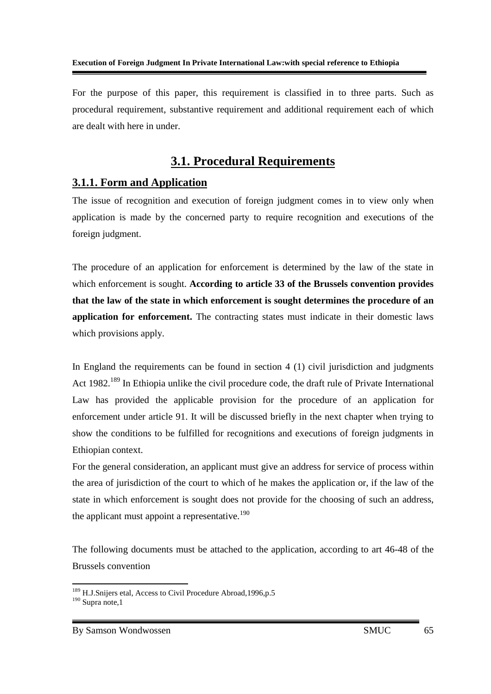For the purpose of this paper, this requirement is classified in to three parts. Such as procedural requirement, substantive requirement and additional requirement each of which are dealt with here in under.

## **3.1. Procedural Requirements**

### **3.1.1. Form and Application**

The issue of recognition and execution of foreign judgment comes in to view only when application is made by the concerned party to require recognition and executions of the foreign judgment.

The procedure of an application for enforcement is determined by the law of the state in which enforcement is sought. **According to article 33 of the Brussels convention provides that the law of the state in which enforcement is sought determines the procedure of an application for enforcement.** The contracting states must indicate in their domestic laws which provisions apply.

In England the requirements can be found in section 4 (1) civil jurisdiction and judgments Act 1982.<sup>189</sup> In Ethiopia unlike the civil procedure code, the draft rule of Private International Law has provided the applicable provision for the procedure of an application for enforcement under article 91. It will be discussed briefly in the next chapter when trying to show the conditions to be fulfilled for recognitions and executions of foreign judgments in Ethiopian context.

For the general consideration, an applicant must give an address for service of process within the area of jurisdiction of the court to which of he makes the application or, if the law of the state in which enforcement is sought does not provide for the choosing of such an address, the applicant must appoint a representative.<sup>190</sup>

The following documents must be attached to the application, according to art 46-48 of the Brussels convention

<sup>&</sup>lt;u>.</u> <sup>189</sup> H.J.Snijers etal, Access to Civil Procedure Abroad, 1996, p.5  $190$  Supra note, 1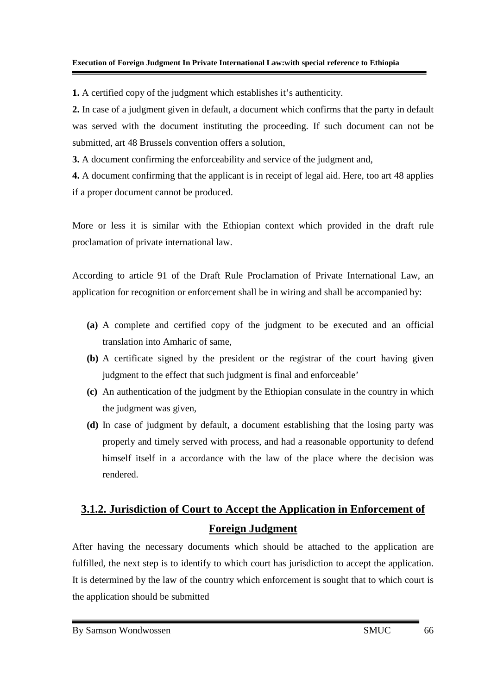**1.** A certified copy of the judgment which establishes it's authenticity.

**2.** In case of a judgment given in default, a document which confirms that the party in default was served with the document instituting the proceeding. If such document can not be submitted, art 48 Brussels convention offers a solution,

**3.** A document confirming the enforceability and service of the judgment and,

**4.** A document confirming that the applicant is in receipt of legal aid. Here, too art 48 applies if a proper document cannot be produced.

More or less it is similar with the Ethiopian context which provided in the draft rule proclamation of private international law.

According to article 91 of the Draft Rule Proclamation of Private International Law, an application for recognition or enforcement shall be in wiring and shall be accompanied by:

- **(a)** A complete and certified copy of the judgment to be executed and an official translation into Amharic of same,
- **(b)** A certificate signed by the president or the registrar of the court having given judgment to the effect that such judgment is final and enforceable'
- **(c)** An authentication of the judgment by the Ethiopian consulate in the country in which the judgment was given,
- **(d)** In case of judgment by default, a document establishing that the losing party was properly and timely served with process, and had a reasonable opportunity to defend himself itself in a accordance with the law of the place where the decision was rendered.

## **3.1.2. Jurisdiction of Court to Accept the Application in Enforcement of Foreign Judgment**

After having the necessary documents which should be attached to the application are fulfilled, the next step is to identify to which court has jurisdiction to accept the application. It is determined by the law of the country which enforcement is sought that to which court is the application should be submitted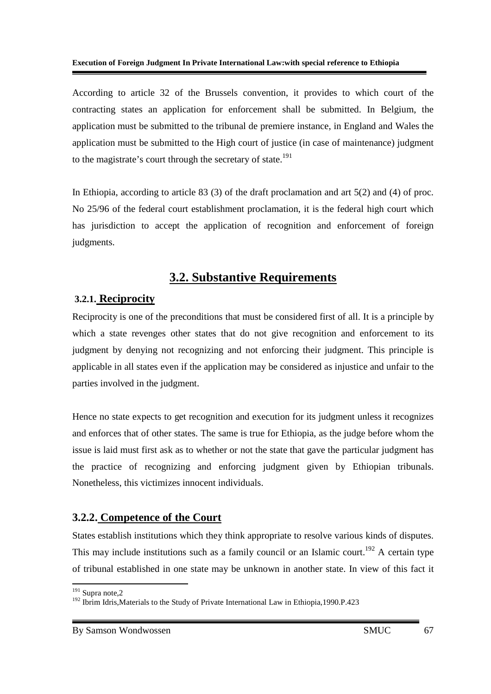According to article 32 of the Brussels convention, it provides to which court of the contracting states an application for enforcement shall be submitted. In Belgium, the application must be submitted to the tribunal de premiere instance, in England and Wales the application must be submitted to the High court of justice (in case of maintenance) judgment to the magistrate's court through the secretary of state.<sup>191</sup>

In Ethiopia, according to article 83 (3) of the draft proclamation and art 5(2) and (4) of proc. No 25/96 of the federal court establishment proclamation, it is the federal high court which has jurisdiction to accept the application of recognition and enforcement of foreign judgments.

## **3.2. Substantive Requirements**

### **3.2.1. Reciprocity**

Reciprocity is one of the preconditions that must be considered first of all. It is a principle by which a state revenges other states that do not give recognition and enforcement to its judgment by denying not recognizing and not enforcing their judgment. This principle is applicable in all states even if the application may be considered as injustice and unfair to the parties involved in the judgment.

Hence no state expects to get recognition and execution for its judgment unless it recognizes and enforces that of other states. The same is true for Ethiopia, as the judge before whom the issue is laid must first ask as to whether or not the state that gave the particular judgment has the practice of recognizing and enforcing judgment given by Ethiopian tribunals. Nonetheless, this victimizes innocent individuals.

### **3.2.2. Competence of the Court**

States establish institutions which they think appropriate to resolve various kinds of disputes. This may include institutions such as a family council or an Islamic court.<sup>192</sup> A certain type of tribunal established in one state may be unknown in another state. In view of this fact it

<u>.</u>  $191$  Supra note, 2

<sup>&</sup>lt;sup>192</sup> Ibrim Idris, Materials to the Study of Private International Law in Ethiopia, 1990.P.423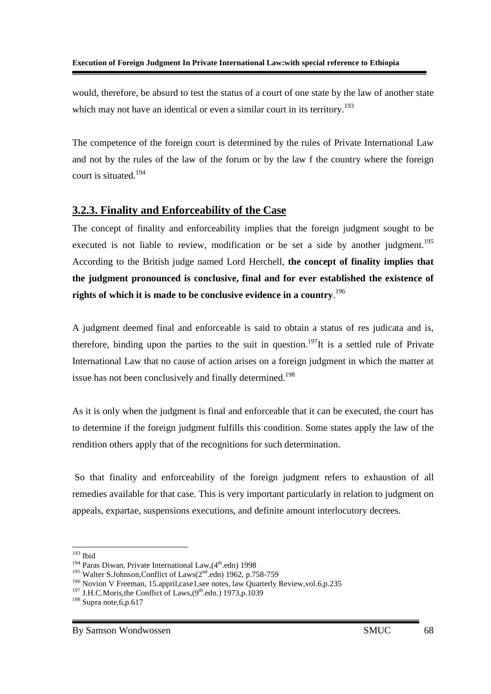would, therefore, be absurd to test the status of a court of one state by the law of another state which may not have an identical or even a similar court in its territory.<sup>193</sup>

The competence of the foreign court is determined by the rules of Private International Law and not by the rules of the law of the forum or by the law f the country where the foreign court is situated.<sup>194</sup>

### **3.2.3. Finality and Enforceability of the Case**

The concept of finality and enforceability implies that the foreign judgment sought to be executed is not liable to review, modification or be set a side by another judgment.<sup>195</sup> According to the British judge named Lord Herchell, **the concept of finality implies that the judgment pronounced is conclusive, final and for ever established the existence of rights of which it is made to be conclusive evidence in a country**. 196

A judgment deemed final and enforceable is said to obtain a status of res judicata and is, therefore, binding upon the parties to the suit in question.<sup>197</sup>It is a settled rule of Private International Law that no cause of action arises on a foreign judgment in which the matter at issue has not been conclusively and finally determined.<sup>198</sup>

As it is only when the judgment is final and enforceable that it can be executed, the court has to determine if the foreign judgment fulfills this condition. Some states apply the law of the rendition others apply that of the recognitions for such determination.

 So that finality and enforceability of the foreign judgment refers to exhaustion of all remedies available for that case. This is very important particularly in relation to judgment on appeals, expartae, suspensions executions, and definite amount interlocutory decrees.

<sup>-</sup> $193$  Ibid

 $194$  Paras Diwan, Private International Law,  $(4<sup>th</sup>$ .edn) 1998

<sup>&</sup>lt;sup>195</sup> Walter S.Johnson, Conflict of Laws(2<sup>nd</sup>.edn) 1962, p.758-759

<sup>&</sup>lt;sup>196</sup> Novion V Freeman, 15.appril,case1,see notes, law Quarterly Review,vol.6,p.235

<sup>&</sup>lt;sup>197</sup> J.H.C.Moris, the Conflict of Laws,  $(9^{th}$ .edn.) 1973, p.1039

<sup>&</sup>lt;sup>198</sup> Supra note, 6, p.617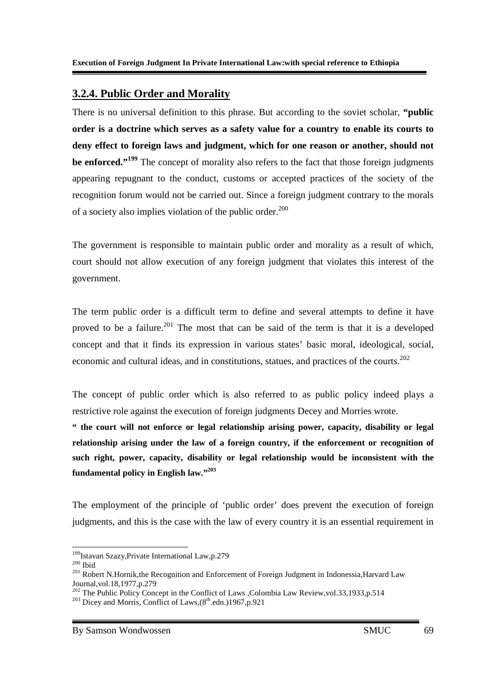### **3.2.4. Public Order and Morality**

There is no universal definition to this phrase. But according to the soviet scholar, **"public order is a doctrine which serves as a safety value for a country to enable its courts to deny effect to foreign laws and judgment, which for one reason or another, should not be enforced."<sup>199</sup>** The concept of morality also refers to the fact that those foreign judgments appearing repugnant to the conduct, customs or accepted practices of the society of the recognition forum would not be carried out. Since a foreign judgment contrary to the morals of a society also implies violation of the public order.<sup>200</sup>

The government is responsible to maintain public order and morality as a result of which, court should not allow execution of any foreign judgment that violates this interest of the government.

The term public order is a difficult term to define and several attempts to define it have proved to be a failure.<sup>201</sup> The most that can be said of the term is that it is a developed concept and that it finds its expression in various states' basic moral, ideological, social, economic and cultural ideas, and in constitutions, statues, and practices of the courts.<sup>202</sup>

The concept of public order which is also referred to as public policy indeed plays a restrictive role against the execution of foreign judgments Decey and Morries wrote.

**" the court will not enforce or legal relationship arising power, capacity, disability or legal relationship arising under the law of a foreign country, if the enforcement or recognition of such right, power, capacity, disability or legal relationship would be inconsistent with the fundamental policy in English law."<sup>203</sup>**

The employment of the principle of 'public order' does prevent the execution of foreign judgments, and this is the case with the law of every country it is an essential requirement in

<sup>-</sup><sup>199</sup>Istavan Szazy, Private International Law, p.279

 $^{200}\mathrm{T}$ bid

<sup>&</sup>lt;sup>201</sup> Robert N.Hornik, the Recognition and Enforcement of Foreign Judgment in Indonessia, Harvard Law Journal,vol.18,1977,p.279

<sup>&</sup>lt;sup>202</sup> The Public Policy Concept in the Conflict of Laws ,Colombia Law Review, vol.33,1933,p.514 <sup>203</sup> Dicey and Morris, Conflict of Laws,  $(8<sup>th</sup>.edn.)1967, p.921$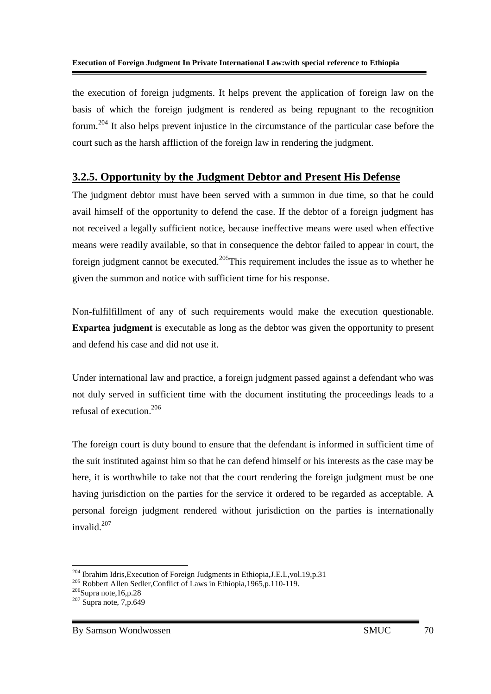the execution of foreign judgments. It helps prevent the application of foreign law on the basis of which the foreign judgment is rendered as being repugnant to the recognition forum.<sup>204</sup> It also helps prevent injustice in the circumstance of the particular case before the court such as the harsh affliction of the foreign law in rendering the judgment.

### **3.2.5. Opportunity by the Judgment Debtor and Present His Defense**

The judgment debtor must have been served with a summon in due time, so that he could avail himself of the opportunity to defend the case. If the debtor of a foreign judgment has not received a legally sufficient notice, because ineffective means were used when effective means were readily available, so that in consequence the debtor failed to appear in court, the foreign judgment cannot be executed.<sup>205</sup>This requirement includes the issue as to whether he given the summon and notice with sufficient time for his response.

Non-fulfilfillment of any of such requirements would make the execution questionable. **Expartea judgment** is executable as long as the debtor was given the opportunity to present and defend his case and did not use it.

Under international law and practice, a foreign judgment passed against a defendant who was not duly served in sufficient time with the document instituting the proceedings leads to a refusal of execution.<sup>206</sup>

The foreign court is duty bound to ensure that the defendant is informed in sufficient time of the suit instituted against him so that he can defend himself or his interests as the case may be here, it is worthwhile to take not that the court rendering the foreign judgment must be one having jurisdiction on the parties for the service it ordered to be regarded as acceptable. A personal foreign judgment rendered without jurisdiction on the parties is internationally invalid.<sup>207</sup>

-

<sup>&</sup>lt;sup>204</sup> Ibrahim Idris, Execution of Foreign Judgments in Ethiopia, J.E.L, vol.19, p.31

<sup>&</sup>lt;sup>205</sup> Robbert Allen Sedler, Conflict of Laws in Ethiopia, 1965, p. 110-119.

 $206$ Supra note,16,p.28

 $207$  Supra note, 7,p.649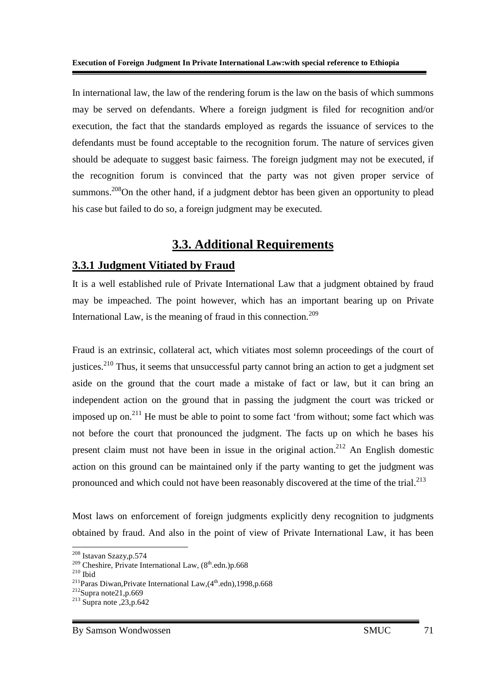In international law, the law of the rendering forum is the law on the basis of which summons may be served on defendants. Where a foreign judgment is filed for recognition and/or execution, the fact that the standards employed as regards the issuance of services to the defendants must be found acceptable to the recognition forum. The nature of services given should be adequate to suggest basic fairness. The foreign judgment may not be executed, if the recognition forum is convinced that the party was not given proper service of summons.<sup>208</sup>On the other hand, if a judgment debtor has been given an opportunity to plead his case but failed to do so, a foreign judgment may be executed.

## **3.3. Additional Requirements**

### **3.3.1 Judgment Vitiated by Fraud**

It is a well established rule of Private International Law that a judgment obtained by fraud may be impeached. The point however, which has an important bearing up on Private International Law, is the meaning of fraud in this connection.<sup>209</sup>

Fraud is an extrinsic, collateral act, which vitiates most solemn proceedings of the court of justices.<sup>210</sup> Thus, it seems that unsuccessful party cannot bring an action to get a judgment set aside on the ground that the court made a mistake of fact or law, but it can bring an independent action on the ground that in passing the judgment the court was tricked or imposed up on.<sup>211</sup> He must be able to point to some fact 'from without; some fact which was not before the court that pronounced the judgment. The facts up on which he bases his present claim must not have been in issue in the original action.<sup>212</sup> An English domestic action on this ground can be maintained only if the party wanting to get the judgment was pronounced and which could not have been reasonably discovered at the time of the trial. $^{213}$ 

Most laws on enforcement of foreign judgments explicitly deny recognition to judgments obtained by fraud. And also in the point of view of Private International Law, it has been

-

<sup>208</sup> Istavan Szazy,p.574

 $209$  Cheshire, Private International Law,  $(8<sup>th</sup>$ .edn.)p.668

 $210$ Ibid

<sup>&</sup>lt;sup>211</sup>Paras Diwan, Private International Law,  $(4<sup>th</sup>$ .edn), 1998, p.668

 $212$ Supra note21,p.669

 $2^{13}$  Supra note ,  $23, p.642$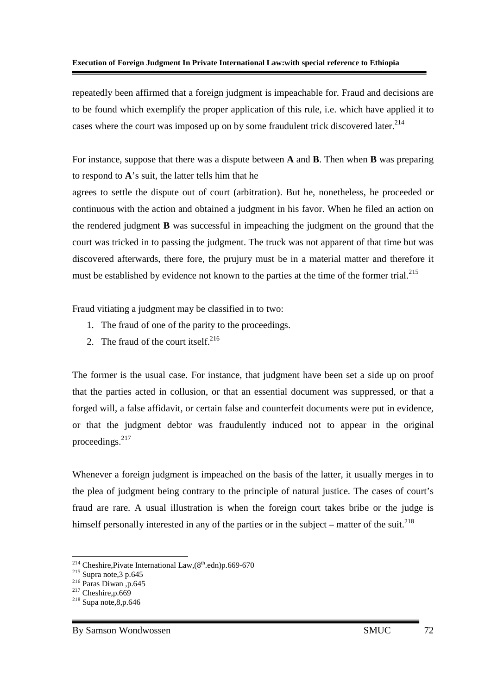repeatedly been affirmed that a foreign judgment is impeachable for. Fraud and decisions are to be found which exemplify the proper application of this rule, i.e. which have applied it to cases where the court was imposed up on by some fraudulent trick discovered later.<sup>214</sup>

For instance, suppose that there was a dispute between **A** and **B**. Then when **B** was preparing to respond to **A**'s suit, the latter tells him that he

agrees to settle the dispute out of court (arbitration). But he, nonetheless, he proceeded or continuous with the action and obtained a judgment in his favor. When he filed an action on the rendered judgment **B** was successful in impeaching the judgment on the ground that the court was tricked in to passing the judgment. The truck was not apparent of that time but was discovered afterwards, there fore, the prujury must be in a material matter and therefore it must be established by evidence not known to the parties at the time of the former trial.<sup>215</sup>

Fraud vitiating a judgment may be classified in to two:

- 1. The fraud of one of the parity to the proceedings.
- 2. The fraud of the court itself. $2^{216}$

The former is the usual case. For instance, that judgment have been set a side up on proof that the parties acted in collusion, or that an essential document was suppressed, or that a forged will, a false affidavit, or certain false and counterfeit documents were put in evidence, or that the judgment debtor was fraudulently induced not to appear in the original proceedings.<sup>217</sup>

Whenever a foreign judgment is impeached on the basis of the latter, it usually merges in to the plea of judgment being contrary to the principle of natural justice. The cases of court's fraud are rare. A usual illustration is when the foreign court takes bribe or the judge is himself personally interested in any of the parties or in the subject – matter of the suit.<sup>218</sup>

<sup>-</sup><sup>214</sup> Cheshire, Pivate International Law,  $(8<sup>th</sup>$ .edn)p.669-670

 $215$  Supra note, 3 p.645

 $216$  Paras Diwan, p.645

 $217$  Cheshire, p.669

 $218$  Supa note, 8, p. 646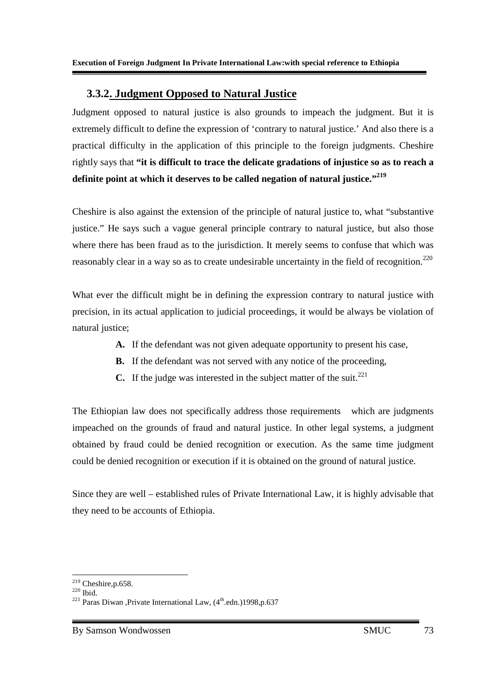### **3.3.2. Judgment Opposed to Natural Justice**

Judgment opposed to natural justice is also grounds to impeach the judgment. But it is extremely difficult to define the expression of 'contrary to natural justice.' And also there is a practical difficulty in the application of this principle to the foreign judgments. Cheshire rightly says that **"it is difficult to trace the delicate gradations of injustice so as to reach a definite point at which it deserves to be called negation of natural justice."<sup>219</sup>**

Cheshire is also against the extension of the principle of natural justice to, what "substantive justice." He says such a vague general principle contrary to natural justice, but also those where there has been fraud as to the jurisdiction. It merely seems to confuse that which was reasonably clear in a way so as to create undesirable uncertainty in the field of recognition.<sup>220</sup>

What ever the difficult might be in defining the expression contrary to natural justice with precision, in its actual application to judicial proceedings, it would be always be violation of natural justice;

- **A.** If the defendant was not given adequate opportunity to present his case,
- **B.** If the defendant was not served with any notice of the proceeding,
- **C.** If the judge was interested in the subject matter of the suit.<sup>221</sup>

The Ethiopian law does not specifically address those requirements which are judgments impeached on the grounds of fraud and natural justice. In other legal systems, a judgment obtained by fraud could be denied recognition or execution. As the same time judgment could be denied recognition or execution if it is obtained on the ground of natural justice.

Since they are well – established rules of Private International Law, it is highly advisable that they need to be accounts of Ethiopia.

<sup>-</sup> $219$  Cheshire, p.658.

<sup>220</sup> Ibid.

<sup>&</sup>lt;sup>221</sup> Paras Diwan ,Private International Law,  $(4<sup>th</sup>$ .edn.)1998,p.637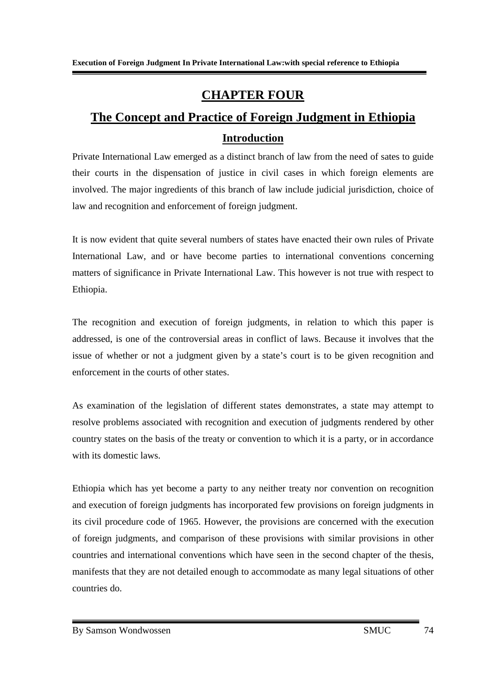## **CHAPTER FOUR**

# **The Concept and Practice of Foreign Judgment in Ethiopia Introduction**

Private International Law emerged as a distinct branch of law from the need of sates to guide their courts in the dispensation of justice in civil cases in which foreign elements are involved. The major ingredients of this branch of law include judicial jurisdiction, choice of law and recognition and enforcement of foreign judgment.

It is now evident that quite several numbers of states have enacted their own rules of Private International Law, and or have become parties to international conventions concerning matters of significance in Private International Law. This however is not true with respect to Ethiopia.

The recognition and execution of foreign judgments, in relation to which this paper is addressed, is one of the controversial areas in conflict of laws. Because it involves that the issue of whether or not a judgment given by a state's court is to be given recognition and enforcement in the courts of other states.

As examination of the legislation of different states demonstrates, a state may attempt to resolve problems associated with recognition and execution of judgments rendered by other country states on the basis of the treaty or convention to which it is a party, or in accordance with its domestic laws.

Ethiopia which has yet become a party to any neither treaty nor convention on recognition and execution of foreign judgments has incorporated few provisions on foreign judgments in its civil procedure code of 1965. However, the provisions are concerned with the execution of foreign judgments, and comparison of these provisions with similar provisions in other countries and international conventions which have seen in the second chapter of the thesis, manifests that they are not detailed enough to accommodate as many legal situations of other countries do.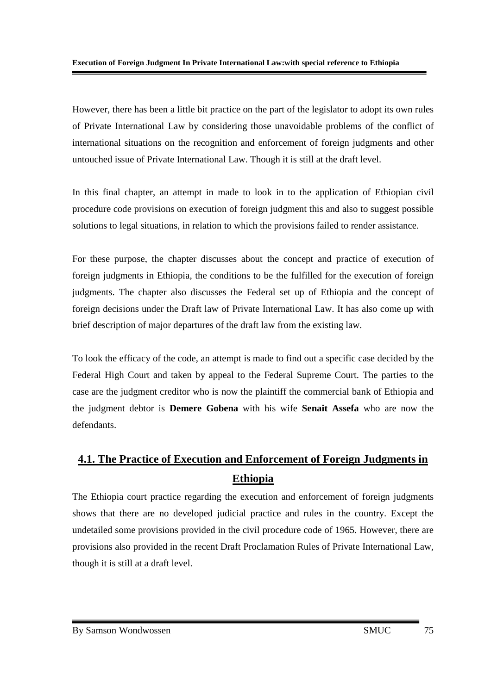However, there has been a little bit practice on the part of the legislator to adopt its own rules of Private International Law by considering those unavoidable problems of the conflict of international situations on the recognition and enforcement of foreign judgments and other untouched issue of Private International Law. Though it is still at the draft level.

In this final chapter, an attempt in made to look in to the application of Ethiopian civil procedure code provisions on execution of foreign judgment this and also to suggest possible solutions to legal situations, in relation to which the provisions failed to render assistance.

For these purpose, the chapter discusses about the concept and practice of execution of foreign judgments in Ethiopia, the conditions to be the fulfilled for the execution of foreign judgments. The chapter also discusses the Federal set up of Ethiopia and the concept of foreign decisions under the Draft law of Private International Law. It has also come up with brief description of major departures of the draft law from the existing law.

To look the efficacy of the code, an attempt is made to find out a specific case decided by the Federal High Court and taken by appeal to the Federal Supreme Court. The parties to the case are the judgment creditor who is now the plaintiff the commercial bank of Ethiopia and the judgment debtor is **Demere Gobena** with his wife **Senait Assefa** who are now the defendants.

## **4.1. The Practice of Execution and Enforcement of Foreign Judgments in Ethiopia**

The Ethiopia court practice regarding the execution and enforcement of foreign judgments shows that there are no developed judicial practice and rules in the country. Except the undetailed some provisions provided in the civil procedure code of 1965. However, there are provisions also provided in the recent Draft Proclamation Rules of Private International Law, though it is still at a draft level.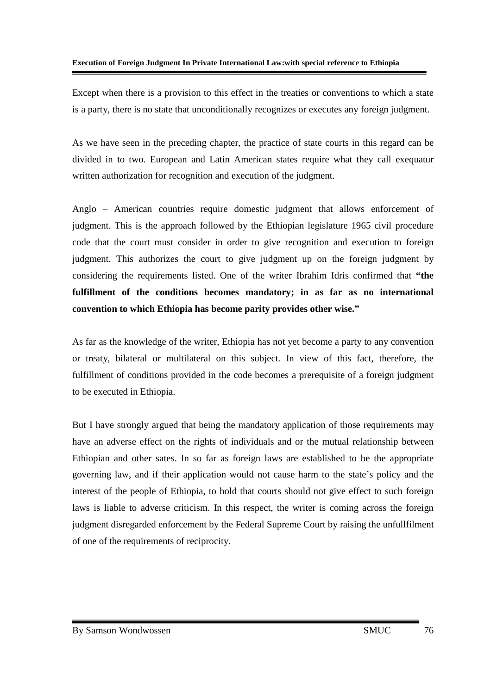Except when there is a provision to this effect in the treaties or conventions to which a state is a party, there is no state that unconditionally recognizes or executes any foreign judgment.

As we have seen in the preceding chapter, the practice of state courts in this regard can be divided in to two. European and Latin American states require what they call exequatur written authorization for recognition and execution of the judgment.

Anglo – American countries require domestic judgment that allows enforcement of judgment. This is the approach followed by the Ethiopian legislature 1965 civil procedure code that the court must consider in order to give recognition and execution to foreign judgment. This authorizes the court to give judgment up on the foreign judgment by considering the requirements listed. One of the writer Ibrahim Idris confirmed that **"the fulfillment of the conditions becomes mandatory; in as far as no international convention to which Ethiopia has become parity provides other wise."** 

As far as the knowledge of the writer, Ethiopia has not yet become a party to any convention or treaty, bilateral or multilateral on this subject. In view of this fact, therefore, the fulfillment of conditions provided in the code becomes a prerequisite of a foreign judgment to be executed in Ethiopia.

But I have strongly argued that being the mandatory application of those requirements may have an adverse effect on the rights of individuals and or the mutual relationship between Ethiopian and other sates. In so far as foreign laws are established to be the appropriate governing law, and if their application would not cause harm to the state's policy and the interest of the people of Ethiopia, to hold that courts should not give effect to such foreign laws is liable to adverse criticism. In this respect, the writer is coming across the foreign judgment disregarded enforcement by the Federal Supreme Court by raising the unfullfilment of one of the requirements of reciprocity.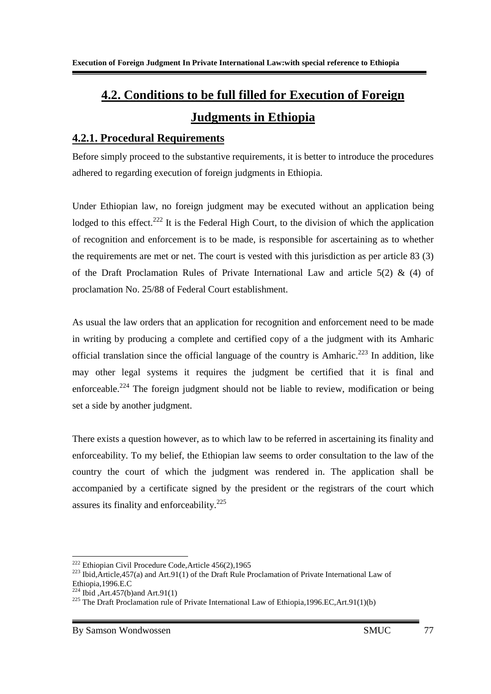# **4.2. Conditions to be full filled for Execution of Foreign Judgments in Ethiopia**

### **4.2.1. Procedural Requirements**

Before simply proceed to the substantive requirements, it is better to introduce the procedures adhered to regarding execution of foreign judgments in Ethiopia.

Under Ethiopian law, no foreign judgment may be executed without an application being lodged to this effect.<sup>222</sup> It is the Federal High Court, to the division of which the application of recognition and enforcement is to be made, is responsible for ascertaining as to whether the requirements are met or net. The court is vested with this jurisdiction as per article 83 (3) of the Draft Proclamation Rules of Private International Law and article  $5(2)$  & (4) of proclamation No. 25/88 of Federal Court establishment.

As usual the law orders that an application for recognition and enforcement need to be made in writing by producing a complete and certified copy of a the judgment with its Amharic official translation since the official language of the country is Amharic.<sup>223</sup> In addition, like may other legal systems it requires the judgment be certified that it is final and enforceable.<sup>224</sup> The foreign judgment should not be liable to review, modification or being set a side by another judgment.

There exists a question however, as to which law to be referred in ascertaining its finality and enforceability. To my belief, the Ethiopian law seems to order consultation to the law of the country the court of which the judgment was rendered in. The application shall be accompanied by a certificate signed by the president or the registrars of the court which assures its finality and enforceability.<sup>225</sup>

<sup>-</sup><sup>222</sup> Ethiopian Civil Procedure Code, Article 456(2), 1965

<sup>&</sup>lt;sup>223</sup> Ibid,Article,457(a) and Art.91(1) of the Draft Rule Proclamation of Private International Law of Ethiopia,1996.E.C

 $224$  Ibid , Art. 457(b) and Art. 91(1)

<sup>&</sup>lt;sup>225</sup> The Draft Proclamation rule of Private International Law of Ethiopia, 1996.EC, Art.91(1)(b)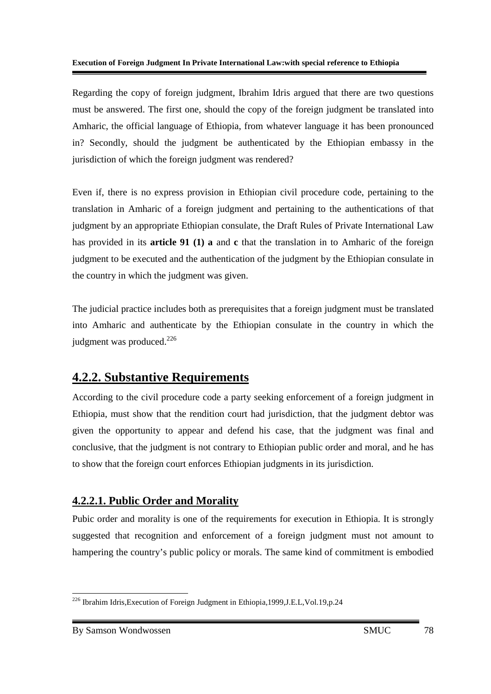Regarding the copy of foreign judgment, Ibrahim Idris argued that there are two questions must be answered. The first one, should the copy of the foreign judgment be translated into Amharic, the official language of Ethiopia, from whatever language it has been pronounced in? Secondly, should the judgment be authenticated by the Ethiopian embassy in the jurisdiction of which the foreign judgment was rendered?

Even if, there is no express provision in Ethiopian civil procedure code, pertaining to the translation in Amharic of a foreign judgment and pertaining to the authentications of that judgment by an appropriate Ethiopian consulate, the Draft Rules of Private International Law has provided in its **article 91 (1) a** and **c** that the translation in to Amharic of the foreign judgment to be executed and the authentication of the judgment by the Ethiopian consulate in the country in which the judgment was given.

The judicial practice includes both as prerequisites that a foreign judgment must be translated into Amharic and authenticate by the Ethiopian consulate in the country in which the judgment was produced.<sup>226</sup>

## **4.2.2. Substantive Requirements**

According to the civil procedure code a party seeking enforcement of a foreign judgment in Ethiopia, must show that the rendition court had jurisdiction, that the judgment debtor was given the opportunity to appear and defend his case, that the judgment was final and conclusive, that the judgment is not contrary to Ethiopian public order and moral, and he has to show that the foreign court enforces Ethiopian judgments in its jurisdiction.

### **4.2.2.1. Public Order and Morality**

Pubic order and morality is one of the requirements for execution in Ethiopia. It is strongly suggested that recognition and enforcement of a foreign judgment must not amount to hampering the country's public policy or morals. The same kind of commitment is embodied

<sup>-</sup><sup>226</sup> Ibrahim Idris, Execution of Foreign Judgment in Ethiopia, 1999, J.E.L, Vol. 19, p. 24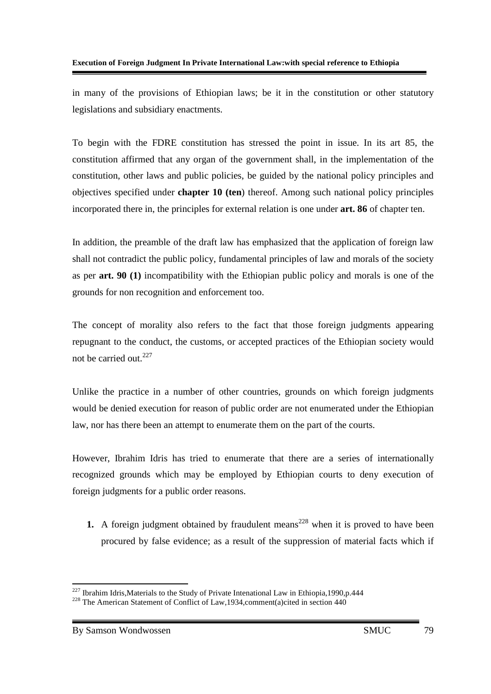in many of the provisions of Ethiopian laws; be it in the constitution or other statutory legislations and subsidiary enactments.

To begin with the FDRE constitution has stressed the point in issue. In its art 85, the constitution affirmed that any organ of the government shall, in the implementation of the constitution, other laws and public policies, be guided by the national policy principles and objectives specified under **chapter 10 (ten**) thereof. Among such national policy principles incorporated there in, the principles for external relation is one under **art. 86** of chapter ten.

In addition, the preamble of the draft law has emphasized that the application of foreign law shall not contradict the public policy, fundamental principles of law and morals of the society as per **art. 90 (1)** incompatibility with the Ethiopian public policy and morals is one of the grounds for non recognition and enforcement too.

The concept of morality also refers to the fact that those foreign judgments appearing repugnant to the conduct, the customs, or accepted practices of the Ethiopian society would not be carried out. $227$ 

Unlike the practice in a number of other countries, grounds on which foreign judgments would be denied execution for reason of public order are not enumerated under the Ethiopian law, nor has there been an attempt to enumerate them on the part of the courts.

However, Ibrahim Idris has tried to enumerate that there are a series of internationally recognized grounds which may be employed by Ethiopian courts to deny execution of foreign judgments for a public order reasons.

**1.** A foreign judgment obtained by fraudulent means<sup>228</sup> when it is proved to have been procured by false evidence; as a result of the suppression of material facts which if

<u>.</u>

 $227$  Ibrahim Idris, Materials to the Study of Private Intenational Law in Ethiopia, 1990, p. 444

<sup>&</sup>lt;sup>228</sup> The American Statement of Conflict of Law,1934,comment(a)cited in section 440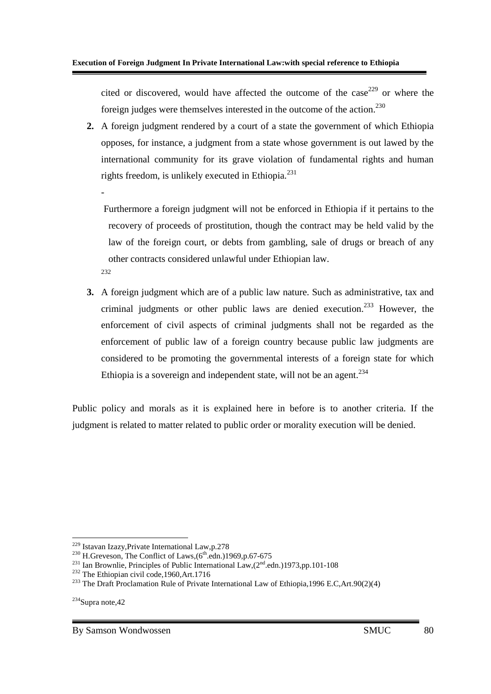cited or discovered, would have affected the outcome of the case<sup>229</sup> or where the foreign judges were themselves interested in the outcome of the action. $230$ 

**2.** A foreign judgment rendered by a court of a state the government of which Ethiopia opposes, for instance, a judgment from a state whose government is out lawed by the international community for its grave violation of fundamental rights and human rights freedom, is unlikely executed in Ethiopia.<sup>231</sup>

 Furthermore a foreign judgment will not be enforced in Ethiopia if it pertains to the recovery of proceeds of prostitution, though the contract may be held valid by the law of the foreign court, or debts from gambling, sale of drugs or breach of any other contracts considered unlawful under Ethiopian law. 232

**3.** A foreign judgment which are of a public law nature. Such as administrative, tax and criminal judgments or other public laws are denied execution.<sup>233</sup> However, the enforcement of civil aspects of criminal judgments shall not be regarded as the enforcement of public law of a foreign country because public law judgments are considered to be promoting the governmental interests of a foreign state for which Ethiopia is a sovereign and independent state, will not be an agent.<sup>234</sup>

Public policy and morals as it is explained here in before is to another criteria. If the judgment is related to matter related to public order or morality execution will be denied.

-

-

<sup>229</sup> Istavan Izazy,Private International Law,p.278

 $^{230}$  H.Greveson, The Conflict of Laws, $(6^{\text{th}}.\text{edn.})1969,\text{p.}67-675$ 

<sup>&</sup>lt;sup>231</sup> Ian Brownlie, Principles of Public International Law, $(2<sup>nd</sup>.edn.)$ 1973,pp.101-108

 $232$  The Ethiopian civil code, 1960, Art. 1716

<sup>&</sup>lt;sup>233</sup> The Draft Proclamation Rule of Private International Law of Ethiopia, 1996 E.C, Art. 90(2)(4)

<sup>234</sup>Supra note,42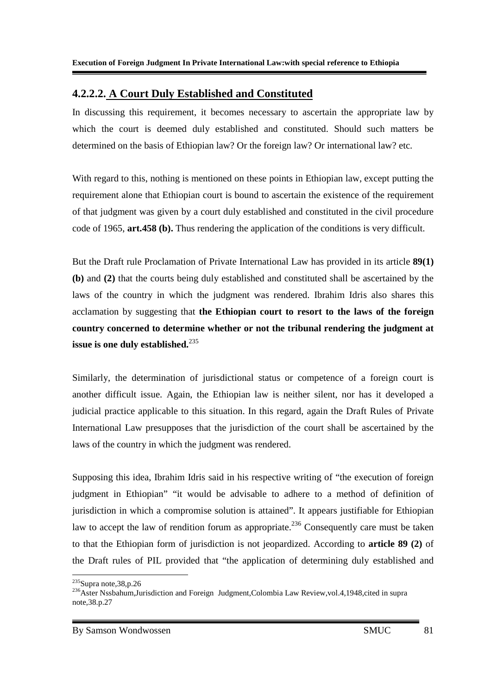### **4.2.2.2. A Court Duly Established and Constituted**

In discussing this requirement, it becomes necessary to ascertain the appropriate law by which the court is deemed duly established and constituted. Should such matters be determined on the basis of Ethiopian law? Or the foreign law? Or international law? etc.

With regard to this, nothing is mentioned on these points in Ethiopian law, except putting the requirement alone that Ethiopian court is bound to ascertain the existence of the requirement of that judgment was given by a court duly established and constituted in the civil procedure code of 1965, **art.458 (b).** Thus rendering the application of the conditions is very difficult.

But the Draft rule Proclamation of Private International Law has provided in its article **89(1) (b)** and **(2)** that the courts being duly established and constituted shall be ascertained by the laws of the country in which the judgment was rendered. Ibrahim Idris also shares this acclamation by suggesting that **the Ethiopian court to resort to the laws of the foreign country concerned to determine whether or not the tribunal rendering the judgment at issue is one duly established.**<sup>235</sup>

Similarly, the determination of jurisdictional status or competence of a foreign court is another difficult issue. Again, the Ethiopian law is neither silent, nor has it developed a judicial practice applicable to this situation. In this regard, again the Draft Rules of Private International Law presupposes that the jurisdiction of the court shall be ascertained by the laws of the country in which the judgment was rendered.

Supposing this idea, Ibrahim Idris said in his respective writing of "the execution of foreign judgment in Ethiopian" "it would be advisable to adhere to a method of definition of jurisdiction in which a compromise solution is attained". It appears justifiable for Ethiopian law to accept the law of rendition forum as appropriate.<sup>236</sup> Consequently care must be taken to that the Ethiopian form of jurisdiction is not jeopardized. According to **article 89 (2)** of the Draft rules of PIL provided that "the application of determining duly established and

<sup>-</sup><sup>235</sup>Supra note, 38, p.26

<sup>&</sup>lt;sup>236</sup>Aster Nssbahum,Jurisdiction and Foreign Judgment,Colombia Law Review,vol.4,1948,cited in supra note,38.p.27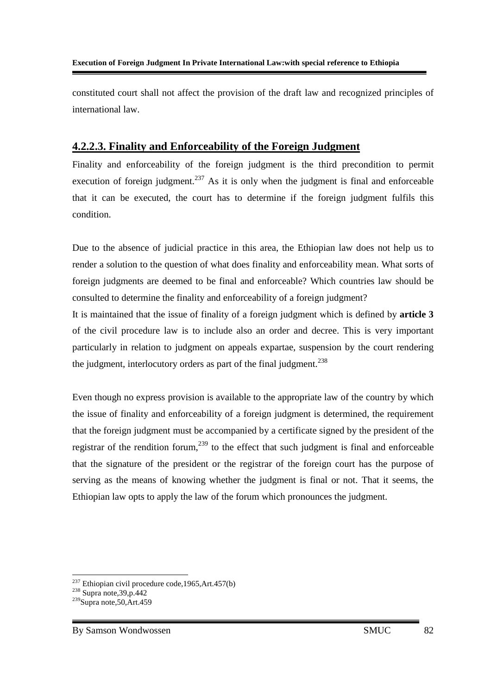constituted court shall not affect the provision of the draft law and recognized principles of international law.

### **4.2.2.3. Finality and Enforceability of the Foreign Judgment**

Finality and enforceability of the foreign judgment is the third precondition to permit execution of foreign judgment.<sup>237</sup> As it is only when the judgment is final and enforceable that it can be executed, the court has to determine if the foreign judgment fulfils this condition.

Due to the absence of judicial practice in this area, the Ethiopian law does not help us to render a solution to the question of what does finality and enforceability mean. What sorts of foreign judgments are deemed to be final and enforceable? Which countries law should be consulted to determine the finality and enforceability of a foreign judgment?

It is maintained that the issue of finality of a foreign judgment which is defined by **article 3** of the civil procedure law is to include also an order and decree. This is very important particularly in relation to judgment on appeals expartae, suspension by the court rendering the judgment, interlocutory orders as part of the final judgment.<sup>238</sup>

Even though no express provision is available to the appropriate law of the country by which the issue of finality and enforceability of a foreign judgment is determined, the requirement that the foreign judgment must be accompanied by a certificate signed by the president of the registrar of the rendition forum,<sup>239</sup> to the effect that such judgment is final and enforceable that the signature of the president or the registrar of the foreign court has the purpose of serving as the means of knowing whether the judgment is final or not. That it seems, the Ethiopian law opts to apply the law of the forum which pronounces the judgment.

-

 $237$  Ethiopian civil procedure code, 1965, Art. 457(b)

 $238$  Supra note, 39, p. 442

 $239$ Supra note, 50, Art. 459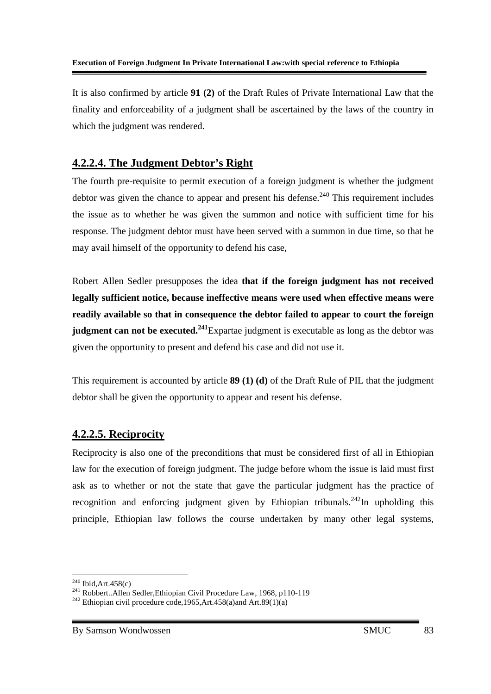It is also confirmed by article **91 (2)** of the Draft Rules of Private International Law that the finality and enforceability of a judgment shall be ascertained by the laws of the country in which the judgment was rendered.

### **4.2.2.4. The Judgment Debtor's Right**

The fourth pre-requisite to permit execution of a foreign judgment is whether the judgment debtor was given the chance to appear and present his defense.<sup>240</sup> This requirement includes the issue as to whether he was given the summon and notice with sufficient time for his response. The judgment debtor must have been served with a summon in due time, so that he may avail himself of the opportunity to defend his case,

Robert Allen Sedler presupposes the idea **that if the foreign judgment has not received legally sufficient notice, because ineffective means were used when effective means were readily available so that in consequence the debtor failed to appear to court the foreign judgment can not be executed.<sup>241</sup>**Expartae judgment is executable as long as the debtor was given the opportunity to present and defend his case and did not use it.

This requirement is accounted by article **89 (1) (d)** of the Draft Rule of PIL that the judgment debtor shall be given the opportunity to appear and resent his defense.

### **4.2.2.5. Reciprocity**

Reciprocity is also one of the preconditions that must be considered first of all in Ethiopian law for the execution of foreign judgment. The judge before whom the issue is laid must first ask as to whether or not the state that gave the particular judgment has the practice of recognition and enforcing judgment given by Ethiopian tribunals.<sup>242</sup>In upholding this principle, Ethiopian law follows the course undertaken by many other legal systems,

<sup>-</sup> $240$  Ibid, Art.  $458(c)$ 

<sup>241</sup> Robbert..Allen Sedler,Ethiopian Civil Procedure Law, 1968, p110-119

<sup>&</sup>lt;sup>242</sup> Ethiopian civil procedure code, 1965, Art. 458(a)and Art. 89(1)(a)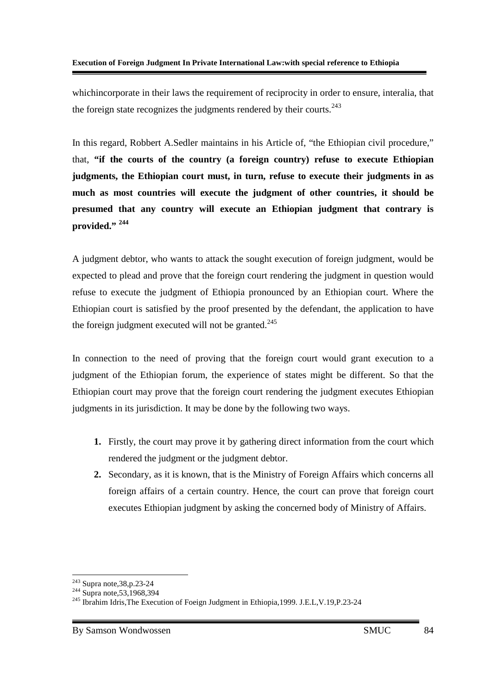whichincorporate in their laws the requirement of reciprocity in order to ensure, interalia, that the foreign state recognizes the judgments rendered by their courts.<sup>243</sup>

In this regard, Robbert A.Sedler maintains in his Article of, "the Ethiopian civil procedure," that, **"if the courts of the country (a foreign country) refuse to execute Ethiopian judgments, the Ethiopian court must, in turn, refuse to execute their judgments in as much as most countries will execute the judgment of other countries, it should be presumed that any country will execute an Ethiopian judgment that contrary is provided." <sup>244</sup>**

A judgment debtor, who wants to attack the sought execution of foreign judgment, would be expected to plead and prove that the foreign court rendering the judgment in question would refuse to execute the judgment of Ethiopia pronounced by an Ethiopian court. Where the Ethiopian court is satisfied by the proof presented by the defendant, the application to have the foreign judgment executed will not be granted. $245$ 

In connection to the need of proving that the foreign court would grant execution to a judgment of the Ethiopian forum, the experience of states might be different. So that the Ethiopian court may prove that the foreign court rendering the judgment executes Ethiopian judgments in its jurisdiction. It may be done by the following two ways.

- **1.** Firstly, the court may prove it by gathering direct information from the court which rendered the judgment or the judgment debtor.
- **2.** Secondary, as it is known, that is the Ministry of Foreign Affairs which concerns all foreign affairs of a certain country. Hence, the court can prove that foreign court executes Ethiopian judgment by asking the concerned body of Ministry of Affairs.

-

<sup>&</sup>lt;sup>243</sup> Supra note, 38, p. 23-24

 $244$  Supra note, 53, 1968, 394

<sup>&</sup>lt;sup>245</sup> Ibrahim Idris, The Execution of Foeign Judgment in Ethiopia, 1999. J.E.L, V.19, P.23-24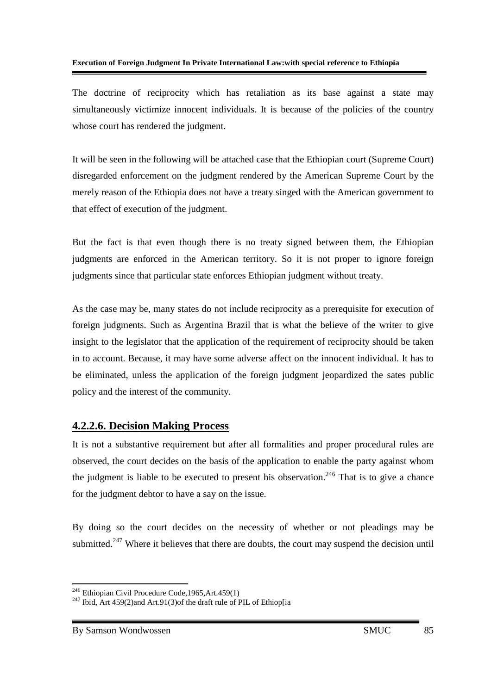The doctrine of reciprocity which has retaliation as its base against a state may simultaneously victimize innocent individuals. It is because of the policies of the country whose court has rendered the judgment.

It will be seen in the following will be attached case that the Ethiopian court (Supreme Court) disregarded enforcement on the judgment rendered by the American Supreme Court by the merely reason of the Ethiopia does not have a treaty singed with the American government to that effect of execution of the judgment.

But the fact is that even though there is no treaty signed between them, the Ethiopian judgments are enforced in the American territory. So it is not proper to ignore foreign judgments since that particular state enforces Ethiopian judgment without treaty.

As the case may be, many states do not include reciprocity as a prerequisite for execution of foreign judgments. Such as Argentina Brazil that is what the believe of the writer to give insight to the legislator that the application of the requirement of reciprocity should be taken in to account. Because, it may have some adverse affect on the innocent individual. It has to be eliminated, unless the application of the foreign judgment jeopardized the sates public policy and the interest of the community.

### **4.2.2.6. Decision Making Process**

It is not a substantive requirement but after all formalities and proper procedural rules are observed, the court decides on the basis of the application to enable the party against whom the judgment is liable to be executed to present his observation.<sup>246</sup> That is to give a chance for the judgment debtor to have a say on the issue.

By doing so the court decides on the necessity of whether or not pleadings may be submitted.<sup>247</sup> Where it believes that there are doubts, the court may suspend the decision until

<u>.</u>

 $246$  Ethiopian Civil Procedure Code, 1965, Art. 459(1)

 $^{247}$  Ibid, Art 459(2)and Art.91(3)of the draft rule of PIL of Ethiop[ia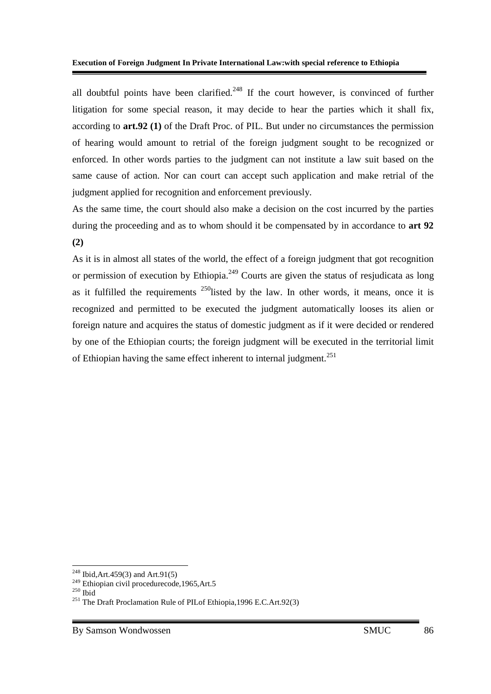all doubtful points have been clarified.<sup>248</sup> If the court however, is convinced of further litigation for some special reason, it may decide to hear the parties which it shall fix, according to **art.92 (1)** of the Draft Proc. of PIL. But under no circumstances the permission of hearing would amount to retrial of the foreign judgment sought to be recognized or enforced. In other words parties to the judgment can not institute a law suit based on the same cause of action. Nor can court can accept such application and make retrial of the judgment applied for recognition and enforcement previously.

As the same time, the court should also make a decision on the cost incurred by the parties during the proceeding and as to whom should it be compensated by in accordance to **art 92 (2)**

As it is in almost all states of the world, the effect of a foreign judgment that got recognition or permission of execution by Ethiopia.<sup>249</sup> Courts are given the status of resjudicata as long as it fulfilled the requirements  $^{250}$  listed by the law. In other words, it means, once it is recognized and permitted to be executed the judgment automatically looses its alien or foreign nature and acquires the status of domestic judgment as if it were decided or rendered by one of the Ethiopian courts; the foreign judgment will be executed in the territorial limit of Ethiopian having the same effect inherent to internal judgment.<sup>251</sup>

-

<sup>&</sup>lt;sup>248</sup> Ibid, Art. 459(3) and Art. 91(5)

 $249$  Ethiopian civil procedurecode, 1965, Art.5

 $^{250}\overline{\text{Ibid}}$ 

<sup>&</sup>lt;sup>251</sup> The Draft Proclamation Rule of PILof Ethiopia, 1996 E.C.Art.92(3)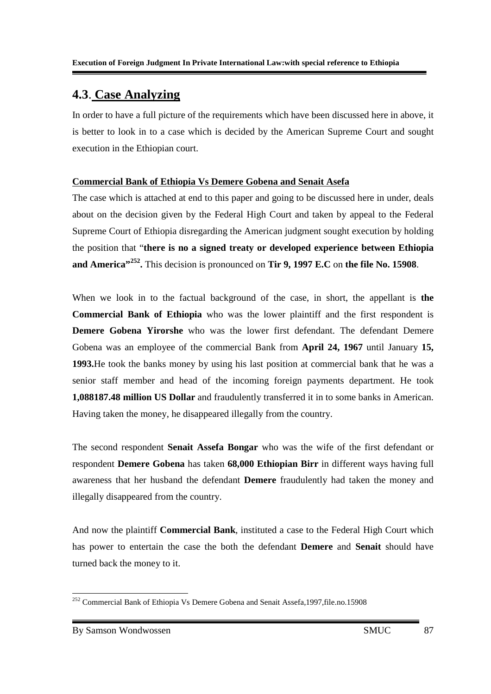## **4.3**. **Case Analyzing**

In order to have a full picture of the requirements which have been discussed here in above, it is better to look in to a case which is decided by the American Supreme Court and sought execution in the Ethiopian court.

#### **Commercial Bank of Ethiopia Vs Demere Gobena and Senait Asefa**

The case which is attached at end to this paper and going to be discussed here in under, deals about on the decision given by the Federal High Court and taken by appeal to the Federal Supreme Court of Ethiopia disregarding the American judgment sought execution by holding the position that "**there is no a signed treaty or developed experience between Ethiopia and America"<sup>252</sup> .** This decision is pronounced on **Tir 9, 1997 E.C** on **the file No. 15908**.

When we look in to the factual background of the case, in short, the appellant is **the Commercial Bank of Ethiopia** who was the lower plaintiff and the first respondent is **Demere Gobena Yirorshe** who was the lower first defendant. The defendant Demere Gobena was an employee of the commercial Bank from **April 24, 1967** until January **15, 1993.**He took the banks money by using his last position at commercial bank that he was a senior staff member and head of the incoming foreign payments department. He took **1,088187.48 million US Dollar** and fraudulently transferred it in to some banks in American. Having taken the money, he disappeared illegally from the country.

The second respondent **Senait Assefa Bongar** who was the wife of the first defendant or respondent **Demere Gobena** has taken **68,000 Ethiopian Birr** in different ways having full awareness that her husband the defendant **Demere** fraudulently had taken the money and illegally disappeared from the country.

And now the plaintiff **Commercial Bank**, instituted a case to the Federal High Court which has power to entertain the case the both the defendant **Demere** and **Senait** should have turned back the money to it.

<sup>-</sup><sup>252</sup> Commercial Bank of Ethiopia Vs Demere Gobena and Senait Assefa, 1997, file.no. 15908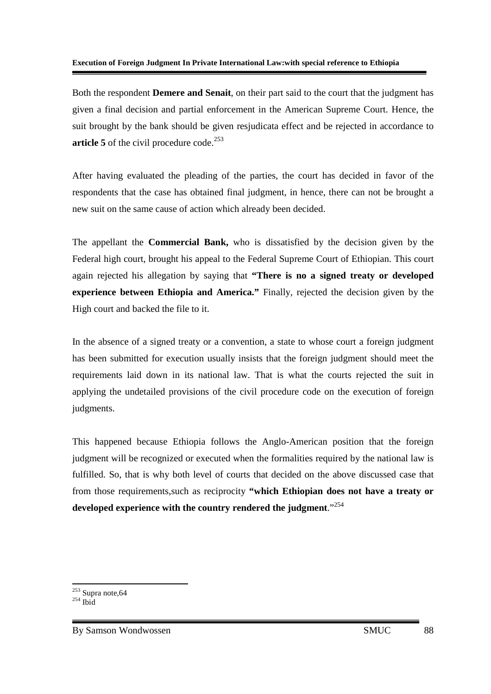Both the respondent **Demere and Senait**, on their part said to the court that the judgment has given a final decision and partial enforcement in the American Supreme Court. Hence, the suit brought by the bank should be given resjudicata effect and be rejected in accordance to **article 5** of the civil procedure code.<sup>253</sup>

After having evaluated the pleading of the parties, the court has decided in favor of the respondents that the case has obtained final judgment, in hence, there can not be brought a new suit on the same cause of action which already been decided.

The appellant the **Commercial Bank,** who is dissatisfied by the decision given by the Federal high court, brought his appeal to the Federal Supreme Court of Ethiopian. This court again rejected his allegation by saying that **"There is no a signed treaty or developed experience between Ethiopia and America."** Finally, rejected the decision given by the High court and backed the file to it.

In the absence of a signed treaty or a convention, a state to whose court a foreign judgment has been submitted for execution usually insists that the foreign judgment should meet the requirements laid down in its national law. That is what the courts rejected the suit in applying the undetailed provisions of the civil procedure code on the execution of foreign judgments.

This happened because Ethiopia follows the Anglo-American position that the foreign judgment will be recognized or executed when the formalities required by the national law is fulfilled. So, that is why both level of courts that decided on the above discussed case that from those requirements,such as reciprocity **"which Ethiopian does not have a treaty or developed experience with the country rendered the judgment**."<sup>254</sup>

<sup>&</sup>lt;u>.</u>  $253$  Supra note, 64

 $^{254}$  Ibid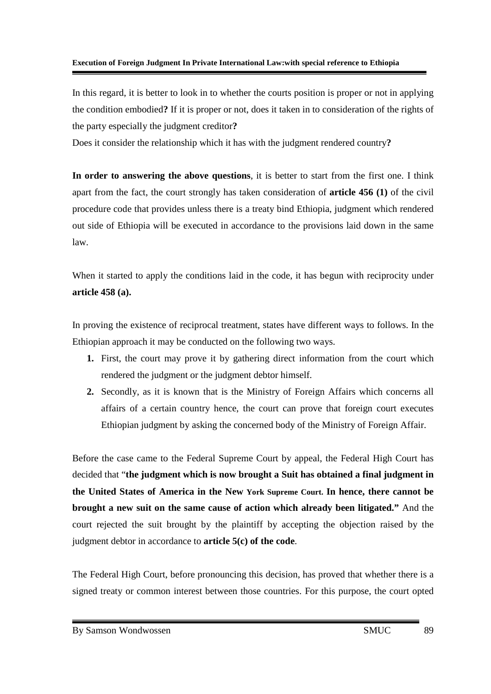In this regard, it is better to look in to whether the courts position is proper or not in applying the condition embodied**?** If it is proper or not, does it taken in to consideration of the rights of the party especially the judgment creditor**?**

Does it consider the relationship which it has with the judgment rendered country**?**

**In order to answering the above questions**, it is better to start from the first one. I think apart from the fact, the court strongly has taken consideration of **article 456 (1)** of the civil procedure code that provides unless there is a treaty bind Ethiopia, judgment which rendered out side of Ethiopia will be executed in accordance to the provisions laid down in the same law.

When it started to apply the conditions laid in the code, it has begun with reciprocity under **article 458 (a).**

In proving the existence of reciprocal treatment, states have different ways to follows. In the Ethiopian approach it may be conducted on the following two ways.

- **1.** First, the court may prove it by gathering direct information from the court which rendered the judgment or the judgment debtor himself.
- **2.** Secondly, as it is known that is the Ministry of Foreign Affairs which concerns all affairs of a certain country hence, the court can prove that foreign court executes Ethiopian judgment by asking the concerned body of the Ministry of Foreign Affair.

Before the case came to the Federal Supreme Court by appeal, the Federal High Court has decided that "**the judgment which is now brought a Suit has obtained a final judgment in the United States of America in the New York Supreme Court. In hence, there cannot be brought a new suit on the same cause of action which already been litigated."** And the court rejected the suit brought by the plaintiff by accepting the objection raised by the judgment debtor in accordance to **article 5(c) of the code**.

The Federal High Court, before pronouncing this decision, has proved that whether there is a signed treaty or common interest between those countries. For this purpose, the court opted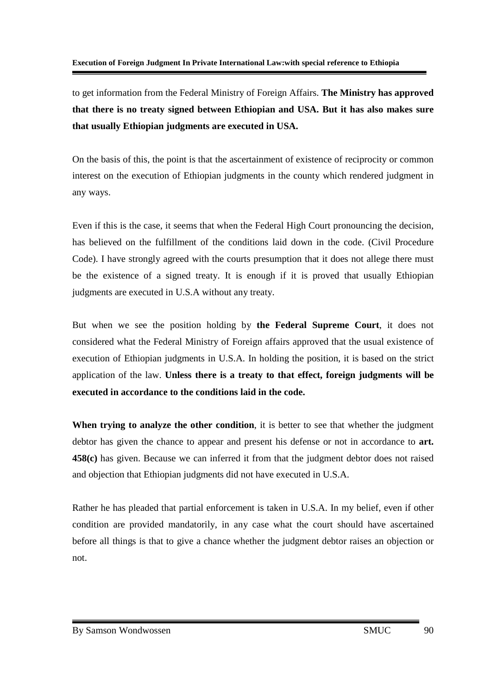to get information from the Federal Ministry of Foreign Affairs. **The Ministry has approved that there is no treaty signed between Ethiopian and USA. But it has also makes sure that usually Ethiopian judgments are executed in USA.** 

On the basis of this, the point is that the ascertainment of existence of reciprocity or common interest on the execution of Ethiopian judgments in the county which rendered judgment in any ways.

Even if this is the case, it seems that when the Federal High Court pronouncing the decision, has believed on the fulfillment of the conditions laid down in the code. (Civil Procedure Code). I have strongly agreed with the courts presumption that it does not allege there must be the existence of a signed treaty. It is enough if it is proved that usually Ethiopian judgments are executed in U.S.A without any treaty.

But when we see the position holding by **the Federal Supreme Court**, it does not considered what the Federal Ministry of Foreign affairs approved that the usual existence of execution of Ethiopian judgments in U.S.A. In holding the position, it is based on the strict application of the law. **Unless there is a treaty to that effect, foreign judgments will be executed in accordance to the conditions laid in the code.**

**When trying to analyze the other condition**, it is better to see that whether the judgment debtor has given the chance to appear and present his defense or not in accordance to **art. 458(c)** has given. Because we can inferred it from that the judgment debtor does not raised and objection that Ethiopian judgments did not have executed in U.S.A.

Rather he has pleaded that partial enforcement is taken in U.S.A. In my belief, even if other condition are provided mandatorily, in any case what the court should have ascertained before all things is that to give a chance whether the judgment debtor raises an objection or not.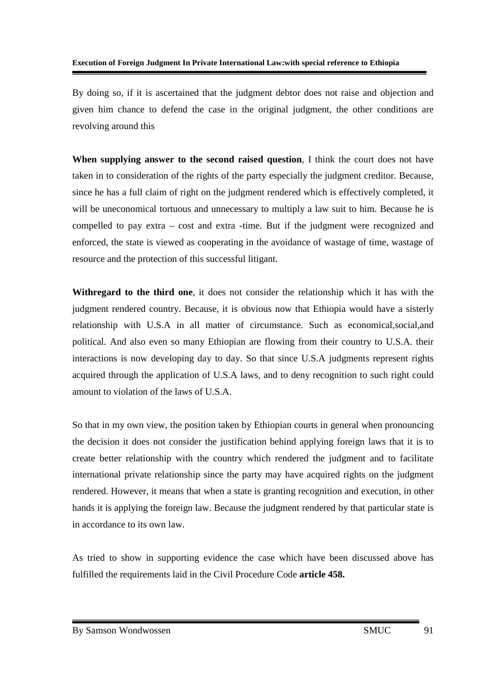By doing so, if it is ascertained that the judgment debtor does not raise and objection and given him chance to defend the case in the original judgment, the other conditions are revolving around this

**When supplying answer to the second raised question**, I think the court does not have taken in to consideration of the rights of the party especially the judgment creditor. Because, since he has a full claim of right on the judgment rendered which is effectively completed, it will be uneconomical tortuous and unnecessary to multiply a law suit to him. Because he is compelled to pay extra – cost and extra -time. But if the judgment were recognized and enforced, the state is viewed as cooperating in the avoidance of wastage of time, wastage of resource and the protection of this successful litigant.

**Withregard to the third one**, it does not consider the relationship which it has with the judgment rendered country. Because, it is obvious now that Ethiopia would have a sisterly relationship with U.S.A in all matter of circumstance. Such as economical,social,and political. And also even so many Ethiopian are flowing from their country to U.S.A. their interactions is now developing day to day. So that since U.S.A judgments represent rights acquired through the application of U.S.A laws, and to deny recognition to such right could amount to violation of the laws of U.S.A.

So that in my own view, the position taken by Ethiopian courts in general when pronouncing the decision it does not consider the justification behind applying foreign laws that it is to create better relationship with the country which rendered the judgment and to facilitate international private relationship since the party may have acquired rights on the judgment rendered. However, it means that when a state is granting recognition and execution, in other hands it is applying the foreign law. Because the judgment rendered by that particular state is in accordance to its own law.

As tried to show in supporting evidence the case which have been discussed above has fulfilled the requirements laid in the Civil Procedure Code **article 458.**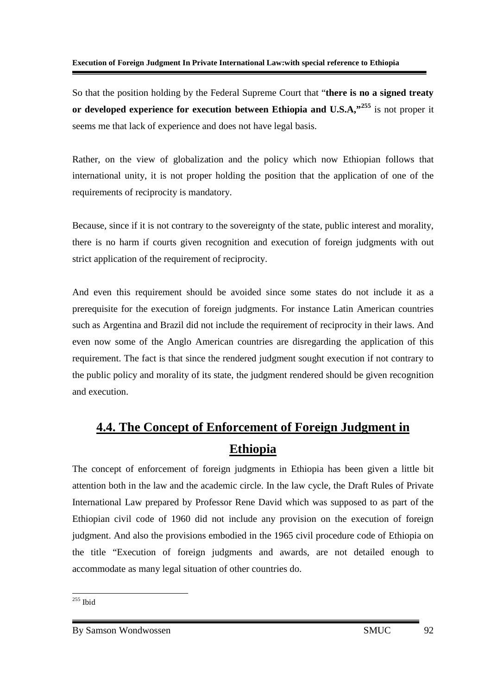So that the position holding by the Federal Supreme Court that "**there is no a signed treaty or developed experience for execution between Ethiopia and U.S.A,"<sup>255</sup>** is not proper it seems me that lack of experience and does not have legal basis.

Rather, on the view of globalization and the policy which now Ethiopian follows that international unity, it is not proper holding the position that the application of one of the requirements of reciprocity is mandatory.

Because, since if it is not contrary to the sovereignty of the state, public interest and morality, there is no harm if courts given recognition and execution of foreign judgments with out strict application of the requirement of reciprocity.

And even this requirement should be avoided since some states do not include it as a prerequisite for the execution of foreign judgments. For instance Latin American countries such as Argentina and Brazil did not include the requirement of reciprocity in their laws. And even now some of the Anglo American countries are disregarding the application of this requirement. The fact is that since the rendered judgment sought execution if not contrary to the public policy and morality of its state, the judgment rendered should be given recognition and execution.

# **4.4. The Concept of Enforcement of Foreign Judgment in Ethiopia**

The concept of enforcement of foreign judgments in Ethiopia has been given a little bit attention both in the law and the academic circle. In the law cycle, the Draft Rules of Private International Law prepared by Professor Rene David which was supposed to as part of the Ethiopian civil code of 1960 did not include any provision on the execution of foreign judgment. And also the provisions embodied in the 1965 civil procedure code of Ethiopia on the title "Execution of foreign judgments and awards, are not detailed enough to accommodate as many legal situation of other countries do.

<sup>-</sup> $255$  Ibid

By Samson Wondwossen SMUC 92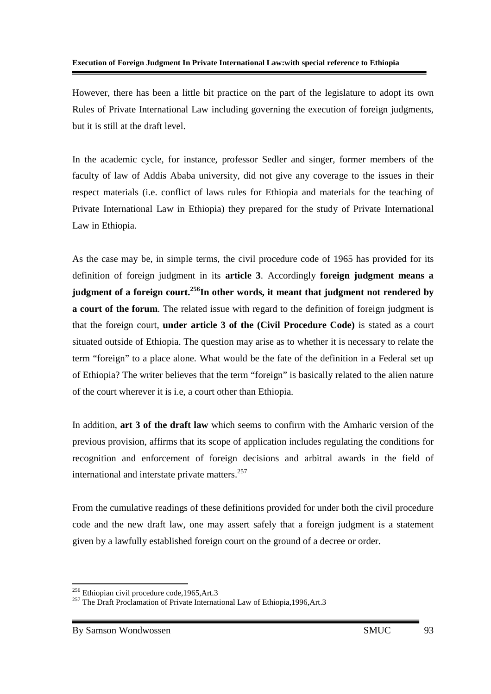However, there has been a little bit practice on the part of the legislature to adopt its own Rules of Private International Law including governing the execution of foreign judgments, but it is still at the draft level.

In the academic cycle, for instance, professor Sedler and singer, former members of the faculty of law of Addis Ababa university, did not give any coverage to the issues in their respect materials (i.e. conflict of laws rules for Ethiopia and materials for the teaching of Private International Law in Ethiopia) they prepared for the study of Private International Law in Ethiopia.

As the case may be, in simple terms, the civil procedure code of 1965 has provided for its definition of foreign judgment in its **article 3**. Accordingly **foreign judgment means a judgment of a foreign court.<sup>256</sup>In other words, it meant that judgment not rendered by a court of the forum**. The related issue with regard to the definition of foreign judgment is that the foreign court, **under article 3 of the (Civil Procedure Code)** is stated as a court situated outside of Ethiopia. The question may arise as to whether it is necessary to relate the term "foreign" to a place alone. What would be the fate of the definition in a Federal set up of Ethiopia? The writer believes that the term "foreign" is basically related to the alien nature of the court wherever it is i.e, a court other than Ethiopia.

In addition, **art 3 of the draft law** which seems to confirm with the Amharic version of the previous provision, affirms that its scope of application includes regulating the conditions for recognition and enforcement of foreign decisions and arbitral awards in the field of international and interstate private matters.<sup>257</sup>

From the cumulative readings of these definitions provided for under both the civil procedure code and the new draft law, one may assert safely that a foreign judgment is a statement given by a lawfully established foreign court on the ground of a decree or order.

<u>.</u>

<sup>&</sup>lt;sup>256</sup> Ethiopian civil procedure code, 1965, Art.3

<sup>&</sup>lt;sup>257</sup> The Draft Proclamation of Private International Law of Ethiopia, 1996, Art.3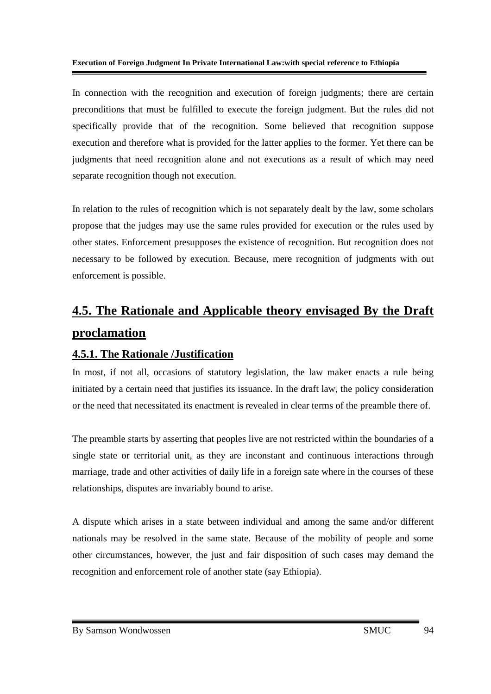In connection with the recognition and execution of foreign judgments; there are certain preconditions that must be fulfilled to execute the foreign judgment. But the rules did not specifically provide that of the recognition. Some believed that recognition suppose execution and therefore what is provided for the latter applies to the former. Yet there can be judgments that need recognition alone and not executions as a result of which may need separate recognition though not execution.

In relation to the rules of recognition which is not separately dealt by the law, some scholars propose that the judges may use the same rules provided for execution or the rules used by other states. Enforcement presupposes the existence of recognition. But recognition does not necessary to be followed by execution. Because, mere recognition of judgments with out enforcement is possible.

# **4.5. The Rationale and Applicable theory envisaged By the Draft proclamation**

### **4.5.1. The Rationale /Justification**

In most, if not all, occasions of statutory legislation, the law maker enacts a rule being initiated by a certain need that justifies its issuance. In the draft law, the policy consideration or the need that necessitated its enactment is revealed in clear terms of the preamble there of.

The preamble starts by asserting that peoples live are not restricted within the boundaries of a single state or territorial unit, as they are inconstant and continuous interactions through marriage, trade and other activities of daily life in a foreign sate where in the courses of these relationships, disputes are invariably bound to arise.

A dispute which arises in a state between individual and among the same and/or different nationals may be resolved in the same state. Because of the mobility of people and some other circumstances, however, the just and fair disposition of such cases may demand the recognition and enforcement role of another state (say Ethiopia).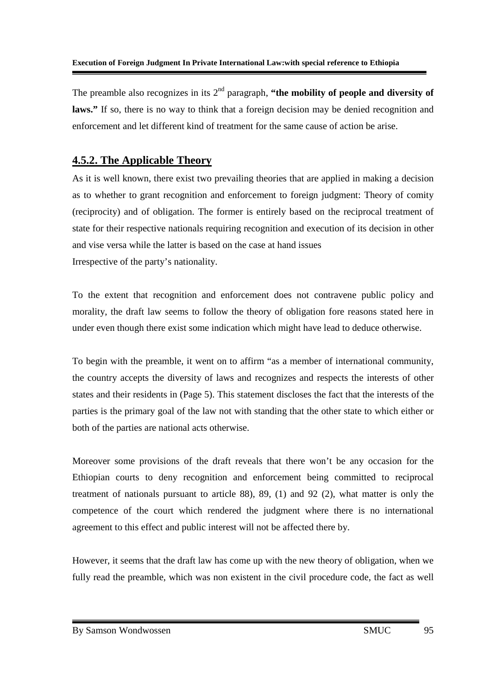The preamble also recognizes in its  $2<sup>nd</sup>$  paragraph, "the mobility of people and diversity of laws." If so, there is no way to think that a foreign decision may be denied recognition and enforcement and let different kind of treatment for the same cause of action be arise.

### **4.5.2. The Applicable Theory**

As it is well known, there exist two prevailing theories that are applied in making a decision as to whether to grant recognition and enforcement to foreign judgment: Theory of comity (reciprocity) and of obligation. The former is entirely based on the reciprocal treatment of state for their respective nationals requiring recognition and execution of its decision in other and vise versa while the latter is based on the case at hand issues Irrespective of the party's nationality.

To the extent that recognition and enforcement does not contravene public policy and morality, the draft law seems to follow the theory of obligation fore reasons stated here in under even though there exist some indication which might have lead to deduce otherwise.

To begin with the preamble, it went on to affirm "as a member of international community, the country accepts the diversity of laws and recognizes and respects the interests of other states and their residents in (Page 5). This statement discloses the fact that the interests of the parties is the primary goal of the law not with standing that the other state to which either or both of the parties are national acts otherwise.

Moreover some provisions of the draft reveals that there won't be any occasion for the Ethiopian courts to deny recognition and enforcement being committed to reciprocal treatment of nationals pursuant to article 88), 89, (1) and 92 (2), what matter is only the competence of the court which rendered the judgment where there is no international agreement to this effect and public interest will not be affected there by.

However, it seems that the draft law has come up with the new theory of obligation, when we fully read the preamble, which was non existent in the civil procedure code, the fact as well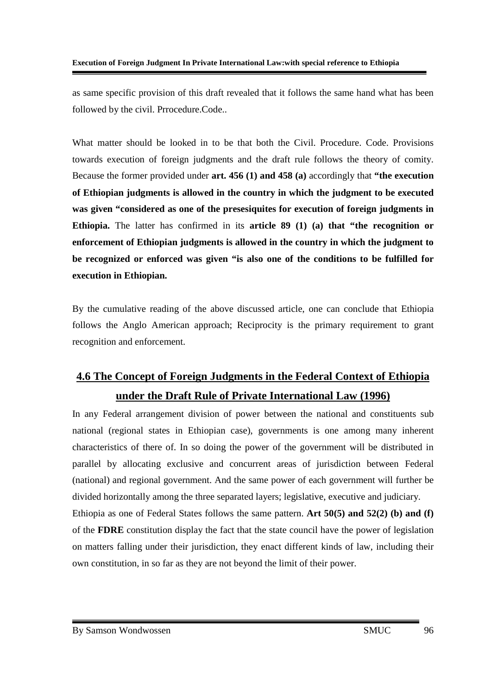as same specific provision of this draft revealed that it follows the same hand what has been followed by the civil. Prrocedure.Code..

What matter should be looked in to be that both the Civil. Procedure. Code. Provisions towards execution of foreign judgments and the draft rule follows the theory of comity. Because the former provided under **art. 456 (1) and 458 (a)** accordingly that **"the execution of Ethiopian judgments is allowed in the country in which the judgment to be executed was given "considered as one of the presesiquites for execution of foreign judgments in Ethiopia.** The latter has confirmed in its **article 89 (1) (a) that "the recognition or enforcement of Ethiopian judgments is allowed in the country in which the judgment to be recognized or enforced was given "is also one of the conditions to be fulfilled for execution in Ethiopian.** 

By the cumulative reading of the above discussed article, one can conclude that Ethiopia follows the Anglo American approach; Reciprocity is the primary requirement to grant recognition and enforcement.

# **4.6 The Concept of Foreign Judgments in the Federal Context of Ethiopia under the Draft Rule of Private International Law (1996)**

In any Federal arrangement division of power between the national and constituents sub national (regional states in Ethiopian case), governments is one among many inherent characteristics of there of. In so doing the power of the government will be distributed in parallel by allocating exclusive and concurrent areas of jurisdiction between Federal (national) and regional government. And the same power of each government will further be divided horizontally among the three separated layers; legislative, executive and judiciary. Ethiopia as one of Federal States follows the same pattern. **Art 50(5) and 52(2) (b) and (f)** of the **FDRE** constitution display the fact that the state council have the power of legislation on matters falling under their jurisdiction, they enact different kinds of law, including their own constitution, in so far as they are not beyond the limit of their power.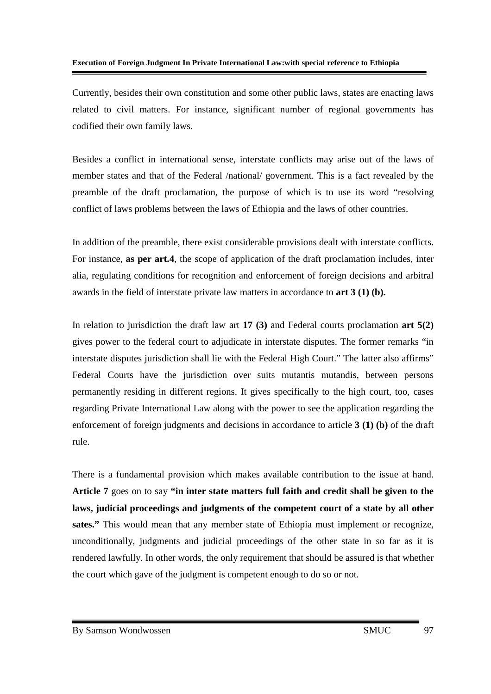Currently, besides their own constitution and some other public laws, states are enacting laws related to civil matters. For instance, significant number of regional governments has codified their own family laws.

Besides a conflict in international sense, interstate conflicts may arise out of the laws of member states and that of the Federal /national/ government. This is a fact revealed by the preamble of the draft proclamation, the purpose of which is to use its word "resolving conflict of laws problems between the laws of Ethiopia and the laws of other countries.

In addition of the preamble, there exist considerable provisions dealt with interstate conflicts. For instance, **as per art.4**, the scope of application of the draft proclamation includes, inter alia, regulating conditions for recognition and enforcement of foreign decisions and arbitral awards in the field of interstate private law matters in accordance to **art 3 (1) (b).** 

In relation to jurisdiction the draft law art **17 (3)** and Federal courts proclamation **art 5(2)** gives power to the federal court to adjudicate in interstate disputes. The former remarks "in interstate disputes jurisdiction shall lie with the Federal High Court." The latter also affirms" Federal Courts have the jurisdiction over suits mutantis mutandis, between persons permanently residing in different regions. It gives specifically to the high court, too, cases regarding Private International Law along with the power to see the application regarding the enforcement of foreign judgments and decisions in accordance to article **3 (1) (b)** of the draft rule.

There is a fundamental provision which makes available contribution to the issue at hand. **Article 7** goes on to say **"in inter state matters full faith and credit shall be given to the laws, judicial proceedings and judgments of the competent court of a state by all other sates."** This would mean that any member state of Ethiopia must implement or recognize, unconditionally, judgments and judicial proceedings of the other state in so far as it is rendered lawfully. In other words, the only requirement that should be assured is that whether the court which gave of the judgment is competent enough to do so or not.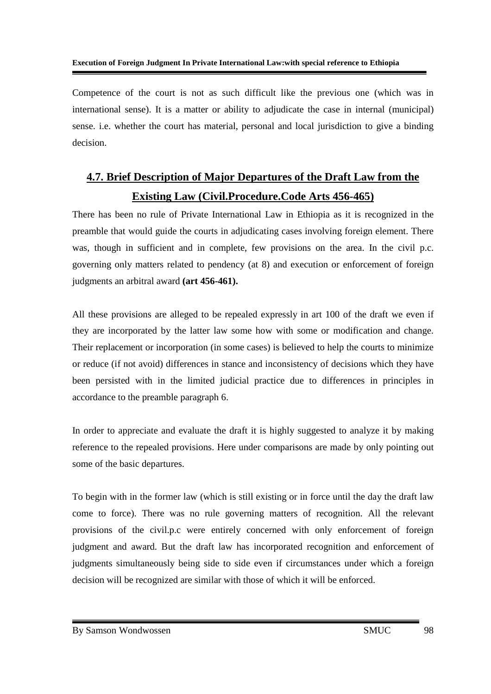Competence of the court is not as such difficult like the previous one (which was in international sense). It is a matter or ability to adjudicate the case in internal (municipal) sense. i.e. whether the court has material, personal and local jurisdiction to give a binding decision.

# **4.7. Brief Description of Major Departures of the Draft Law from the Existing Law (Civil.Procedure.Code Arts 456-465)**

There has been no rule of Private International Law in Ethiopia as it is recognized in the preamble that would guide the courts in adjudicating cases involving foreign element. There was, though in sufficient and in complete, few provisions on the area. In the civil p.c. governing only matters related to pendency (at 8) and execution or enforcement of foreign judgments an arbitral award **(art 456-461).**

All these provisions are alleged to be repealed expressly in art 100 of the draft we even if they are incorporated by the latter law some how with some or modification and change. Their replacement or incorporation (in some cases) is believed to help the courts to minimize or reduce (if not avoid) differences in stance and inconsistency of decisions which they have been persisted with in the limited judicial practice due to differences in principles in accordance to the preamble paragraph 6.

In order to appreciate and evaluate the draft it is highly suggested to analyze it by making reference to the repealed provisions. Here under comparisons are made by only pointing out some of the basic departures.

To begin with in the former law (which is still existing or in force until the day the draft law come to force). There was no rule governing matters of recognition. All the relevant provisions of the civil.p.c were entirely concerned with only enforcement of foreign judgment and award. But the draft law has incorporated recognition and enforcement of judgments simultaneously being side to side even if circumstances under which a foreign decision will be recognized are similar with those of which it will be enforced.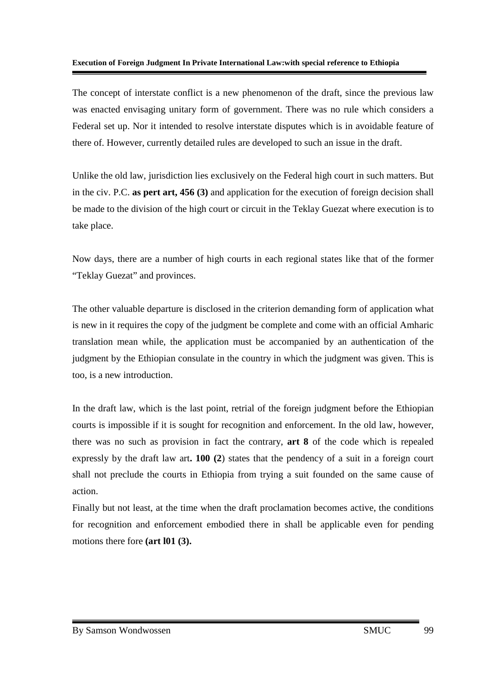The concept of interstate conflict is a new phenomenon of the draft, since the previous law was enacted envisaging unitary form of government. There was no rule which considers a Federal set up. Nor it intended to resolve interstate disputes which is in avoidable feature of there of. However, currently detailed rules are developed to such an issue in the draft.

Unlike the old law, jurisdiction lies exclusively on the Federal high court in such matters. But in the civ. P.C. **as pert art, 456 (3)** and application for the execution of foreign decision shall be made to the division of the high court or circuit in the Teklay Guezat where execution is to take place.

Now days, there are a number of high courts in each regional states like that of the former "Teklay Guezat" and provinces.

The other valuable departure is disclosed in the criterion demanding form of application what is new in it requires the copy of the judgment be complete and come with an official Amharic translation mean while, the application must be accompanied by an authentication of the judgment by the Ethiopian consulate in the country in which the judgment was given. This is too, is a new introduction.

In the draft law, which is the last point, retrial of the foreign judgment before the Ethiopian courts is impossible if it is sought for recognition and enforcement. In the old law, however, there was no such as provision in fact the contrary, **art 8** of the code which is repealed expressly by the draft law art**. 100 (2**) states that the pendency of a suit in a foreign court shall not preclude the courts in Ethiopia from trying a suit founded on the same cause of action.

Finally but not least, at the time when the draft proclamation becomes active, the conditions for recognition and enforcement embodied there in shall be applicable even for pending motions there fore **(art l01 (3).**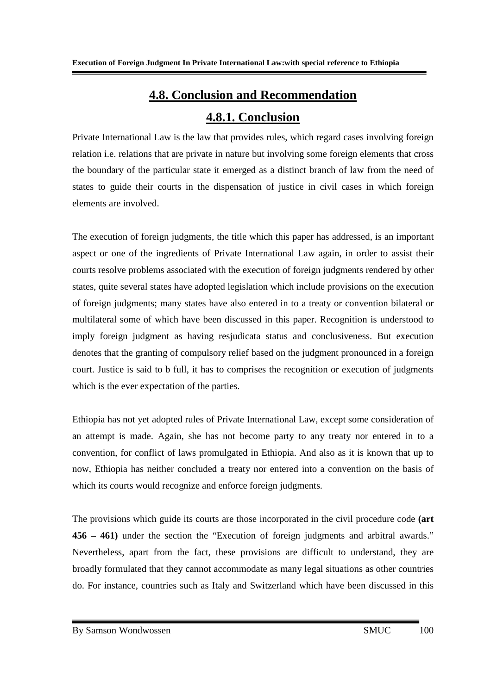# **4.8. Conclusion and Recommendation**

## **4.8.1. Conclusion**

Private International Law is the law that provides rules, which regard cases involving foreign relation i.e. relations that are private in nature but involving some foreign elements that cross the boundary of the particular state it emerged as a distinct branch of law from the need of states to guide their courts in the dispensation of justice in civil cases in which foreign elements are involved.

The execution of foreign judgments, the title which this paper has addressed, is an important aspect or one of the ingredients of Private International Law again, in order to assist their courts resolve problems associated with the execution of foreign judgments rendered by other states, quite several states have adopted legislation which include provisions on the execution of foreign judgments; many states have also entered in to a treaty or convention bilateral or multilateral some of which have been discussed in this paper. Recognition is understood to imply foreign judgment as having resjudicata status and conclusiveness. But execution denotes that the granting of compulsory relief based on the judgment pronounced in a foreign court. Justice is said to b full, it has to comprises the recognition or execution of judgments which is the ever expectation of the parties.

Ethiopia has not yet adopted rules of Private International Law, except some consideration of an attempt is made. Again, she has not become party to any treaty nor entered in to a convention, for conflict of laws promulgated in Ethiopia. And also as it is known that up to now, Ethiopia has neither concluded a treaty nor entered into a convention on the basis of which its courts would recognize and enforce foreign judgments.

The provisions which guide its courts are those incorporated in the civil procedure code **(art 456 – 461)** under the section the "Execution of foreign judgments and arbitral awards." Nevertheless, apart from the fact, these provisions are difficult to understand, they are broadly formulated that they cannot accommodate as many legal situations as other countries do. For instance, countries such as Italy and Switzerland which have been discussed in this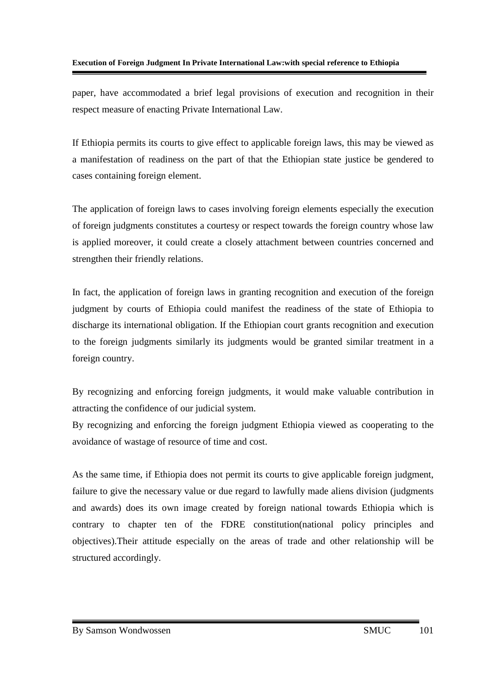paper, have accommodated a brief legal provisions of execution and recognition in their respect measure of enacting Private International Law.

If Ethiopia permits its courts to give effect to applicable foreign laws, this may be viewed as a manifestation of readiness on the part of that the Ethiopian state justice be gendered to cases containing foreign element.

The application of foreign laws to cases involving foreign elements especially the execution of foreign judgments constitutes a courtesy or respect towards the foreign country whose law is applied moreover, it could create a closely attachment between countries concerned and strengthen their friendly relations.

In fact, the application of foreign laws in granting recognition and execution of the foreign judgment by courts of Ethiopia could manifest the readiness of the state of Ethiopia to discharge its international obligation. If the Ethiopian court grants recognition and execution to the foreign judgments similarly its judgments would be granted similar treatment in a foreign country.

By recognizing and enforcing foreign judgments, it would make valuable contribution in attracting the confidence of our judicial system.

By recognizing and enforcing the foreign judgment Ethiopia viewed as cooperating to the avoidance of wastage of resource of time and cost.

As the same time, if Ethiopia does not permit its courts to give applicable foreign judgment, failure to give the necessary value or due regard to lawfully made aliens division (judgments and awards) does its own image created by foreign national towards Ethiopia which is contrary to chapter ten of the FDRE constitution(national policy principles and objectives).Their attitude especially on the areas of trade and other relationship will be structured accordingly.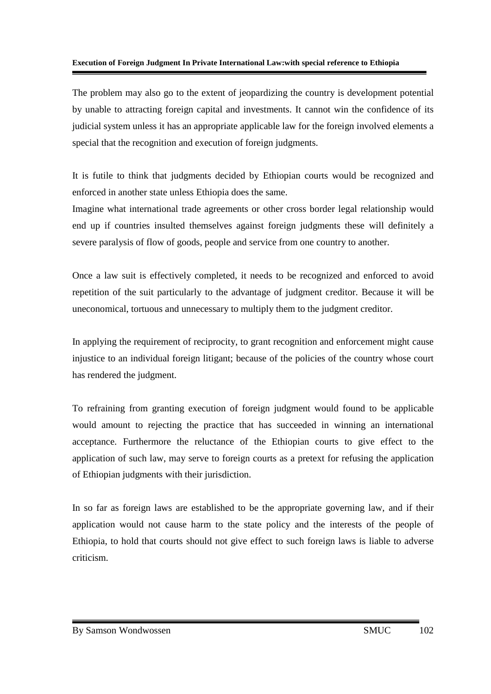The problem may also go to the extent of jeopardizing the country is development potential by unable to attracting foreign capital and investments. It cannot win the confidence of its judicial system unless it has an appropriate applicable law for the foreign involved elements a special that the recognition and execution of foreign judgments.

It is futile to think that judgments decided by Ethiopian courts would be recognized and enforced in another state unless Ethiopia does the same.

Imagine what international trade agreements or other cross border legal relationship would end up if countries insulted themselves against foreign judgments these will definitely a severe paralysis of flow of goods, people and service from one country to another.

Once a law suit is effectively completed, it needs to be recognized and enforced to avoid repetition of the suit particularly to the advantage of judgment creditor. Because it will be uneconomical, tortuous and unnecessary to multiply them to the judgment creditor.

In applying the requirement of reciprocity, to grant recognition and enforcement might cause injustice to an individual foreign litigant; because of the policies of the country whose court has rendered the judgment.

To refraining from granting execution of foreign judgment would found to be applicable would amount to rejecting the practice that has succeeded in winning an international acceptance. Furthermore the reluctance of the Ethiopian courts to give effect to the application of such law, may serve to foreign courts as a pretext for refusing the application of Ethiopian judgments with their jurisdiction.

In so far as foreign laws are established to be the appropriate governing law, and if their application would not cause harm to the state policy and the interests of the people of Ethiopia, to hold that courts should not give effect to such foreign laws is liable to adverse criticism.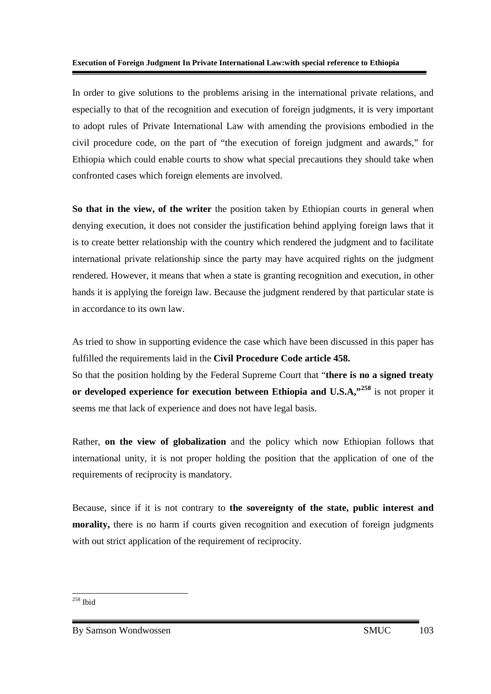In order to give solutions to the problems arising in the international private relations, and especially to that of the recognition and execution of foreign judgments, it is very important to adopt rules of Private International Law with amending the provisions embodied in the civil procedure code, on the part of "the execution of foreign judgment and awards," for Ethiopia which could enable courts to show what special precautions they should take when confronted cases which foreign elements are involved.

**So that in the view, of the writer** the position taken by Ethiopian courts in general when denying execution, it does not consider the justification behind applying foreign laws that it is to create better relationship with the country which rendered the judgment and to facilitate international private relationship since the party may have acquired rights on the judgment rendered. However, it means that when a state is granting recognition and execution, in other hands it is applying the foreign law. Because the judgment rendered by that particular state is in accordance to its own law.

As tried to show in supporting evidence the case which have been discussed in this paper has fulfilled the requirements laid in the **Civil Procedure Code article 458.** 

So that the position holding by the Federal Supreme Court that "**there is no a signed treaty or developed experience for execution between Ethiopia and U.S.A,"<sup>258</sup>** is not proper it seems me that lack of experience and does not have legal basis.

Rather, **on the view of globalization** and the policy which now Ethiopian follows that international unity, it is not proper holding the position that the application of one of the requirements of reciprocity is mandatory.

Because, since if it is not contrary to **the sovereignty of the state, public interest and morality,** there is no harm if courts given recognition and execution of foreign judgments with out strict application of the requirement of reciprocity.

- $258$  Ibid

By Samson Wondwossen SMUC 103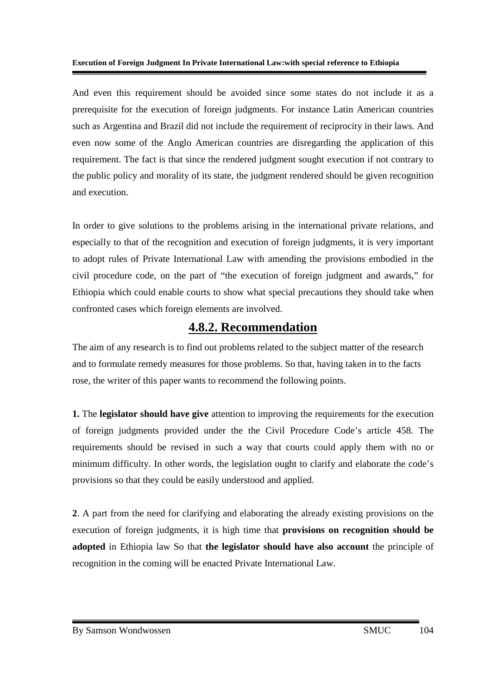And even this requirement should be avoided since some states do not include it as a prerequisite for the execution of foreign judgments. For instance Latin American countries such as Argentina and Brazil did not include the requirement of reciprocity in their laws. And even now some of the Anglo American countries are disregarding the application of this requirement. The fact is that since the rendered judgment sought execution if not contrary to the public policy and morality of its state, the judgment rendered should be given recognition and execution.

In order to give solutions to the problems arising in the international private relations, and especially to that of the recognition and execution of foreign judgments, it is very important to adopt rules of Private International Law with amending the provisions embodied in the civil procedure code, on the part of "the execution of foreign judgment and awards," for Ethiopia which could enable courts to show what special precautions they should take when confronted cases which foreign elements are involved.

## **4.8.2. Recommendation**

The aim of any research is to find out problems related to the subject matter of the research and to formulate remedy measures for those problems. So that, having taken in to the facts rose, the writer of this paper wants to recommend the following points.

**1.** The **legislator should have give** attention to improving the requirements for the execution of foreign judgments provided under the the Civil Procedure Code's article 458. The requirements should be revised in such a way that courts could apply them with no or minimum difficulty. In other words, the legislation ought to clarify and elaborate the code's provisions so that they could be easily understood and applied.

**2**. A part from the need for clarifying and elaborating the already existing provisions on the execution of foreign judgments, it is high time that **provisions on recognition should be adopted** in Ethiopia law So that **the legislator should have also account** the principle of recognition in the coming will be enacted Private International Law.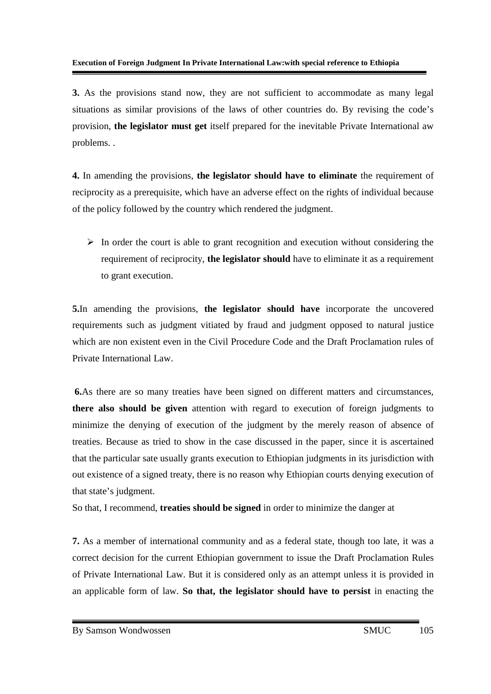**3.** As the provisions stand now, they are not sufficient to accommodate as many legal situations as similar provisions of the laws of other countries do. By revising the code's provision, **the legislator must get** itself prepared for the inevitable Private International aw problems. .

**4.** In amending the provisions, **the legislator should have to eliminate** the requirement of reciprocity as a prerequisite, which have an adverse effect on the rights of individual because of the policy followed by the country which rendered the judgment.

> In order the court is able to grant recognition and execution without considering the requirement of reciprocity, **the legislator should** have to eliminate it as a requirement to grant execution.

**5.**In amending the provisions, **the legislator should have** incorporate the uncovered requirements such as judgment vitiated by fraud and judgment opposed to natural justice which are non existent even in the Civil Procedure Code and the Draft Proclamation rules of Private International Law.

 **6.**As there are so many treaties have been signed on different matters and circumstances, **there also should be given** attention with regard to execution of foreign judgments to minimize the denying of execution of the judgment by the merely reason of absence of treaties. Because as tried to show in the case discussed in the paper, since it is ascertained that the particular sate usually grants execution to Ethiopian judgments in its jurisdiction with out existence of a signed treaty, there is no reason why Ethiopian courts denying execution of that state's judgment.

So that, I recommend, **treaties should be signed** in order to minimize the danger at

**7.** As a member of international community and as a federal state, though too late, it was a correct decision for the current Ethiopian government to issue the Draft Proclamation Rules of Private International Law. But it is considered only as an attempt unless it is provided in an applicable form of law. **So that, the legislator should have to persist** in enacting the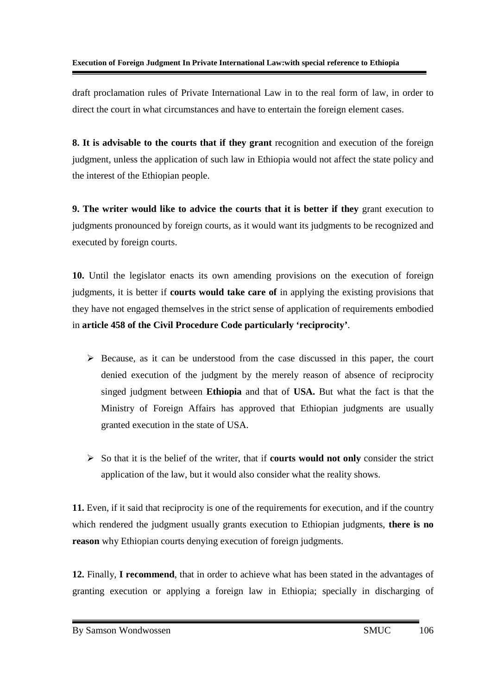draft proclamation rules of Private International Law in to the real form of law, in order to direct the court in what circumstances and have to entertain the foreign element cases.

**8. It is advisable to the courts that if they grant** recognition and execution of the foreign judgment, unless the application of such law in Ethiopia would not affect the state policy and the interest of the Ethiopian people.

**9. The writer would like to advice the courts that it is better if they** grant execution to judgments pronounced by foreign courts, as it would want its judgments to be recognized and executed by foreign courts.

**10.** Until the legislator enacts its own amending provisions on the execution of foreign judgments, it is better if **courts would take care of** in applying the existing provisions that they have not engaged themselves in the strict sense of application of requirements embodied in **article 458 of the Civil Procedure Code particularly 'reciprocity'**.

- Because, as it can be understood from the case discussed in this paper, the court denied execution of the judgment by the merely reason of absence of reciprocity singed judgment between **Ethiopia** and that of **USA.** But what the fact is that the Ministry of Foreign Affairs has approved that Ethiopian judgments are usually granted execution in the state of USA.
- So that it is the belief of the writer, that if **courts would not only** consider the strict application of the law, but it would also consider what the reality shows.

**11.** Even, if it said that reciprocity is one of the requirements for execution, and if the country which rendered the judgment usually grants execution to Ethiopian judgments, **there is no reason** why Ethiopian courts denying execution of foreign judgments.

**12.** Finally, **I recommend**, that in order to achieve what has been stated in the advantages of granting execution or applying a foreign law in Ethiopia; specially in discharging of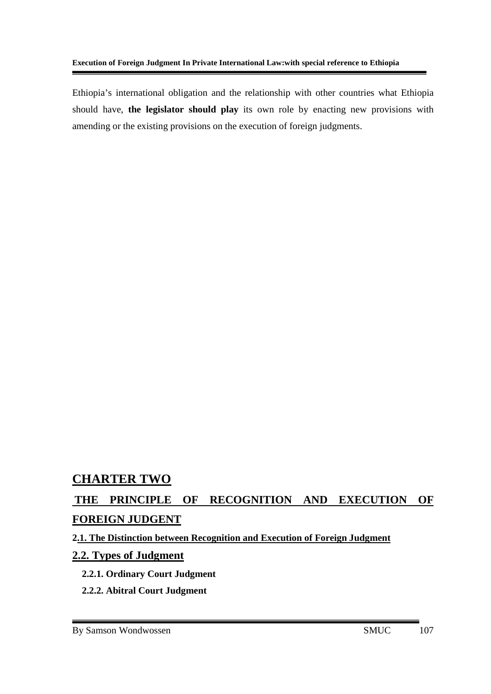Ethiopia's international obligation and the relationship with other countries what Ethiopia should have, **the legislator should play** its own role by enacting new provisions with amending or the existing provisions on the execution of foreign judgments.

## **CHARTER TWO**

## **THE PRINCIPLE OF RECOGNITION AND EXECUTION OF FOREIGN JUDGENT**

#### **2.1. The Distinction between Recognition and Execution of Foreign Judgment**

#### **2.2. Types of Judgment**

- **2.2.1. Ordinary Court Judgment**
- **2.2.2. Abitral Court Judgment**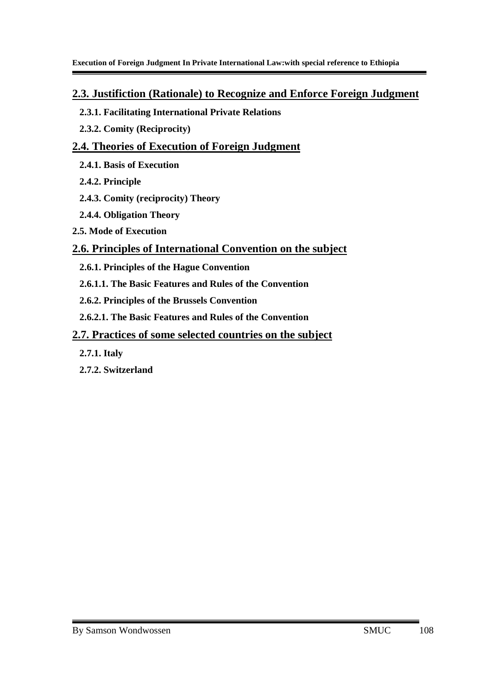#### **2.3. Justifiction (Rationale) to Recognize and Enforce Foreign Judgment**

- **2.3.1. Facilitating International Private Relations**
- **2.3.2. Comity (Reciprocity)**

## **2.4. Theories of Execution of Foreign Judgment**

- **2.4.1. Basis of Execution**
- **2.4.2. Principle**
- **2.4.3. Comity (reciprocity) Theory**
- **2.4.4. Obligation Theory**
- **2.5. Mode of Execution**

## **2.6. Principles of International Convention on the subject**

- **2.6.1. Principles of the Hague Convention**
- **2.6.1.1. The Basic Features and Rules of the Convention**
- **2.6.2. Principles of the Brussels Convention**
- **2.6.2.1. The Basic Features and Rules of the Convention**

## **2.7. Practices of some selected countries on the subject**

- **2.7.1. Italy**
- **2.7.2. Switzerland**